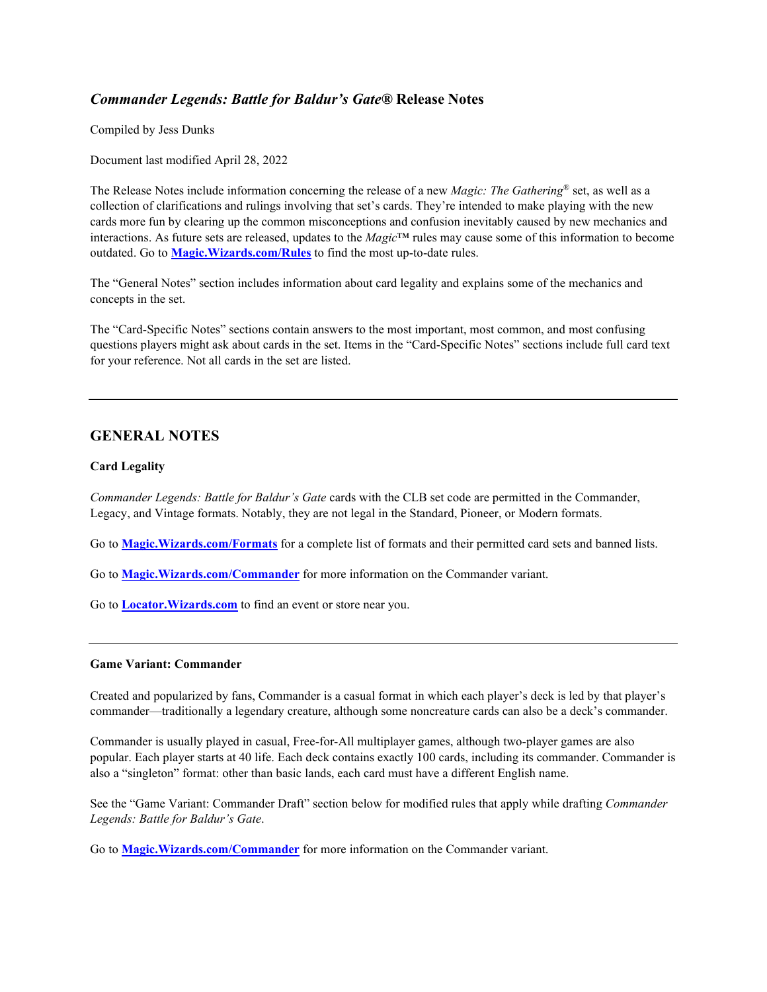# *Commander Legends: Battle for Baldur's Gate®* **Release Notes**

Compiled by Jess Dunks

Document last modified April 28, 2022

The Release Notes include information concerning the release of a new *Magic: The Gathering*® set, as well as a collection of clarifications and rulings involving that set's cards. They're intended to make playing with the new cards more fun by clearing up the common misconceptions and confusion inevitably caused by new mechanics and interactions. As future sets are released, updates to the *Magic*™ rules may cause some of this information to become outdated. Go to **[Magic.Wizards.com/Rules](http://magic.wizards.com/rules)** to find the most up-to-date rules.

The "General Notes" section includes information about card legality and explains some of the mechanics and concepts in the set.

The "Card-Specific Notes" sections contain answers to the most important, most common, and most confusing questions players might ask about cards in the set. Items in the "Card-Specific Notes" sections include full card text for your reference. Not all cards in the set are listed.

# **GENERAL NOTES**

## **Card Legality**

*Commander Legends: Battle for Baldur's Gate* cards with the CLB set code are permitted in the Commander, Legacy, and Vintage formats. Notably, they are not legal in the Standard, Pioneer, or Modern formats.

Go to **[Magic.Wizards.com/Formats](https://magic.wizards.com/formats)** for a complete list of formats and their permitted card sets and banned lists.

Go to **[Magic.Wizards.com/Commander](https://magic.wizards.com/Commander)** for more information on the Commander variant.

Go to **[Locator.Wizards.com](https://locator.wizards.com/)** to find an event or store near you.

### **Game Variant: Commander**

Created and popularized by fans, Commander is a casual format in which each player's deck is led by that player's commander—traditionally a legendary creature, although some noncreature cards can also be a deck's commander.

Commander is usually played in casual, Free-for-All multiplayer games, although two-player games are also popular. Each player starts at 40 life. Each deck contains exactly 100 cards, including its commander. Commander is also a "singleton" format: other than basic lands, each card must have a different English name.

See the "Game Variant: Commander Draft" section below for modified rules that apply while drafting *Commander Legends: Battle for Baldur's Gate*.

Go to **[Magic.Wizards.com/Commander](http://magic.wizards.com/Commander)** for more information on the Commander variant.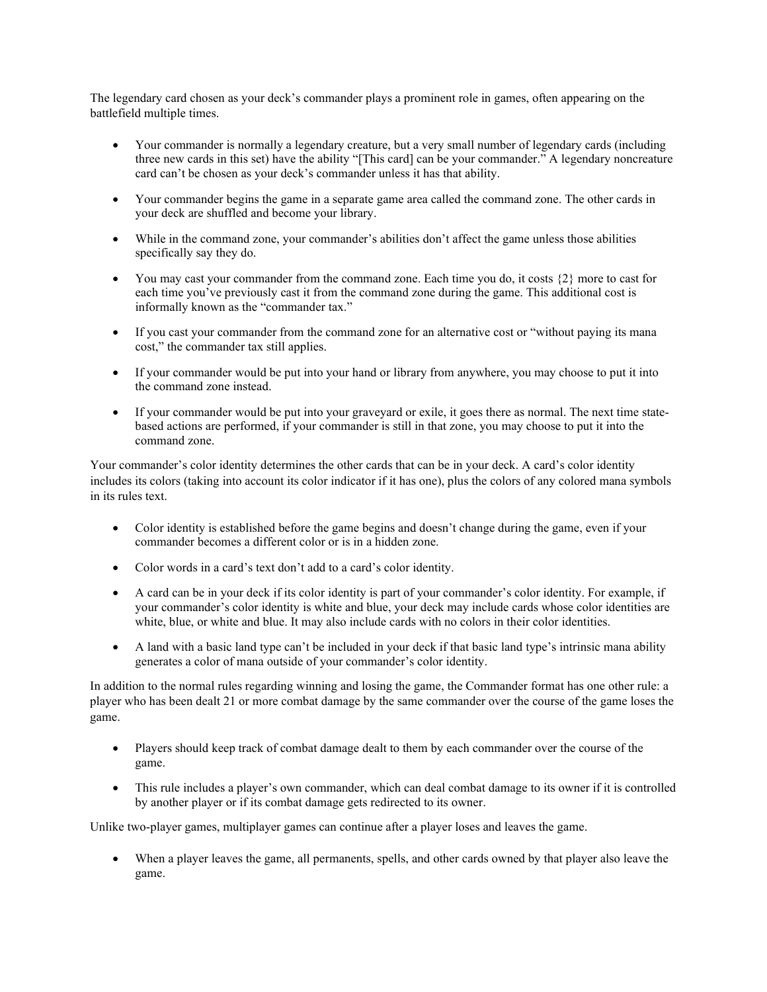The legendary card chosen as your deck's commander plays a prominent role in games, often appearing on the battlefield multiple times.

- Your commander is normally a legendary creature, but a very small number of legendary cards (including three new cards in this set) have the ability "[This card] can be your commander." A legendary noncreature card can't be chosen as your deck's commander unless it has that ability.
- Your commander begins the game in a separate game area called the command zone. The other cards in your deck are shuffled and become your library.
- While in the command zone, your commander's abilities don't affect the game unless those abilities specifically say they do.
- You may cast your commander from the command zone. Each time you do, it costs  $\{2\}$  more to cast for each time you've previously cast it from the command zone during the game. This additional cost is informally known as the "commander tax."
- If you cast your commander from the command zone for an alternative cost or "without paying its mana" cost," the commander tax still applies.
- If your commander would be put into your hand or library from anywhere, you may choose to put it into the command zone instead.
- If your commander would be put into your graveyard or exile, it goes there as normal. The next time statebased actions are performed, if your commander is still in that zone, you may choose to put it into the command zone.

Your commander's color identity determines the other cards that can be in your deck. A card's color identity includes its colors (taking into account its color indicator if it has one), plus the colors of any colored mana symbols in its rules text.

- Color identity is established before the game begins and doesn't change during the game, even if your commander becomes a different color or is in a hidden zone.
- Color words in a card's text don't add to a card's color identity.
- A card can be in your deck if its color identity is part of your commander's color identity. For example, if your commander's color identity is white and blue, your deck may include cards whose color identities are white, blue, or white and blue. It may also include cards with no colors in their color identities.
- A land with a basic land type can't be included in your deck if that basic land type's intrinsic mana ability generates a color of mana outside of your commander's color identity.

In addition to the normal rules regarding winning and losing the game, the Commander format has one other rule: a player who has been dealt 21 or more combat damage by the same commander over the course of the game loses the game.

- Players should keep track of combat damage dealt to them by each commander over the course of the game.
- This rule includes a player's own commander, which can deal combat damage to its owner if it is controlled by another player or if its combat damage gets redirected to its owner.

Unlike two-player games, multiplayer games can continue after a player loses and leaves the game.

• When a player leaves the game, all permanents, spells, and other cards owned by that player also leave the game.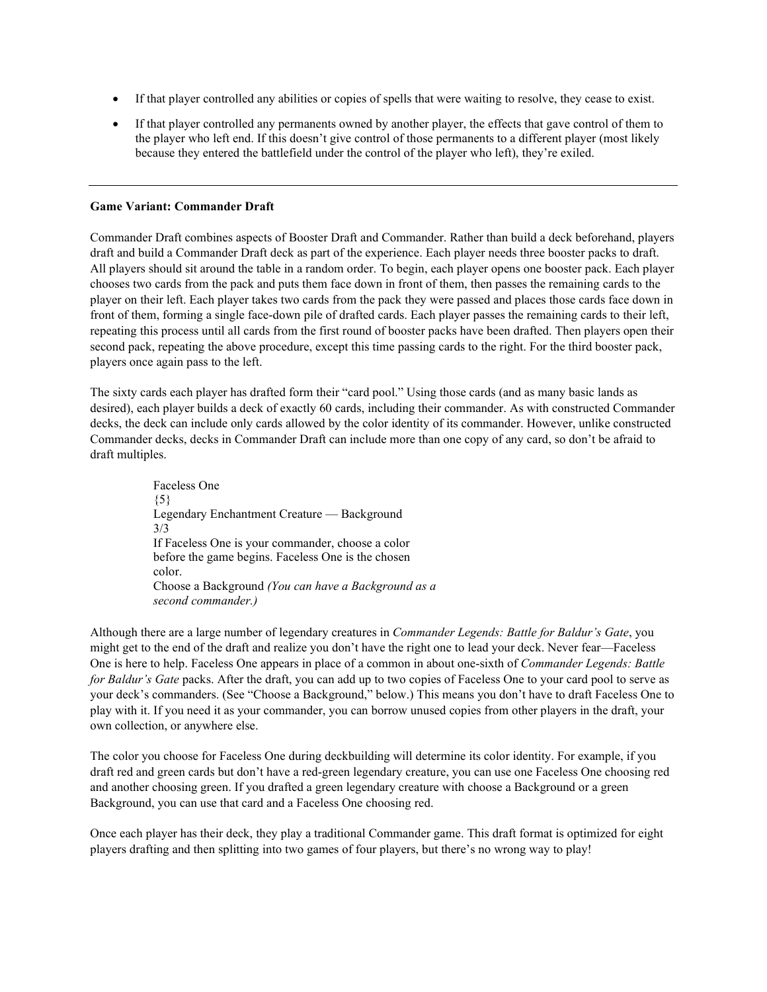- If that player controlled any abilities or copies of spells that were waiting to resolve, they cease to exist.
- If that player controlled any permanents owned by another player, the effects that gave control of them to the player who left end. If this doesn't give control of those permanents to a different player (most likely because they entered the battlefield under the control of the player who left), they're exiled.

### **Game Variant: Commander Draft**

Commander Draft combines aspects of Booster Draft and Commander. Rather than build a deck beforehand, players draft and build a Commander Draft deck as part of the experience. Each player needs three booster packs to draft. All players should sit around the table in a random order. To begin, each player opens one booster pack. Each player chooses two cards from the pack and puts them face down in front of them, then passes the remaining cards to the player on their left. Each player takes two cards from the pack they were passed and places those cards face down in front of them, forming a single face-down pile of drafted cards. Each player passes the remaining cards to their left, repeating this process until all cards from the first round of booster packs have been drafted. Then players open their second pack, repeating the above procedure, except this time passing cards to the right. For the third booster pack, players once again pass to the left.

The sixty cards each player has drafted form their "card pool." Using those cards (and as many basic lands as desired), each player builds a deck of exactly 60 cards, including their commander. As with constructed Commander decks, the deck can include only cards allowed by the color identity of its commander. However, unlike constructed Commander decks, decks in Commander Draft can include more than one copy of any card, so don't be afraid to draft multiples.

> Faceless One  ${5}$ Legendary Enchantment Creature — Background 3/3 If Faceless One is your commander, choose a color before the game begins. Faceless One is the chosen color. Choose a Background *(You can have a Background as a second commander.)*

Although there are a large number of legendary creatures in *Commander Legends: Battle for Baldur's Gate*, you might get to the end of the draft and realize you don't have the right one to lead your deck. Never fear—Faceless One is here to help. Faceless One appears in place of a common in about one-sixth of *Commander Legends: Battle for Baldur's Gate* packs. After the draft, you can add up to two copies of Faceless One to your card pool to serve as your deck's commanders. (See "Choose a Background," below.) This means you don't have to draft Faceless One to play with it. If you need it as your commander, you can borrow unused copies from other players in the draft, your own collection, or anywhere else.

The color you choose for Faceless One during deckbuilding will determine its color identity. For example, if you draft red and green cards but don't have a red-green legendary creature, you can use one Faceless One choosing red and another choosing green. If you drafted a green legendary creature with choose a Background or a green Background, you can use that card and a Faceless One choosing red.

Once each player has their deck, they play a traditional Commander game. This draft format is optimized for eight players drafting and then splitting into two games of four players, but there's no wrong way to play!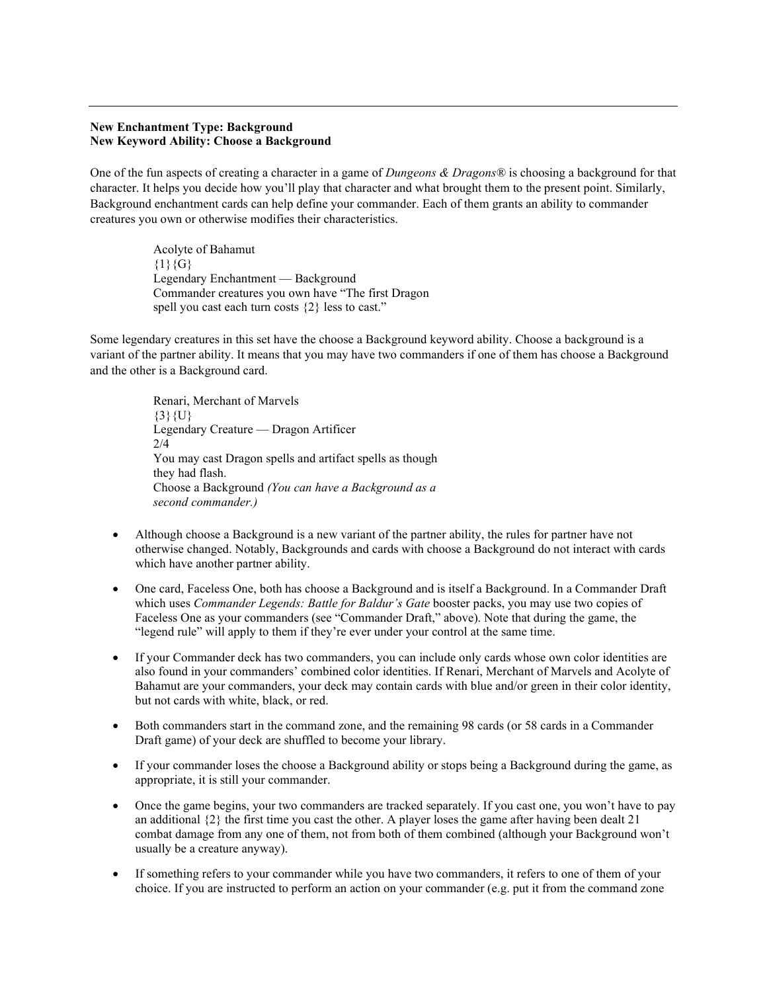### **New Enchantment Type: Background New Keyword Ability: Choose a Background**

One of the fun aspects of creating a character in a game of *Dungeons & Dragons®* is choosing a background for that character. It helps you decide how you'll play that character and what brought them to the present point. Similarly, Background enchantment cards can help define your commander. Each of them grants an ability to commander creatures you own or otherwise modifies their characteristics.

> Acolyte of Bahamut  ${1}{G}$ Legendary Enchantment — Background Commander creatures you own have "The first Dragon spell you cast each turn costs {2} less to cast."

Some legendary creatures in this set have the choose a Background keyword ability. Choose a background is a variant of the partner ability. It means that you may have two commanders if one of them has choose a Background and the other is a Background card.

> Renari, Merchant of Marvels  $\{3\}\{U\}$ Legendary Creature — Dragon Artificer  $2/4$ You may cast Dragon spells and artifact spells as though they had flash. Choose a Background *(You can have a Background as a second commander.)*

- Although choose a Background is a new variant of the partner ability, the rules for partner have not otherwise changed. Notably, Backgrounds and cards with choose a Background do not interact with cards which have another partner ability.
- One card, Faceless One, both has choose a Background and is itself a Background. In a Commander Draft which uses *Commander Legends: Battle for Baldur's Gate* booster packs, you may use two copies of Faceless One as your commanders (see "Commander Draft," above). Note that during the game, the "legend rule" will apply to them if they're ever under your control at the same time.
- If your Commander deck has two commanders, you can include only cards whose own color identities are also found in your commanders' combined color identities. If Renari, Merchant of Marvels and Acolyte of Bahamut are your commanders, your deck may contain cards with blue and/or green in their color identity, but not cards with white, black, or red.
- Both commanders start in the command zone, and the remaining 98 cards (or 58 cards in a Commander Draft game) of your deck are shuffled to become your library.
- If your commander loses the choose a Background ability or stops being a Background during the game, as appropriate, it is still your commander.
- Once the game begins, your two commanders are tracked separately. If you cast one, you won't have to pay an additional  $\{2\}$  the first time you cast the other. A player loses the game after having been dealt 21 combat damage from any one of them, not from both of them combined (although your Background won't usually be a creature anyway).
- If something refers to your commander while you have two commanders, it refers to one of them of your choice. If you are instructed to perform an action on your commander (e.g. put it from the command zone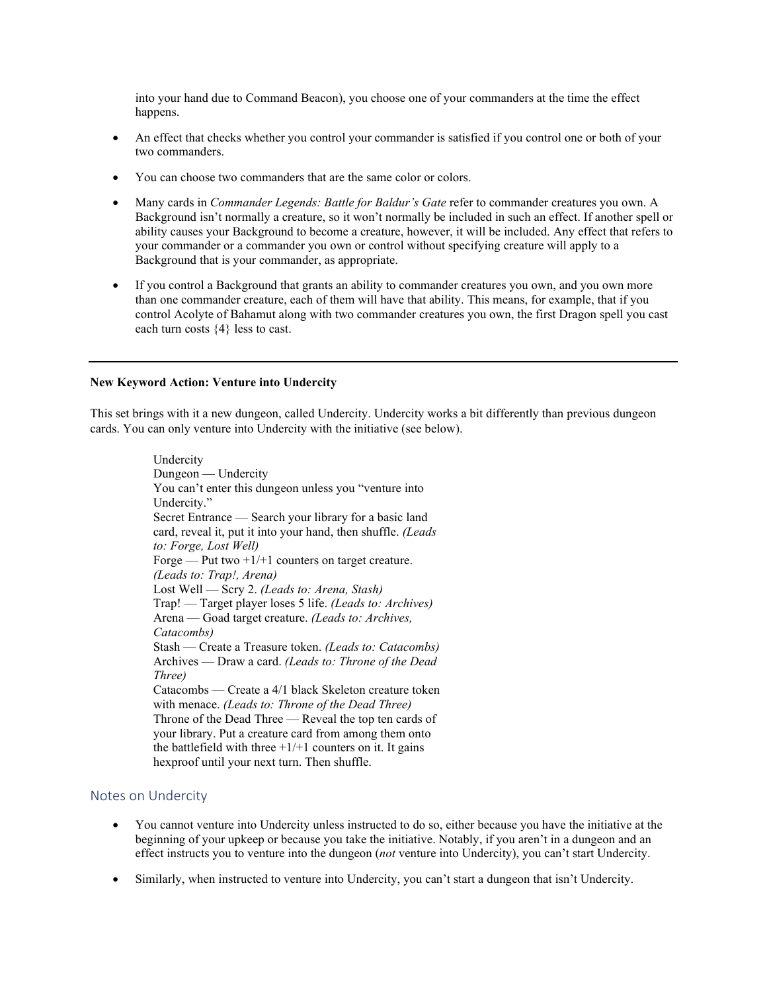into your hand due to Command Beacon), you choose one of your commanders at the time the effect happens.

- An effect that checks whether you control your commander is satisfied if you control one or both of your two commanders.
- You can choose two commanders that are the same color or colors.
- Many cards in *Commander Legends: Battle for Baldur's Gate* refer to commander creatures you own. A Background isn't normally a creature, so it won't normally be included in such an effect. If another spell or ability causes your Background to become a creature, however, it will be included. Any effect that refers to your commander or a commander you own or control without specifying creature will apply to a Background that is your commander, as appropriate.
- If you control a Background that grants an ability to commander creatures you own, and you own more than one commander creature, each of them will have that ability. This means, for example, that if you control Acolyte of Bahamut along with two commander creatures you own, the first Dragon spell you cast each turn costs {4} less to cast.

### **New Keyword Action: Venture into Undercity**

This set brings with it a new dungeon, called Undercity. Undercity works a bit differently than previous dungeon cards. You can only venture into Undercity with the initiative (see below).

> Undercity Dungeon — Undercity You can't enter this dungeon unless you "venture into Undercity." Secret Entrance — Search your library for a basic land card, reveal it, put it into your hand, then shuffle. *(Leads to: Forge, Lost Well)* Forge — Put two  $+1/+1$  counters on target creature. *(Leads to: Trap!, Arena)* Lost Well — Scry 2. *(Leads to: Arena, Stash)* Trap! — Target player loses 5 life. *(Leads to: Archives)* Arena — Goad target creature. *(Leads to: Archives, Catacombs)* Stash — Create a Treasure token. *(Leads to: Catacombs)* Archives — Draw a card. *(Leads to: Throne of the Dead Three)* Catacombs — Create a 4/1 black Skeleton creature token with menace. *(Leads to: Throne of the Dead Three)* Throne of the Dead Three — Reveal the top ten cards of your library. Put a creature card from among them onto the battlefield with three  $+1/+1$  counters on it. It gains hexproof until your next turn. Then shuffle.

# Notes on Undercity

- You cannot venture into Undercity unless instructed to do so, either because you have the initiative at the beginning of your upkeep or because you take the initiative. Notably, if you aren't in a dungeon and an effect instructs you to venture into the dungeon (*not* venture into Undercity), you can't start Undercity.
- Similarly, when instructed to venture into Undercity, you can't start a dungeon that isn't Undercity.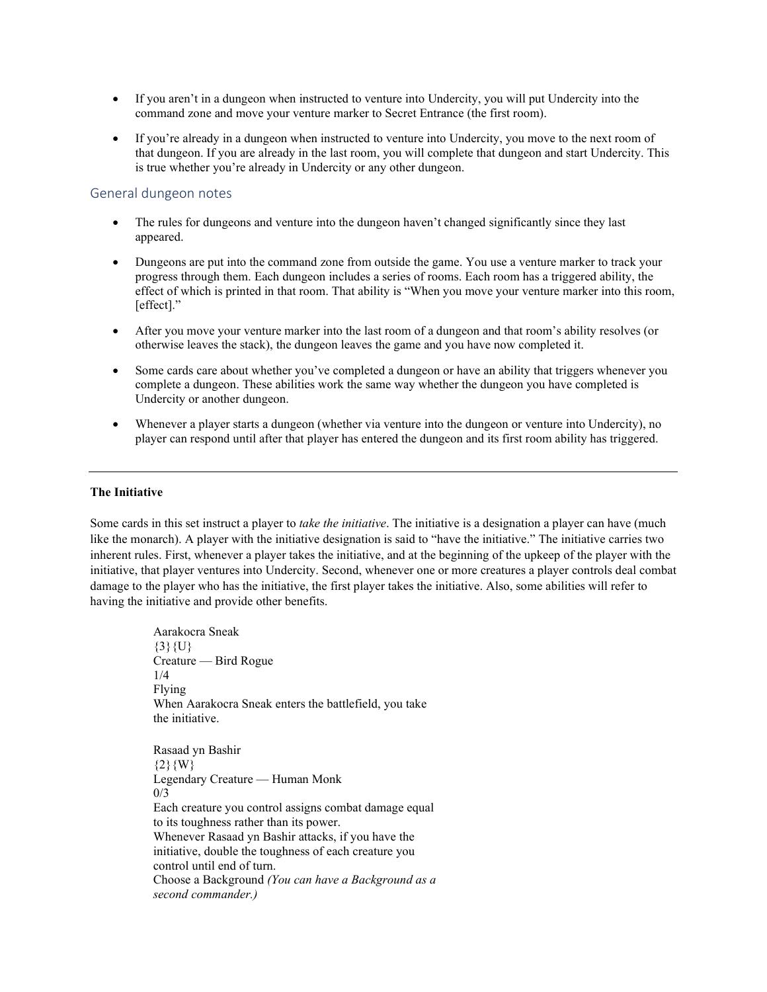- If you aren't in a dungeon when instructed to venture into Undercity, you will put Undercity into the command zone and move your venture marker to Secret Entrance (the first room).
- If you're already in a dungeon when instructed to venture into Undercity, you move to the next room of that dungeon. If you are already in the last room, you will complete that dungeon and start Undercity. This is true whether you're already in Undercity or any other dungeon.

# General dungeon notes

- The rules for dungeons and venture into the dungeon haven't changed significantly since they last appeared.
- Dungeons are put into the command zone from outside the game. You use a venture marker to track your progress through them. Each dungeon includes a series of rooms. Each room has a triggered ability, the effect of which is printed in that room. That ability is "When you move your venture marker into this room, [effect]."
- After you move your venture marker into the last room of a dungeon and that room's ability resolves (or otherwise leaves the stack), the dungeon leaves the game and you have now completed it.
- Some cards care about whether you've completed a dungeon or have an ability that triggers whenever you complete a dungeon. These abilities work the same way whether the dungeon you have completed is Undercity or another dungeon.
- Whenever a player starts a dungeon (whether via venture into the dungeon or venture into Undercity), no player can respond until after that player has entered the dungeon and its first room ability has triggered.

# **The Initiative**

Some cards in this set instruct a player to *take the initiative*. The initiative is a designation a player can have (much like the monarch). A player with the initiative designation is said to "have the initiative." The initiative carries two inherent rules. First, whenever a player takes the initiative, and at the beginning of the upkeep of the player with the initiative, that player ventures into Undercity. Second, whenever one or more creatures a player controls deal combat damage to the player who has the initiative, the first player takes the initiative. Also, some abilities will refer to having the initiative and provide other benefits.

> Aarakocra Sneak  ${3}$ {U} Creature — Bird Rogue 1/4 Flying When Aarakocra Sneak enters the battlefield, you take the initiative. Rasaad yn Bashir  ${2}{W}$ Legendary Creature — Human Monk 0/3 Each creature you control assigns combat damage equal to its toughness rather than its power. Whenever Rasaad yn Bashir attacks, if you have the initiative, double the toughness of each creature you control until end of turn. Choose a Background *(You can have a Background as a second commander.)*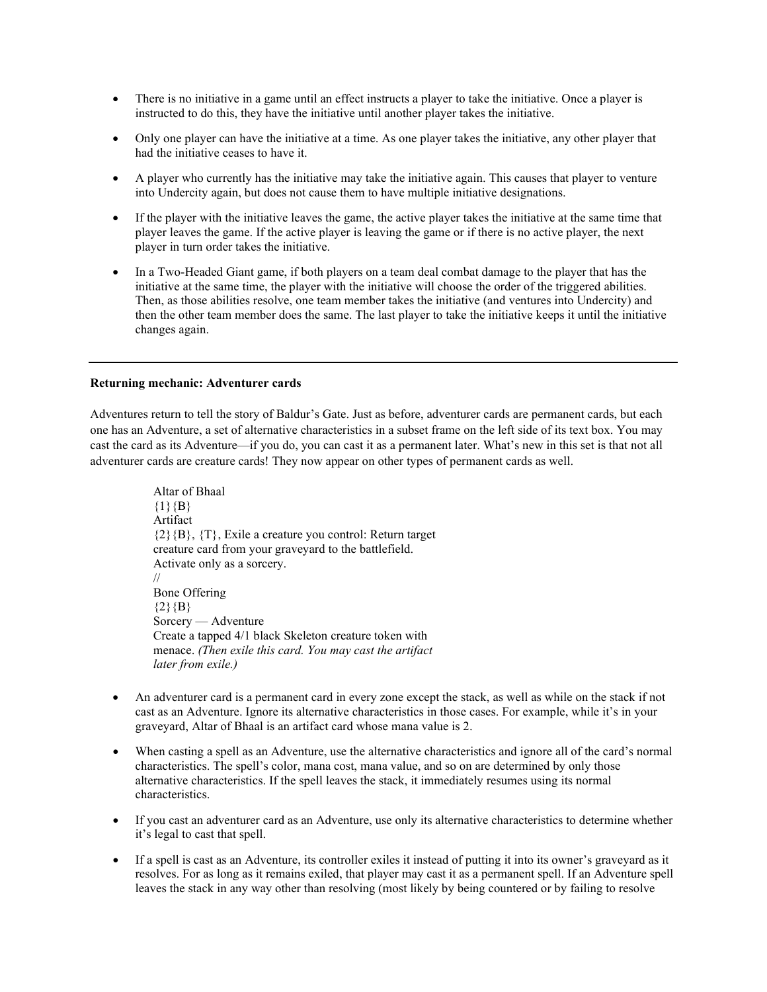- There is no initiative in a game until an effect instructs a player to take the initiative. Once a player is instructed to do this, they have the initiative until another player takes the initiative.
- Only one player can have the initiative at a time. As one player takes the initiative, any other player that had the initiative ceases to have it.
- A player who currently has the initiative may take the initiative again. This causes that player to venture into Undercity again, but does not cause them to have multiple initiative designations.
- If the player with the initiative leaves the game, the active player takes the initiative at the same time that player leaves the game. If the active player is leaving the game or if there is no active player, the next player in turn order takes the initiative.
- In a Two-Headed Giant game, if both players on a team deal combat damage to the player that has the initiative at the same time, the player with the initiative will choose the order of the triggered abilities. Then, as those abilities resolve, one team member takes the initiative (and ventures into Undercity) and then the other team member does the same. The last player to take the initiative keeps it until the initiative changes again.

## **Returning mechanic: Adventurer cards**

Adventures return to tell the story of Baldur's Gate. Just as before, adventurer cards are permanent cards, but each one has an Adventure, a set of alternative characteristics in a subset frame on the left side of its text box. You may cast the card as its Adventure—if you do, you can cast it as a permanent later. What's new in this set is that not all adventurer cards are creature cards! They now appear on other types of permanent cards as well.

> Altar of Bhaal  ${1}{B}$ Artifact  $\{2\}$  $\{B\}$ ,  $\{T\}$ , Exile a creature you control: Return target creature card from your graveyard to the battlefield. Activate only as a sorcery. // Bone Offering  ${2}{B}$ Sorcery — Adventure Create a tapped 4/1 black Skeleton creature token with menace. *(Then exile this card. You may cast the artifact later from exile.)*

- An adventurer card is a permanent card in every zone except the stack, as well as while on the stack if not cast as an Adventure. Ignore its alternative characteristics in those cases. For example, while it's in your graveyard, Altar of Bhaal is an artifact card whose mana value is 2.
- When casting a spell as an Adventure, use the alternative characteristics and ignore all of the card's normal characteristics. The spell's color, mana cost, mana value, and so on are determined by only those alternative characteristics. If the spell leaves the stack, it immediately resumes using its normal characteristics.
- If you cast an adventurer card as an Adventure, use only its alternative characteristics to determine whether it's legal to cast that spell.
- If a spell is cast as an Adventure, its controller exiles it instead of putting it into its owner's graveyard as it resolves. For as long as it remains exiled, that player may cast it as a permanent spell. If an Adventure spell leaves the stack in any way other than resolving (most likely by being countered or by failing to resolve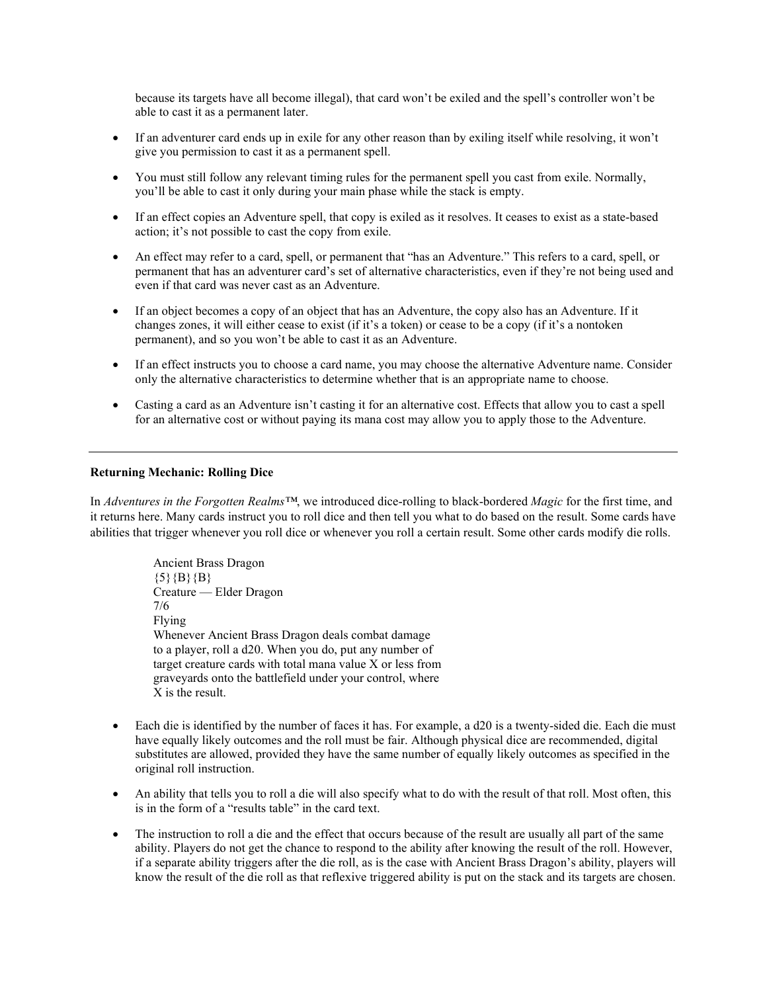because its targets have all become illegal), that card won't be exiled and the spell's controller won't be able to cast it as a permanent later.

- If an adventurer card ends up in exile for any other reason than by exiling itself while resolving, it won't give you permission to cast it as a permanent spell.
- You must still follow any relevant timing rules for the permanent spell you cast from exile. Normally, you'll be able to cast it only during your main phase while the stack is empty.
- If an effect copies an Adventure spell, that copy is exiled as it resolves. It ceases to exist as a state-based action; it's not possible to cast the copy from exile.
- An effect may refer to a card, spell, or permanent that "has an Adventure." This refers to a card, spell, or permanent that has an adventurer card's set of alternative characteristics, even if they're not being used and even if that card was never cast as an Adventure.
- If an object becomes a copy of an object that has an Adventure, the copy also has an Adventure. If it changes zones, it will either cease to exist (if it's a token) or cease to be a copy (if it's a nontoken permanent), and so you won't be able to cast it as an Adventure.
- If an effect instructs you to choose a card name, you may choose the alternative Adventure name. Consider only the alternative characteristics to determine whether that is an appropriate name to choose.
- Casting a card as an Adventure isn't casting it for an alternative cost. Effects that allow you to cast a spell for an alternative cost or without paying its mana cost may allow you to apply those to the Adventure.

#### **Returning Mechanic: Rolling Dice**

In *Adventures in the Forgotten Realms™*, we introduced dice-rolling to black-bordered *Magic* for the first time, and it returns here. Many cards instruct you to roll dice and then tell you what to do based on the result. Some cards have abilities that trigger whenever you roll dice or whenever you roll a certain result. Some other cards modify die rolls.

> Ancient Brass Dragon  $\{5\}$   $\{B\}$   $\{B\}$ Creature — Elder Dragon 7/6 Flying Whenever Ancient Brass Dragon deals combat damage to a player, roll a d20. When you do, put any number of target creature cards with total mana value X or less from graveyards onto the battlefield under your control, where X is the result.

- Each die is identified by the number of faces it has. For example, a d20 is a twenty-sided die. Each die must have equally likely outcomes and the roll must be fair. Although physical dice are recommended, digital substitutes are allowed, provided they have the same number of equally likely outcomes as specified in the original roll instruction.
- An ability that tells you to roll a die will also specify what to do with the result of that roll. Most often, this is in the form of a "results table" in the card text.
- The instruction to roll a die and the effect that occurs because of the result are usually all part of the same ability. Players do not get the chance to respond to the ability after knowing the result of the roll. However, if a separate ability triggers after the die roll, as is the case with Ancient Brass Dragon's ability, players will know the result of the die roll as that reflexive triggered ability is put on the stack and its targets are chosen.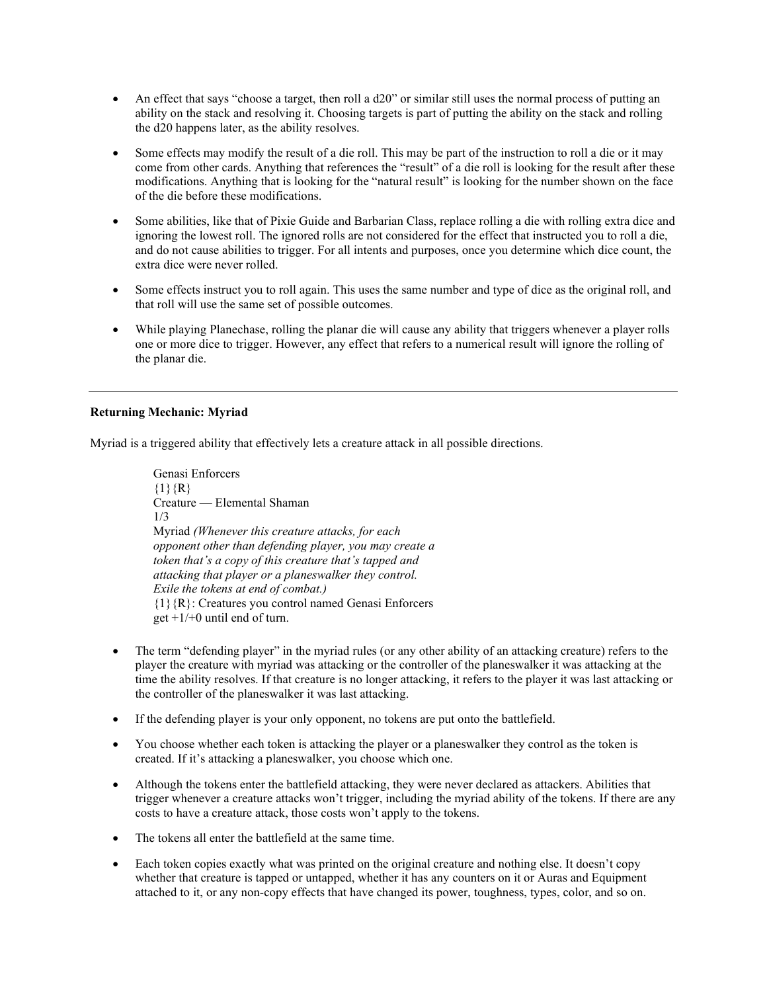- An effect that says "choose a target, then roll a d20" or similar still uses the normal process of putting an ability on the stack and resolving it. Choosing targets is part of putting the ability on the stack and rolling the d20 happens later, as the ability resolves.
- Some effects may modify the result of a die roll. This may be part of the instruction to roll a die or it may come from other cards. Anything that references the "result" of a die roll is looking for the result after these modifications. Anything that is looking for the "natural result" is looking for the number shown on the face of the die before these modifications.
- Some abilities, like that of Pixie Guide and Barbarian Class, replace rolling a die with rolling extra dice and ignoring the lowest roll. The ignored rolls are not considered for the effect that instructed you to roll a die, and do not cause abilities to trigger. For all intents and purposes, once you determine which dice count, the extra dice were never rolled.
- Some effects instruct you to roll again. This uses the same number and type of dice as the original roll, and that roll will use the same set of possible outcomes.
- While playing Planechase, rolling the planar die will cause any ability that triggers whenever a player rolls one or more dice to trigger. However, any effect that refers to a numerical result will ignore the rolling of the planar die.

# **Returning Mechanic: Myriad**

Myriad is a triggered ability that effectively lets a creature attack in all possible directions.

Genasi Enforcers  ${1}$  ${R}$ Creature — Elemental Shaman 1/3 Myriad *(Whenever this creature attacks, for each opponent other than defending player, you may create a token that's a copy of this creature that's tapped and attacking that player or a planeswalker they control. Exile the tokens at end of combat.)* {1}{R}: Creatures you control named Genasi Enforcers get  $+1/+0$  until end of turn.

- The term "defending player" in the myriad rules (or any other ability of an attacking creature) refers to the player the creature with myriad was attacking or the controller of the planeswalker it was attacking at the time the ability resolves. If that creature is no longer attacking, it refers to the player it was last attacking or the controller of the planeswalker it was last attacking.
- If the defending player is your only opponent, no tokens are put onto the battlefield.
- You choose whether each token is attacking the player or a planeswalker they control as the token is created. If it's attacking a planeswalker, you choose which one.
- Although the tokens enter the battlefield attacking, they were never declared as attackers. Abilities that trigger whenever a creature attacks won't trigger, including the myriad ability of the tokens. If there are any costs to have a creature attack, those costs won't apply to the tokens.
- The tokens all enter the battlefield at the same time.
- Each token copies exactly what was printed on the original creature and nothing else. It doesn't copy whether that creature is tapped or untapped, whether it has any counters on it or Auras and Equipment attached to it, or any non-copy effects that have changed its power, toughness, types, color, and so on.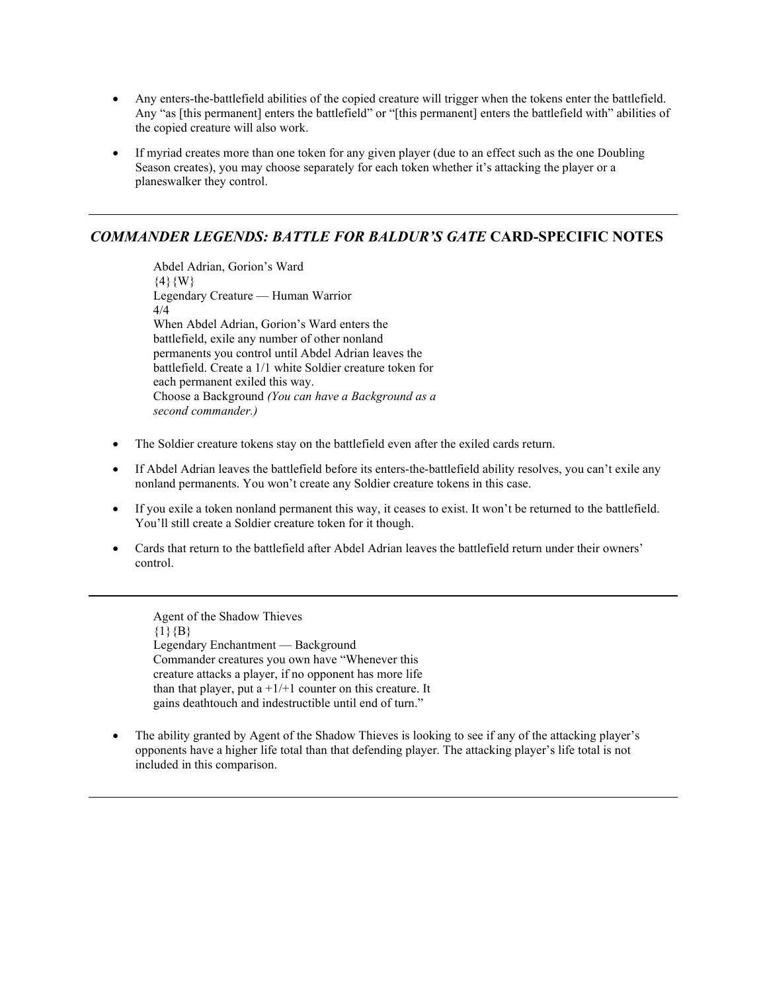- Any enters-the-battlefield abilities of the copied creature will trigger when the tokens enter the battlefield. Any "as [this permanent] enters the battlefield" or "[this permanent] enters the battlefield with" abilities of the copied creature will also work.
- If myriad creates more than one token for any given player (due to an effect such as the one Doubling Season creates), you may choose separately for each token whether it's attacking the player or a planeswalker they control.

# *COMMANDER LEGENDS: BATTLE FOR BALDUR'S GATE* **CARD-SPECIFIC NOTES**

Abdel Adrian, Gorion's Ward  $\{4\}$ {W} Legendary Creature — Human Warrior 4/4 When Abdel Adrian, Gorion's Ward enters the battlefield, exile any number of other nonland permanents you control until Abdel Adrian leaves the battlefield. Create a 1/1 white Soldier creature token for each permanent exiled this way. Choose a Background *(You can have a Background as a second commander.)*

- The Soldier creature tokens stay on the battlefield even after the exiled cards return.
- If Abdel Adrian leaves the battlefield before its enters-the-battlefield ability resolves, you can't exile any nonland permanents. You won't create any Soldier creature tokens in this case.
- If you exile a token nonland permanent this way, it ceases to exist. It won't be returned to the battlefield. You'll still create a Soldier creature token for it though.
- Cards that return to the battlefield after Abdel Adrian leaves the battlefield return under their owners' control.

Agent of the Shadow Thieves  ${1}{B}$ Legendary Enchantment — Background Commander creatures you own have "Whenever this creature attacks a player, if no opponent has more life than that player, put a  $+1/+1$  counter on this creature. It gains deathtouch and indestructible until end of turn."

• The ability granted by Agent of the Shadow Thieves is looking to see if any of the attacking player's opponents have a higher life total than that defending player. The attacking player's life total is not included in this comparison.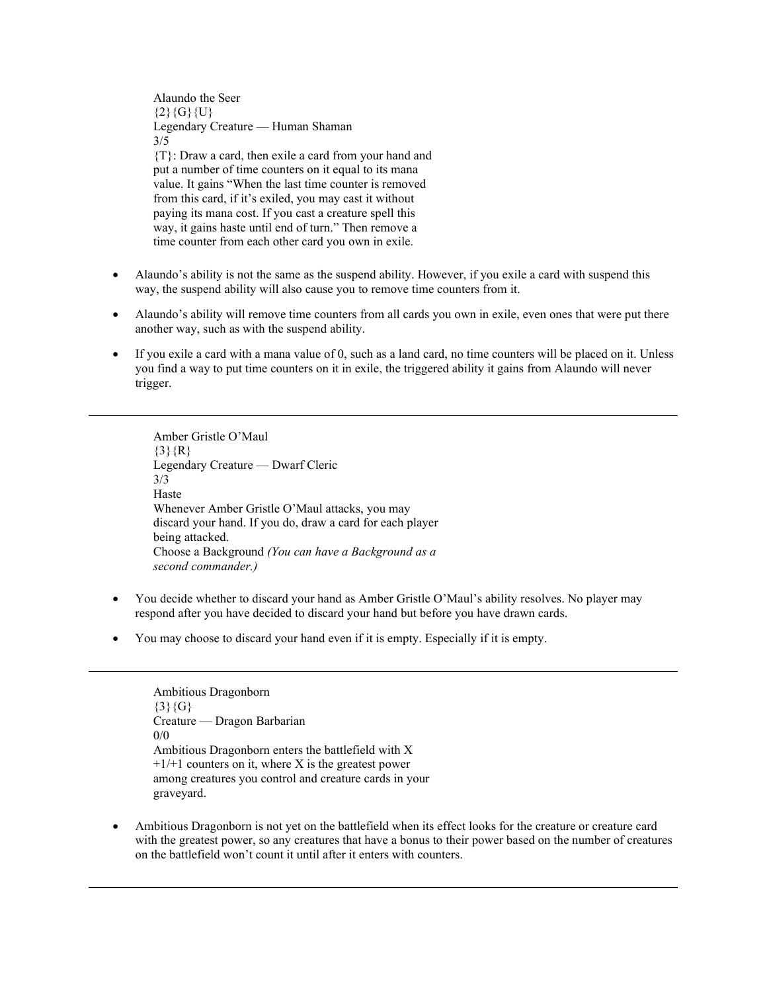Alaundo the Seer  ${2}{G}{G}{U}$ Legendary Creature — Human Shaman 3/5 {T}: Draw a card, then exile a card from your hand and put a number of time counters on it equal to its mana value. It gains "When the last time counter is removed from this card, if it's exiled, you may cast it without paying its mana cost. If you cast a creature spell this way, it gains haste until end of turn." Then remove a time counter from each other card you own in exile.

- Alaundo's ability is not the same as the suspend ability. However, if you exile a card with suspend this way, the suspend ability will also cause you to remove time counters from it.
- Alaundo's ability will remove time counters from all cards you own in exile, even ones that were put there another way, such as with the suspend ability.
- If you exile a card with a mana value of 0, such as a land card, no time counters will be placed on it. Unless you find a way to put time counters on it in exile, the triggered ability it gains from Alaundo will never trigger.

Amber Gristle O'Maul  ${3}{R}$ Legendary Creature — Dwarf Cleric 3/3 Haste Whenever Amber Gristle O'Maul attacks, you may discard your hand. If you do, draw a card for each player being attacked. Choose a Background *(You can have a Background as a second commander.)*

- You decide whether to discard your hand as Amber Gristle O'Maul's ability resolves. No player may respond after you have decided to discard your hand but before you have drawn cards.
- You may choose to discard your hand even if it is empty. Especially if it is empty.

Ambitious Dragonborn  ${3}{G}$ Creature — Dragon Barbarian 0/0 Ambitious Dragonborn enters the battlefield with X  $+1/+1$  counters on it, where X is the greatest power among creatures you control and creature cards in your graveyard.

• Ambitious Dragonborn is not yet on the battlefield when its effect looks for the creature or creature card with the greatest power, so any creatures that have a bonus to their power based on the number of creatures on the battlefield won't count it until after it enters with counters.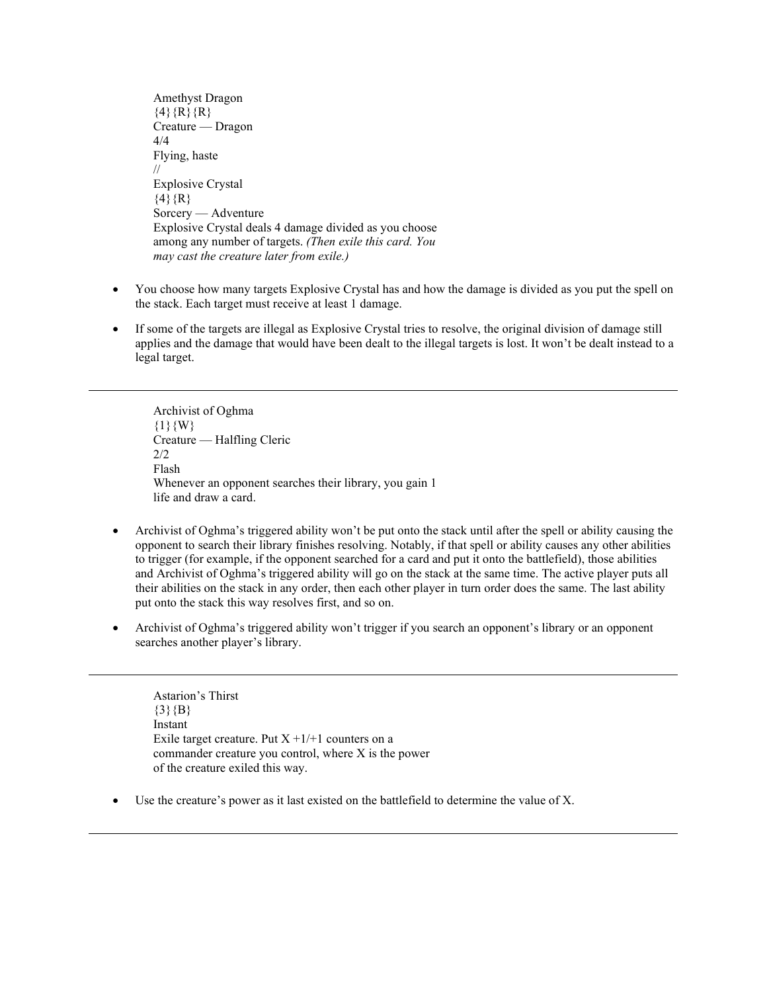Amethyst Dragon  ${4}{R}{R}{R}$ Creature — Dragon 4/4 Flying, haste // Explosive Crystal  $\{4\}$ {R} Sorcery — Adventure Explosive Crystal deals 4 damage divided as you choose among any number of targets. *(Then exile this card. You may cast the creature later from exile.)*

- You choose how many targets Explosive Crystal has and how the damage is divided as you put the spell on the stack. Each target must receive at least 1 damage.
- If some of the targets are illegal as Explosive Crystal tries to resolve, the original division of damage still applies and the damage that would have been dealt to the illegal targets is lost. It won't be dealt instead to a legal target.

Archivist of Oghma  ${1}{W}$ Creature — Halfling Cleric 2/2 Flash Whenever an opponent searches their library, you gain 1 life and draw a card.

- Archivist of Oghma's triggered ability won't be put onto the stack until after the spell or ability causing the opponent to search their library finishes resolving. Notably, if that spell or ability causes any other abilities to trigger (for example, if the opponent searched for a card and put it onto the battlefield), those abilities and Archivist of Oghma's triggered ability will go on the stack at the same time. The active player puts all their abilities on the stack in any order, then each other player in turn order does the same. The last ability put onto the stack this way resolves first, and so on.
- Archivist of Oghma's triggered ability won't trigger if you search an opponent's library or an opponent searches another player's library.

Astarion's Thirst  ${3}{B}$ Instant Exile target creature. Put  $X + 1/+1$  counters on a commander creature you control, where X is the power of the creature exiled this way.

• Use the creature's power as it last existed on the battlefield to determine the value of X.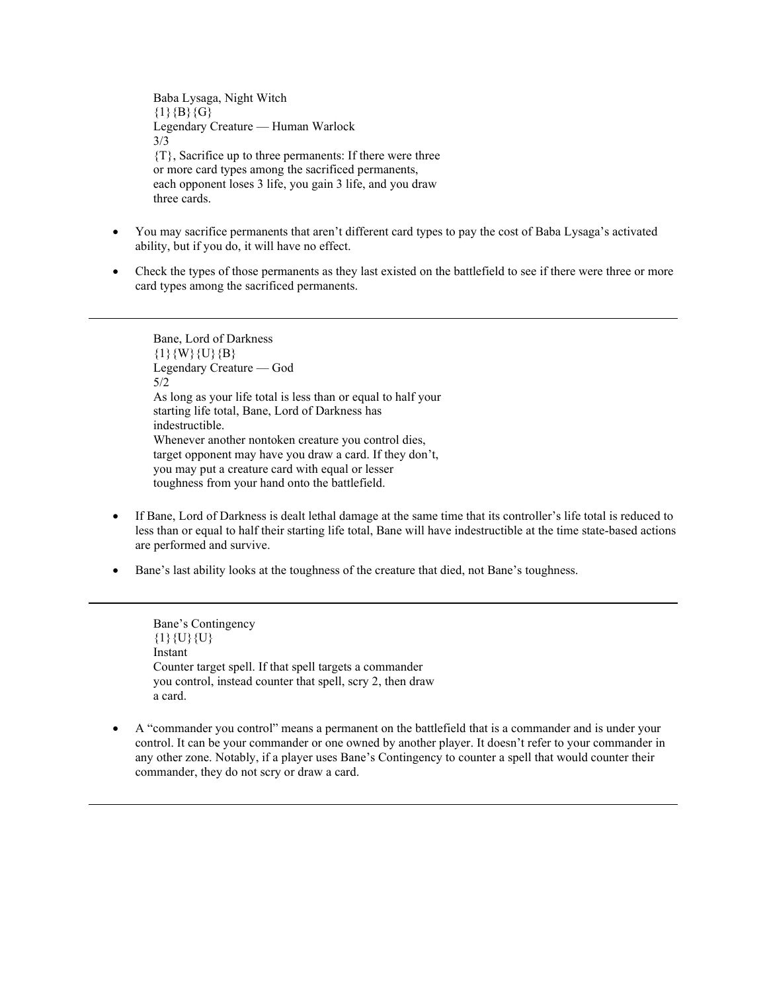Baba Lysaga, Night Witch  ${1}{B}{G}$ Legendary Creature — Human Warlock 3/3 {T}, Sacrifice up to three permanents: If there were three or more card types among the sacrificed permanents, each opponent loses 3 life, you gain 3 life, and you draw three cards.

- You may sacrifice permanents that aren't different card types to pay the cost of Baba Lysaga's activated ability, but if you do, it will have no effect.
- Check the types of those permanents as they last existed on the battlefield to see if there were three or more card types among the sacrificed permanents.

Bane, Lord of Darkness  $\{1\}\{W\}\{U\}\{B\}$ Legendary Creature — God 5/2 As long as your life total is less than or equal to half your starting life total, Bane, Lord of Darkness has indestructible. Whenever another nontoken creature you control dies, target opponent may have you draw a card. If they don't, you may put a creature card with equal or lesser toughness from your hand onto the battlefield.

- If Bane, Lord of Darkness is dealt lethal damage at the same time that its controller's life total is reduced to less than or equal to half their starting life total, Bane will have indestructible at the time state-based actions are performed and survive.
- Bane's last ability looks at the toughness of the creature that died, not Bane's toughness.

Bane's Contingency  $\{1\}$  {U} {U} Instant Counter target spell. If that spell targets a commander you control, instead counter that spell, scry 2, then draw a card.

• A "commander you control" means a permanent on the battlefield that is a commander and is under your control. It can be your commander or one owned by another player. It doesn't refer to your commander in any other zone. Notably, if a player uses Bane's Contingency to counter a spell that would counter their commander, they do not scry or draw a card.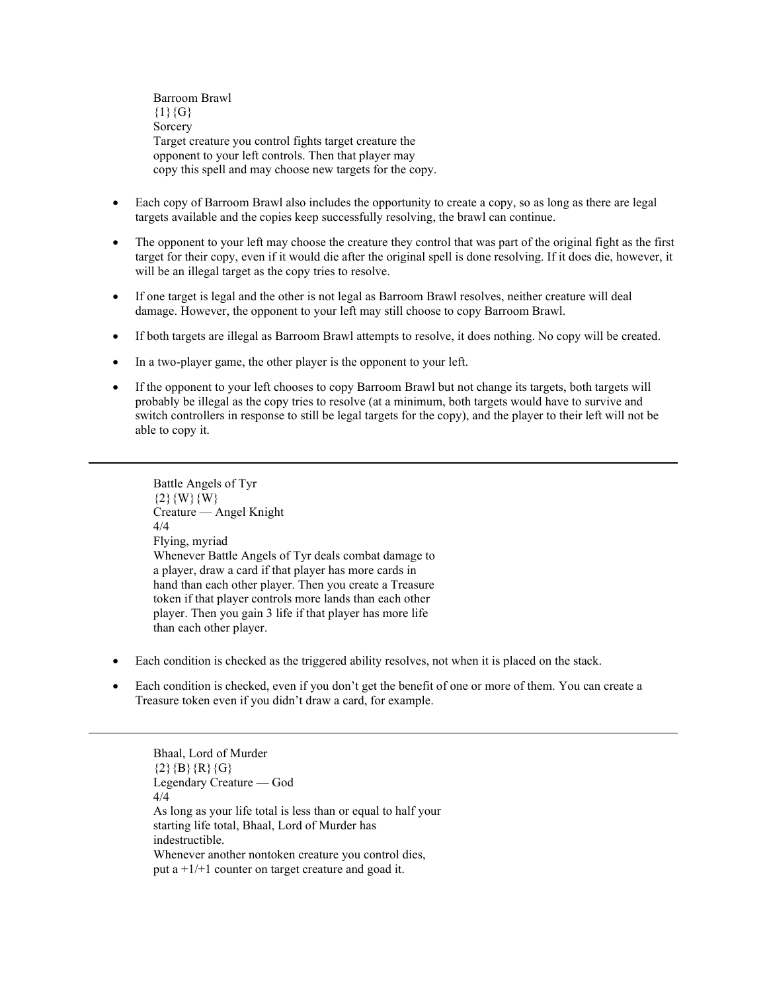Barroom Brawl  ${1}{G}$ **Sorcery** Target creature you control fights target creature the opponent to your left controls. Then that player may copy this spell and may choose new targets for the copy.

- Each copy of Barroom Brawl also includes the opportunity to create a copy, so as long as there are legal targets available and the copies keep successfully resolving, the brawl can continue.
- The opponent to your left may choose the creature they control that was part of the original fight as the first target for their copy, even if it would die after the original spell is done resolving. If it does die, however, it will be an illegal target as the copy tries to resolve.
- If one target is legal and the other is not legal as Barroom Brawl resolves, neither creature will deal damage. However, the opponent to your left may still choose to copy Barroom Brawl.
- If both targets are illegal as Barroom Brawl attempts to resolve, it does nothing. No copy will be created.
- In a two-player game, the other player is the opponent to your left.
- If the opponent to your left chooses to copy Barroom Brawl but not change its targets, both targets will probably be illegal as the copy tries to resolve (at a minimum, both targets would have to survive and switch controllers in response to still be legal targets for the copy), and the player to their left will not be able to copy it.

Battle Angels of Tyr  $\{2\}\{W\}\{W\}$ Creature — Angel Knight 4/4 Flying, myriad Whenever Battle Angels of Tyr deals combat damage to a player, draw a card if that player has more cards in hand than each other player. Then you create a Treasure token if that player controls more lands than each other player. Then you gain 3 life if that player has more life than each other player.

- Each condition is checked as the triggered ability resolves, not when it is placed on the stack.
- Each condition is checked, even if you don't get the benefit of one or more of them. You can create a Treasure token even if you didn't draw a card, for example.

Bhaal, Lord of Murder  $\{2\}$ {B}{R}{G} Legendary Creature — God 4/4 As long as your life total is less than or equal to half your starting life total, Bhaal, Lord of Murder has indestructible. Whenever another nontoken creature you control dies, put a  $+1/+1$  counter on target creature and goad it.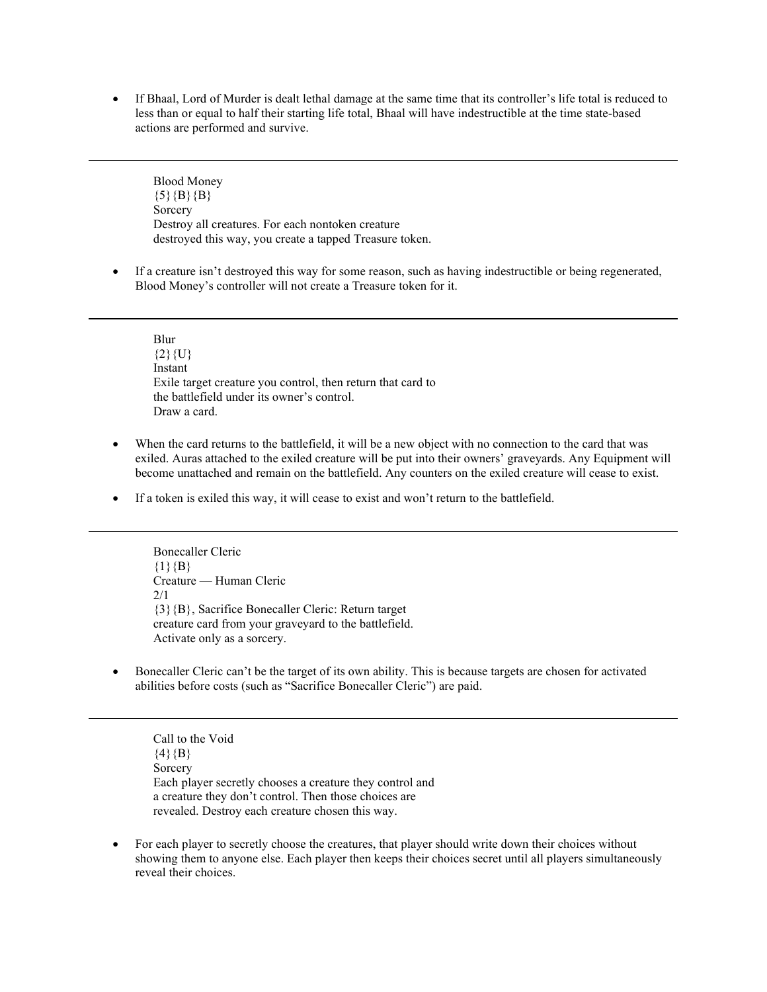• If Bhaal, Lord of Murder is dealt lethal damage at the same time that its controller's life total is reduced to less than or equal to half their starting life total, Bhaal will have indestructible at the time state-based actions are performed and survive.

Blood Money  ${5}{B}{B}$ Sorcery Destroy all creatures. For each nontoken creature destroyed this way, you create a tapped Treasure token.

• If a creature isn't destroyed this way for some reason, such as having indestructible or being regenerated, Blood Money's controller will not create a Treasure token for it.

Blur  ${2}$ {U} Instant Exile target creature you control, then return that card to the battlefield under its owner's control. Draw a card.

- When the card returns to the battlefield, it will be a new object with no connection to the card that was exiled. Auras attached to the exiled creature will be put into their owners' graveyards. Any Equipment will become unattached and remain on the battlefield. Any counters on the exiled creature will cease to exist.
- If a token is exiled this way, it will cease to exist and won't return to the battlefield.

Bonecaller Cleric  ${1}{B}$ Creature — Human Cleric 2/1 {3}{B}, Sacrifice Bonecaller Cleric: Return target creature card from your graveyard to the battlefield. Activate only as a sorcery.

• Bonecaller Cleric can't be the target of its own ability. This is because targets are chosen for activated abilities before costs (such as "Sacrifice Bonecaller Cleric") are paid.

Call to the Void  $\{4\}$  $\{B\}$ Sorcery Each player secretly chooses a creature they control and a creature they don't control. Then those choices are revealed. Destroy each creature chosen this way.

• For each player to secretly choose the creatures, that player should write down their choices without showing them to anyone else. Each player then keeps their choices secret until all players simultaneously reveal their choices.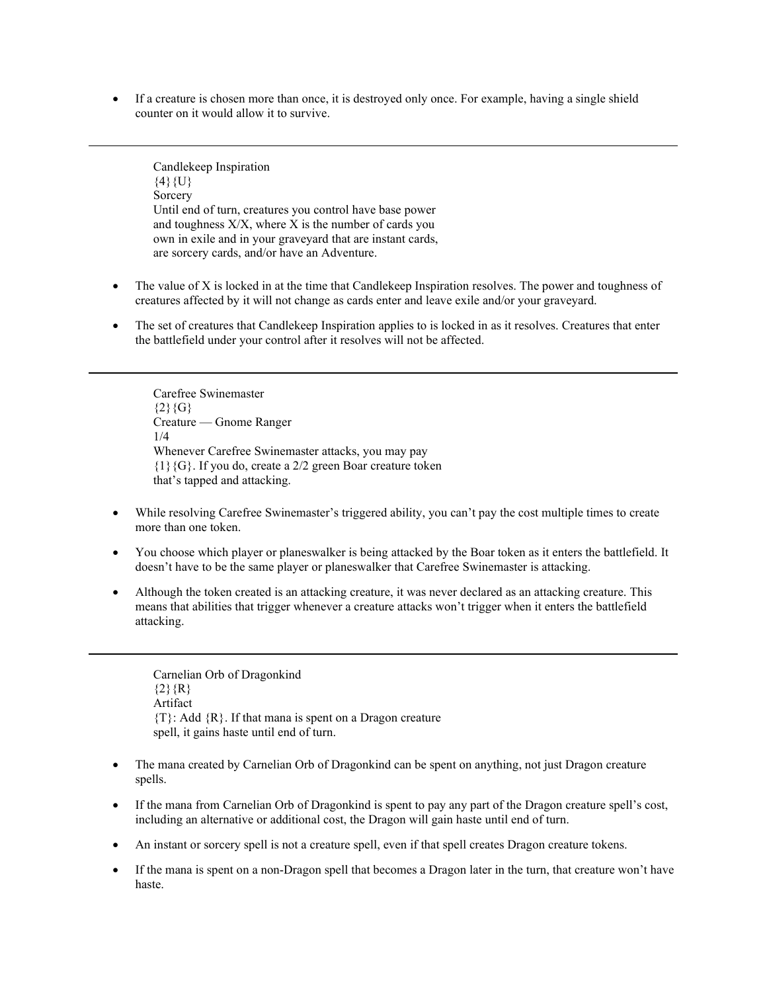• If a creature is chosen more than once, it is destroyed only once. For example, having a single shield counter on it would allow it to survive.

Candlekeep Inspiration  $\{4\}\{U\}$ Sorcery Until end of turn, creatures you control have base power and toughness  $X/X$ , where  $X$  is the number of cards you own in exile and in your graveyard that are instant cards, are sorcery cards, and/or have an Adventure.

- The value of X is locked in at the time that Candlekeep Inspiration resolves. The power and toughness of creatures affected by it will not change as cards enter and leave exile and/or your graveyard.
- The set of creatures that Candlekeep Inspiration applies to is locked in as it resolves. Creatures that enter the battlefield under your control after it resolves will not be affected.

Carefree Swinemaster  ${2}{G}$ Creature — Gnome Ranger 1/4 Whenever Carefree Swinemaster attacks, you may pay {1}{G}. If you do, create a 2/2 green Boar creature token that's tapped and attacking.

- While resolving Carefree Swinemaster's triggered ability, you can't pay the cost multiple times to create more than one token.
- You choose which player or planeswalker is being attacked by the Boar token as it enters the battlefield. It doesn't have to be the same player or planeswalker that Carefree Swinemaster is attacking.
- Although the token created is an attacking creature, it was never declared as an attacking creature. This means that abilities that trigger whenever a creature attacks won't trigger when it enters the battlefield attacking.

Carnelian Orb of Dragonkind  ${2}{R}$ Artifact  ${T}$ : Add  ${R}$ . If that mana is spent on a Dragon creature spell, it gains haste until end of turn.

- The mana created by Carnelian Orb of Dragonkind can be spent on anything, not just Dragon creature spells.
- If the mana from Carnelian Orb of Dragonkind is spent to pay any part of the Dragon creature spell's cost, including an alternative or additional cost, the Dragon will gain haste until end of turn.
- An instant or sorcery spell is not a creature spell, even if that spell creates Dragon creature tokens.
- If the mana is spent on a non-Dragon spell that becomes a Dragon later in the turn, that creature won't have haste.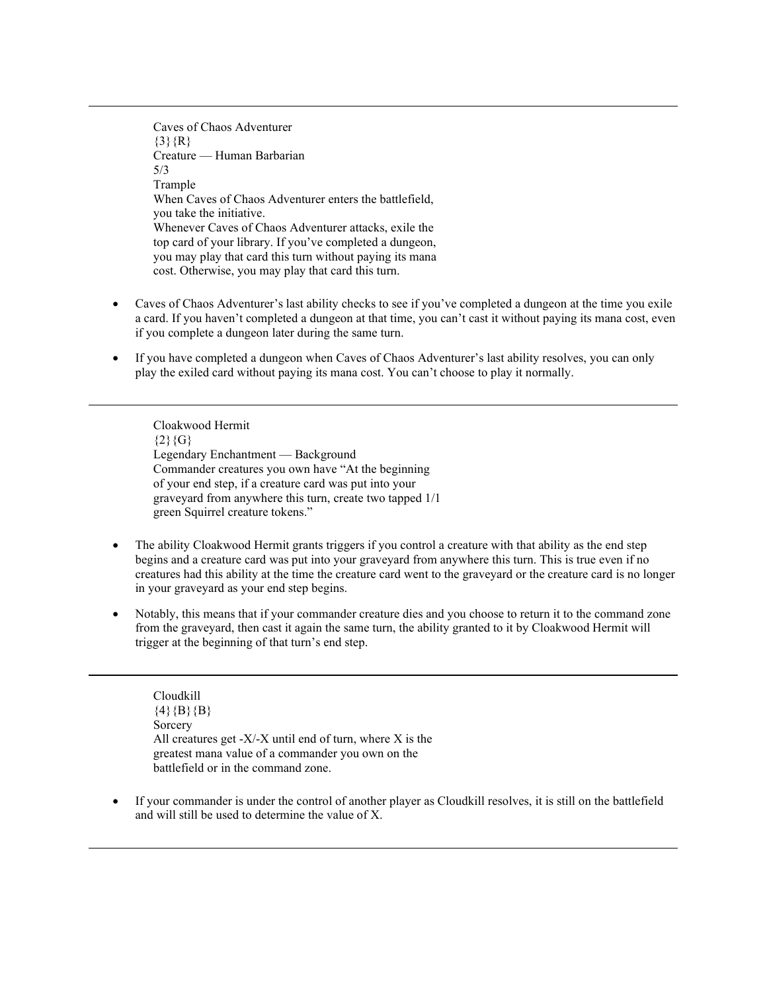Caves of Chaos Adventurer  $\{3\}$  $\{R\}$ Creature — Human Barbarian 5/3 Trample When Caves of Chaos Adventurer enters the battlefield, you take the initiative. Whenever Caves of Chaos Adventurer attacks, exile the top card of your library. If you've completed a dungeon, you may play that card this turn without paying its mana cost. Otherwise, you may play that card this turn.

- Caves of Chaos Adventurer's last ability checks to see if you've completed a dungeon at the time you exile a card. If you haven't completed a dungeon at that time, you can't cast it without paying its mana cost, even if you complete a dungeon later during the same turn.
- If you have completed a dungeon when Caves of Chaos Adventurer's last ability resolves, you can only play the exiled card without paying its mana cost. You can't choose to play it normally.

Cloakwood Hermit  ${2}{G}$ Legendary Enchantment — Background Commander creatures you own have "At the beginning of your end step, if a creature card was put into your graveyard from anywhere this turn, create two tapped 1/1 green Squirrel creature tokens."

- The ability Cloakwood Hermit grants triggers if you control a creature with that ability as the end step begins and a creature card was put into your graveyard from anywhere this turn. This is true even if no creatures had this ability at the time the creature card went to the graveyard or the creature card is no longer in your graveyard as your end step begins.
- Notably, this means that if your commander creature dies and you choose to return it to the command zone from the graveyard, then cast it again the same turn, the ability granted to it by Cloakwood Hermit will trigger at the beginning of that turn's end step.

Cloudkill  $\{4\}$ {B}{B} Sorcery All creatures get - $X$ /- $X$  until end of turn, where  $X$  is the greatest mana value of a commander you own on the battlefield or in the command zone.

• If your commander is under the control of another player as Cloudkill resolves, it is still on the battlefield and will still be used to determine the value of X.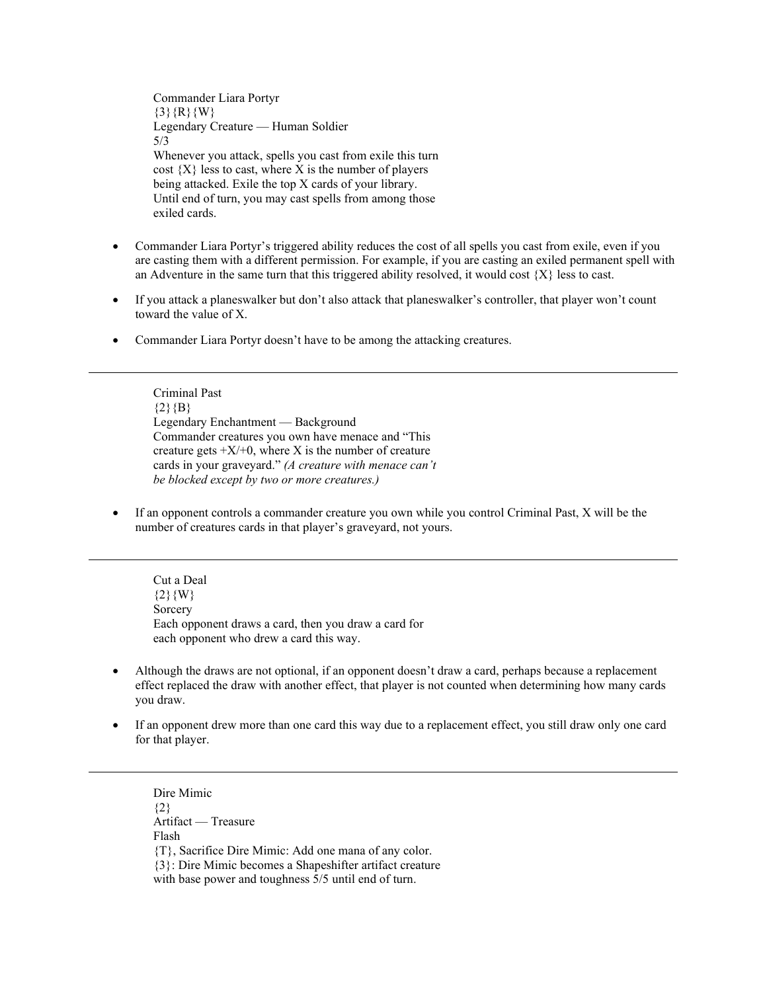Commander Liara Portyr  $\{3\}$ {R}{W} Legendary Creature — Human Soldier 5/3 Whenever you attack, spells you cast from exile this turn cost  $\{X\}$  less to cast, where X is the number of players being attacked. Exile the top X cards of your library. Until end of turn, you may cast spells from among those exiled cards.

- Commander Liara Portyr's triggered ability reduces the cost of all spells you cast from exile, even if you are casting them with a different permission. For example, if you are casting an exiled permanent spell with an Adventure in the same turn that this triggered ability resolved, it would cost  $\{X\}$  less to cast.
- If you attack a planeswalker but don't also attack that planeswalker's controller, that player won't count toward the value of X.
- Commander Liara Portyr doesn't have to be among the attacking creatures.

Criminal Past  ${2}{B}$ Legendary Enchantment — Background Commander creatures you own have menace and "This creature gets  $+X/+0$ , where X is the number of creature cards in your graveyard." *(A creature with menace can't be blocked except by two or more creatures.)*

• If an opponent controls a commander creature you own while you control Criminal Past, X will be the number of creatures cards in that player's graveyard, not yours.

Cut a Deal  ${2}$ {W} Sorcery Each opponent draws a card, then you draw a card for each opponent who drew a card this way.

- Although the draws are not optional, if an opponent doesn't draw a card, perhaps because a replacement effect replaced the draw with another effect, that player is not counted when determining how many cards you draw.
- If an opponent drew more than one card this way due to a replacement effect, you still draw only one card for that player.

Dire Mimic  ${2}$ Artifact — Treasure Flash {T}, Sacrifice Dire Mimic: Add one mana of any color. {3}: Dire Mimic becomes a Shapeshifter artifact creature with base power and toughness 5/5 until end of turn.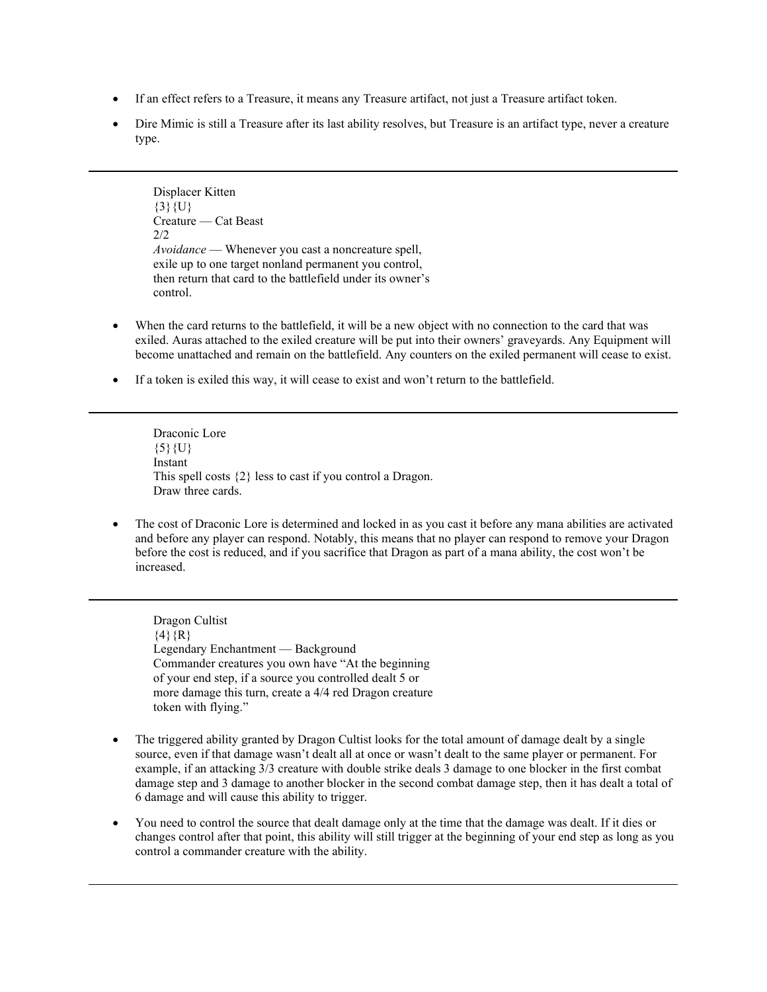- If an effect refers to a Treasure, it means any Treasure artifact, not just a Treasure artifact token.
- Dire Mimic is still a Treasure after its last ability resolves, but Treasure is an artifact type, never a creature type.

Displacer Kitten  ${3}{U}$ Creature — Cat Beast 2/2 *Avoidance* — Whenever you cast a noncreature spell, exile up to one target nonland permanent you control, then return that card to the battlefield under its owner's control.

- When the card returns to the battlefield, it will be a new object with no connection to the card that was exiled. Auras attached to the exiled creature will be put into their owners' graveyards. Any Equipment will become unattached and remain on the battlefield. Any counters on the exiled permanent will cease to exist.
- If a token is exiled this way, it will cease to exist and won't return to the battlefield.

Draconic Lore  ${5}$ {U} Instant This spell costs {2} less to cast if you control a Dragon. Draw three cards.

• The cost of Draconic Lore is determined and locked in as you cast it before any mana abilities are activated and before any player can respond. Notably, this means that no player can respond to remove your Dragon before the cost is reduced, and if you sacrifice that Dragon as part of a mana ability, the cost won't be increased.

Dragon Cultist  $\{4\}$ {R} Legendary Enchantment — Background Commander creatures you own have "At the beginning of your end step, if a source you controlled dealt 5 or more damage this turn, create a 4/4 red Dragon creature token with flying."

- The triggered ability granted by Dragon Cultist looks for the total amount of damage dealt by a single source, even if that damage wasn't dealt all at once or wasn't dealt to the same player or permanent. For example, if an attacking 3/3 creature with double strike deals 3 damage to one blocker in the first combat damage step and 3 damage to another blocker in the second combat damage step, then it has dealt a total of 6 damage and will cause this ability to trigger.
- You need to control the source that dealt damage only at the time that the damage was dealt. If it dies or changes control after that point, this ability will still trigger at the beginning of your end step as long as you control a commander creature with the ability.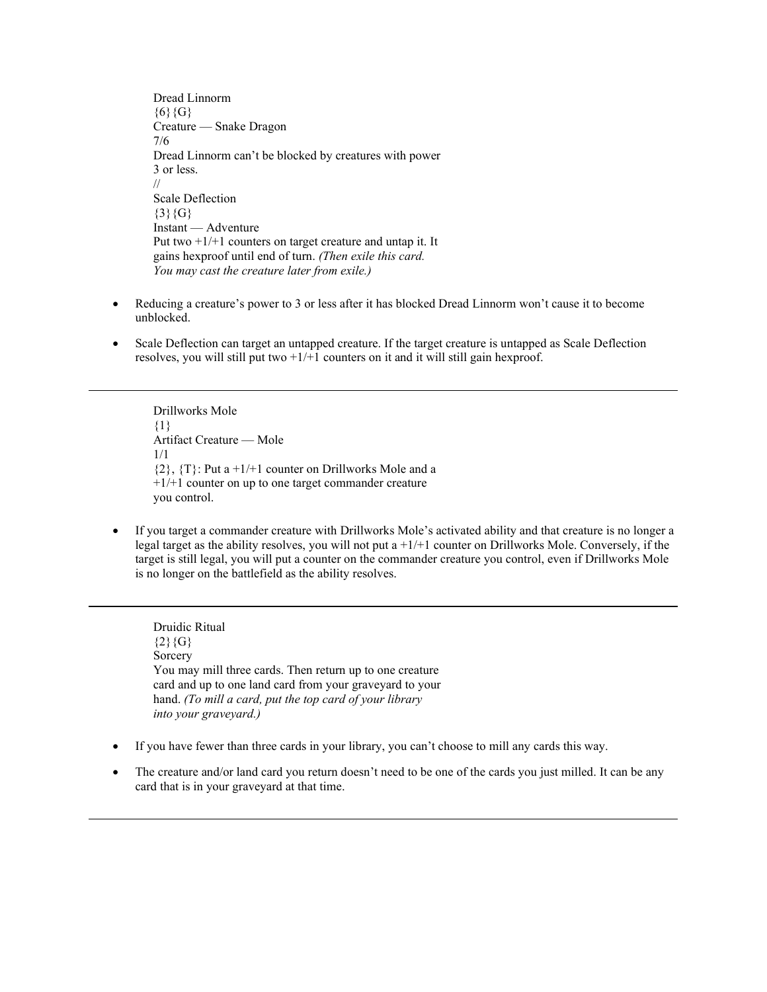Dread Linnorm  ${6}{6}$ Creature — Snake Dragon 7/6 Dread Linnorm can't be blocked by creatures with power 3 or less. // Scale Deflection  ${3}{G}$ Instant — Adventure Put two +1/+1 counters on target creature and untap it. It gains hexproof until end of turn. *(Then exile this card. You may cast the creature later from exile.)*

- Reducing a creature's power to 3 or less after it has blocked Dread Linnorm won't cause it to become unblocked.
- Scale Deflection can target an untapped creature. If the target creature is untapped as Scale Deflection resolves, you will still put two  $+1/+1$  counters on it and it will still gain hexproof.

Drillworks Mole {1} Artifact Creature — Mole 1/1  $\{2\}, \{T\}$ : Put a +1/+1 counter on Drillworks Mole and a +1/+1 counter on up to one target commander creature you control.

• If you target a commander creature with Drillworks Mole's activated ability and that creature is no longer a legal target as the ability resolves, you will not put a +1/+1 counter on Drillworks Mole. Conversely, if the target is still legal, you will put a counter on the commander creature you control, even if Drillworks Mole is no longer on the battlefield as the ability resolves.

Druidic Ritual  ${2}{G}$ Sorcery You may mill three cards. Then return up to one creature card and up to one land card from your graveyard to your hand. *(To mill a card, put the top card of your library into your graveyard.)*

- If you have fewer than three cards in your library, you can't choose to mill any cards this way.
- The creature and/or land card you return doesn't need to be one of the cards you just milled. It can be any card that is in your graveyard at that time.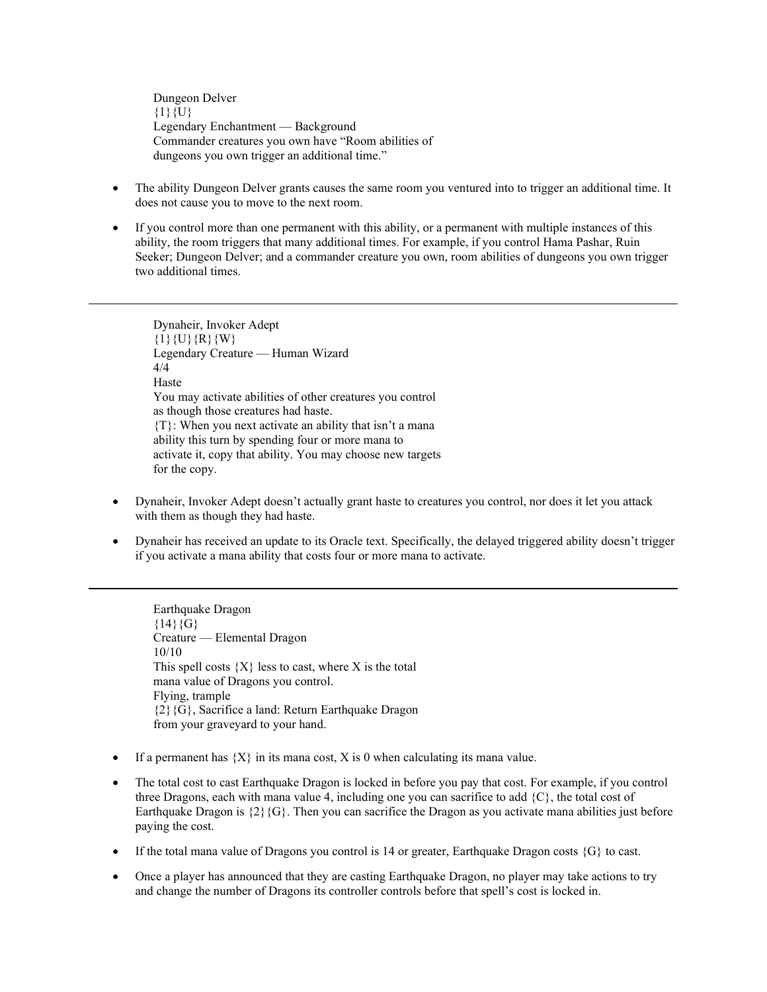Dungeon Delver  ${1}$  ${U}$ Legendary Enchantment — Background Commander creatures you own have "Room abilities of dungeons you own trigger an additional time."

- The ability Dungeon Delver grants causes the same room you ventured into to trigger an additional time. It does not cause you to move to the next room.
- If you control more than one permanent with this ability, or a permanent with multiple instances of this ability, the room triggers that many additional times. For example, if you control Hama Pashar, Ruin Seeker; Dungeon Delver; and a commander creature you own, room abilities of dungeons you own trigger two additional times.

Dynaheir, Invoker Adept  ${1}{U}{W}$ Legendary Creature — Human Wizard 4/4 Haste You may activate abilities of other creatures you control as though those creatures had haste. {T}: When you next activate an ability that isn't a mana ability this turn by spending four or more mana to activate it, copy that ability. You may choose new targets for the copy.

- Dynaheir, Invoker Adept doesn't actually grant haste to creatures you control, nor does it let you attack with them as though they had haste.
- Dynaheir has received an update to its Oracle text. Specifically, the delayed triggered ability doesn't trigger if you activate a mana ability that costs four or more mana to activate.

Earthquake Dragon  ${14}{G}$ Creature — Elemental Dragon 10/10 This spell costs  ${X}$  less to cast, where X is the total mana value of Dragons you control. Flying, trample {2}{G}, Sacrifice a land: Return Earthquake Dragon from your graveyard to your hand.

- If a permanent has  $\{X\}$  in its mana cost, X is 0 when calculating its mana value.
- The total cost to cast Earthquake Dragon is locked in before you pay that cost. For example, if you control three Dragons, each with mana value 4, including one you can sacrifice to add  $\{C\}$ , the total cost of Earthquake Dragon is  $\{2\}$   $\{G\}$ . Then you can sacrifice the Dragon as you activate mana abilities just before paying the cost.
- If the total mana value of Dragons you control is 14 or greater, Earthquake Dragon costs  $\{G\}$  to cast.
- Once a player has announced that they are casting Earthquake Dragon, no player may take actions to try and change the number of Dragons its controller controls before that spell's cost is locked in.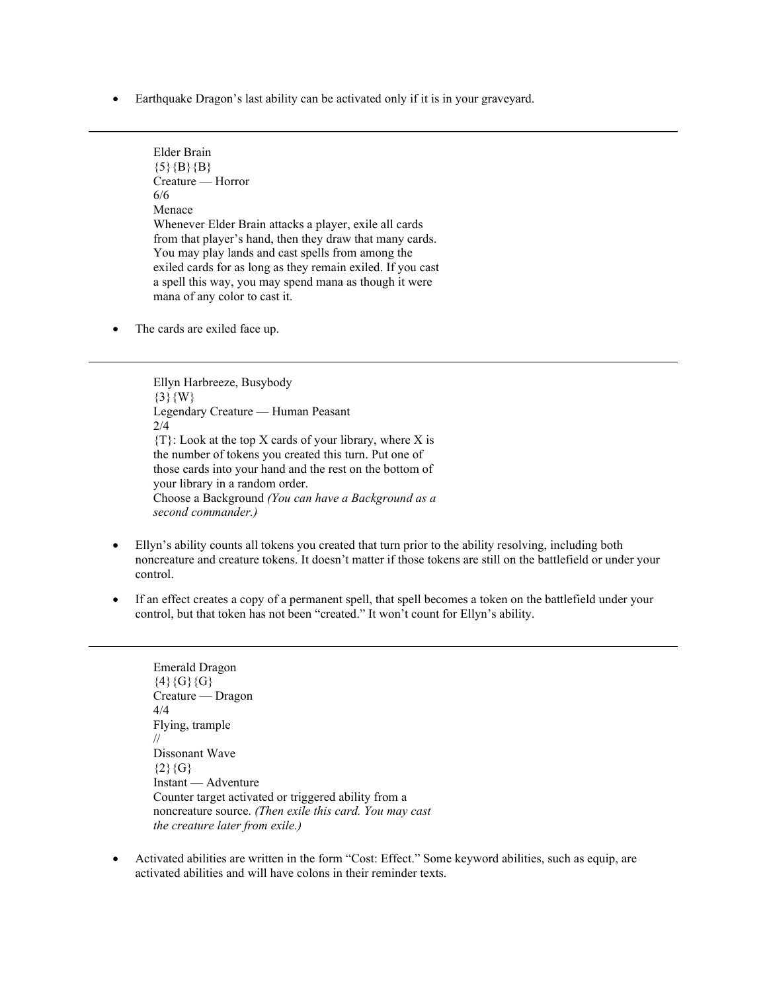• Earthquake Dragon's last ability can be activated only if it is in your graveyard.

Elder Brain  ${5}{B}{B}$ Creature — Horror 6/6 Menace Whenever Elder Brain attacks a player, exile all cards from that player's hand, then they draw that many cards. You may play lands and cast spells from among the exiled cards for as long as they remain exiled. If you cast a spell this way, you may spend mana as though it were mana of any color to cast it.

• The cards are exiled face up.

Ellyn Harbreeze, Busybody  $\{3\}$ {W} Legendary Creature — Human Peasant 2/4 {T}: Look at the top X cards of your library, where X is the number of tokens you created this turn. Put one of those cards into your hand and the rest on the bottom of your library in a random order. Choose a Background *(You can have a Background as a second commander.)*

- Ellyn's ability counts all tokens you created that turn prior to the ability resolving, including both noncreature and creature tokens. It doesn't matter if those tokens are still on the battlefield or under your control.
- If an effect creates a copy of a permanent spell, that spell becomes a token on the battlefield under your control, but that token has not been "created." It won't count for Ellyn's ability.

Emerald Dragon  $\{4\}$ {G}{G}} Creature — Dragon 4/4 Flying, trample // Dissonant Wave  ${2}{G}$ Instant — Adventure Counter target activated or triggered ability from a noncreature source. *(Then exile this card. You may cast the creature later from exile.)*

• Activated abilities are written in the form "Cost: Effect." Some keyword abilities, such as equip, are activated abilities and will have colons in their reminder texts.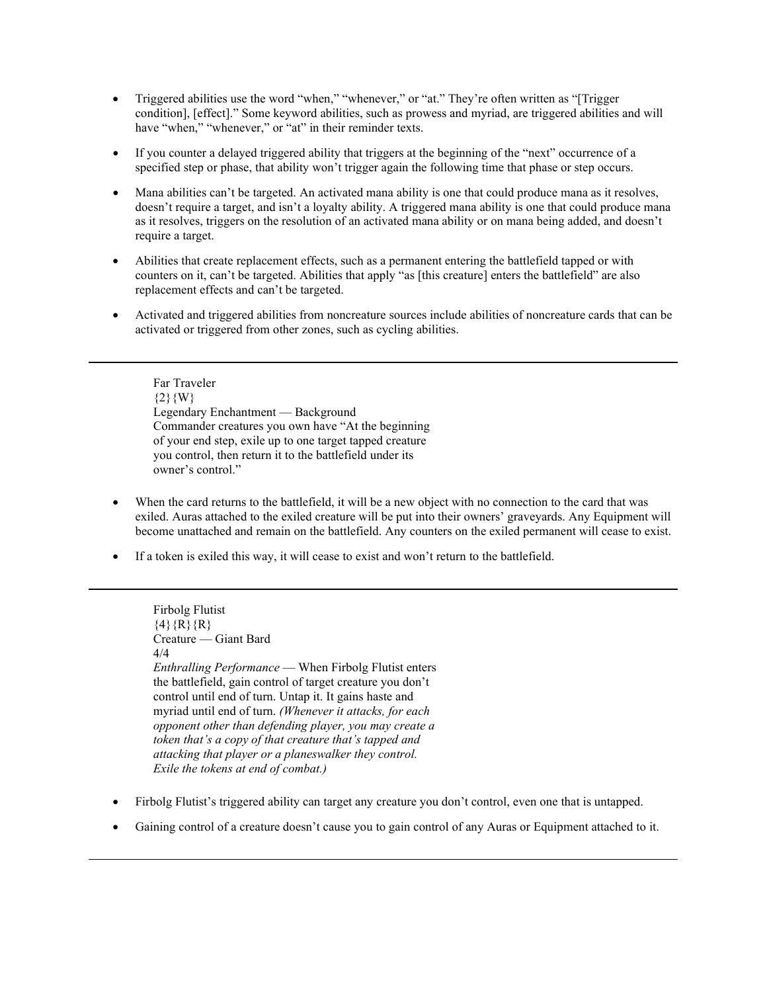- Triggered abilities use the word "when," "whenever," or "at." They're often written as "[Trigger condition], [effect]." Some keyword abilities, such as prowess and myriad, are triggered abilities and will have "when," "whenever," or "at" in their reminder texts.
- If you counter a delayed triggered ability that triggers at the beginning of the "next" occurrence of a specified step or phase, that ability won't trigger again the following time that phase or step occurs.
- Mana abilities can't be targeted. An activated mana ability is one that could produce mana as it resolves, doesn't require a target, and isn't a loyalty ability. A triggered mana ability is one that could produce mana as it resolves, triggers on the resolution of an activated mana ability or on mana being added, and doesn't require a target.
- Abilities that create replacement effects, such as a permanent entering the battlefield tapped or with counters on it, can't be targeted. Abilities that apply "as [this creature] enters the battlefield" are also replacement effects and can't be targeted.
- Activated and triggered abilities from noncreature sources include abilities of noncreature cards that can be activated or triggered from other zones, such as cycling abilities.

Far Traveler  $\{2\}\{W\}$ Legendary Enchantment — Background Commander creatures you own have "At the beginning of your end step, exile up to one target tapped creature you control, then return it to the battlefield under its owner's control."

- When the card returns to the battlefield, it will be a new object with no connection to the card that was exiled. Auras attached to the exiled creature will be put into their owners' graveyards. Any Equipment will become unattached and remain on the battlefield. Any counters on the exiled permanent will cease to exist.
- If a token is exiled this way, it will cease to exist and won't return to the battlefield.

Firbolg Flutist  $\{4\}$ {R}{R} Creature — Giant Bard 4/4 *Enthralling Performance* — When Firbolg Flutist enters the battlefield, gain control of target creature you don't control until end of turn. Untap it. It gains haste and myriad until end of turn. *(Whenever it attacks, for each opponent other than defending player, you may create a token that's a copy of that creature that's tapped and attacking that player or a planeswalker they control. Exile the tokens at end of combat.)*

- Firbolg Flutist's triggered ability can target any creature you don't control, even one that is untapped.
- Gaining control of a creature doesn't cause you to gain control of any Auras or Equipment attached to it.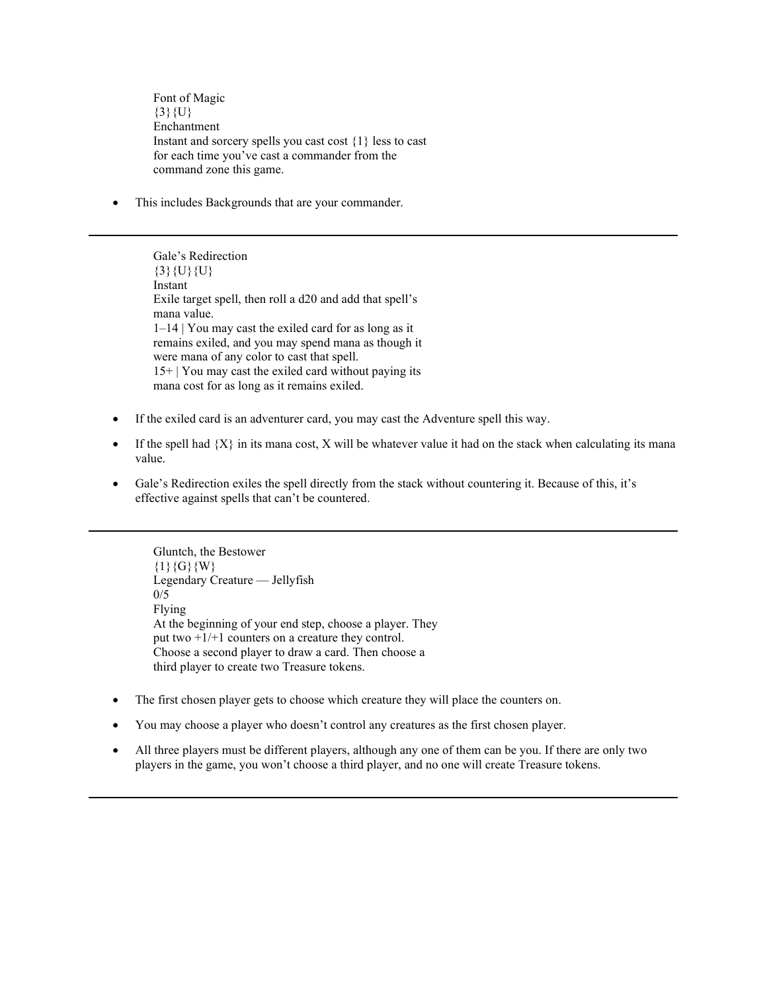Font of Magic  $\{3\}\{U\}$ Enchantment Instant and sorcery spells you cast cost {1} less to cast for each time you've cast a commander from the command zone this game.

This includes Backgrounds that are your commander.

Gale's Redirection  $\{3\}\{U\}\{U\}$ Instant Exile target spell, then roll a d20 and add that spell's mana value. 1–14 | You may cast the exiled card for as long as it remains exiled, and you may spend mana as though it were mana of any color to cast that spell. 15+ | You may cast the exiled card without paying its mana cost for as long as it remains exiled.

- If the exiled card is an adventurer card, you may cast the Adventure spell this way.
- If the spell had  ${X}$  in its mana cost, X will be whatever value it had on the stack when calculating its mana value.
- Gale's Redirection exiles the spell directly from the stack without countering it. Because of this, it's effective against spells that can't be countered.

Gluntch, the Bestower  ${1}{G}{W}$ Legendary Creature — Jellyfish  $0/5$ Flying At the beginning of your end step, choose a player. They put two +1/+1 counters on a creature they control. Choose a second player to draw a card. Then choose a third player to create two Treasure tokens.

- The first chosen player gets to choose which creature they will place the counters on.
- You may choose a player who doesn't control any creatures as the first chosen player.
- All three players must be different players, although any one of them can be you. If there are only two players in the game, you won't choose a third player, and no one will create Treasure tokens.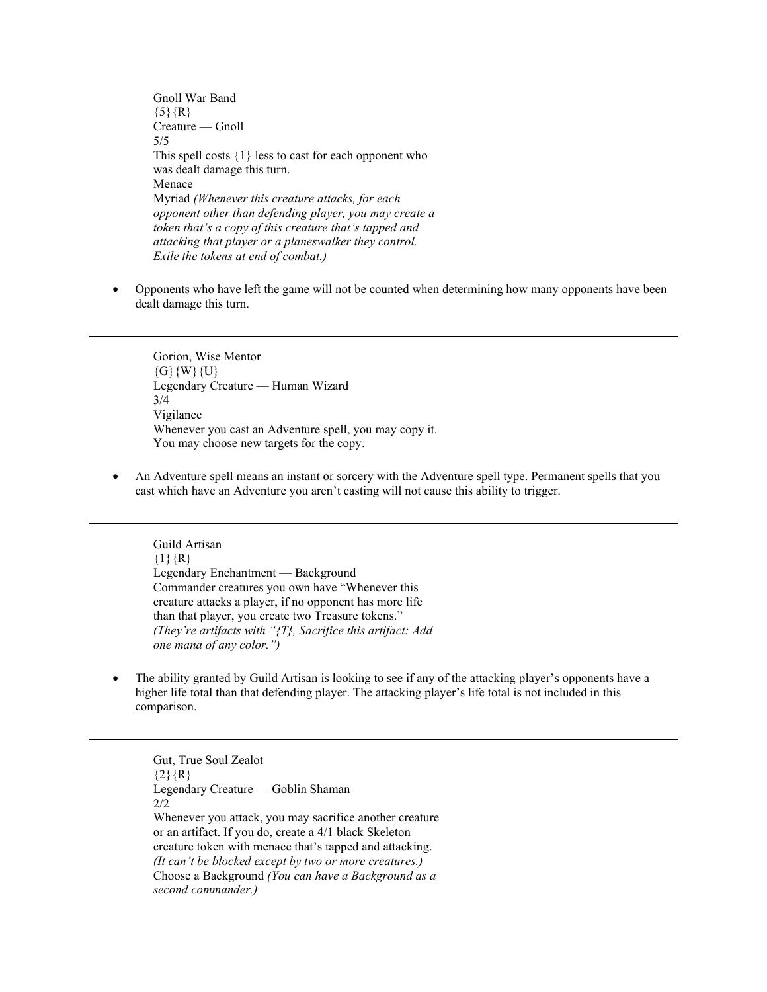Gnoll War Band  ${5}$  ${R}$ Creature — Gnoll 5/5 This spell costs  $\{1\}$  less to cast for each opponent who was dealt damage this turn. Menace Myriad *(Whenever this creature attacks, for each opponent other than defending player, you may create a token that's a copy of this creature that's tapped and attacking that player or a planeswalker they control. Exile the tokens at end of combat.)*

• Opponents who have left the game will not be counted when determining how many opponents have been dealt damage this turn.

Gorion, Wise Mentor  ${G}$ {W}{U} Legendary Creature — Human Wizard 3/4 Vigilance Whenever you cast an Adventure spell, you may copy it. You may choose new targets for the copy.

• An Adventure spell means an instant or sorcery with the Adventure spell type. Permanent spells that you cast which have an Adventure you aren't casting will not cause this ability to trigger.

Guild Artisan  ${1}{R}$ Legendary Enchantment — Background Commander creatures you own have "Whenever this creature attacks a player, if no opponent has more life than that player, you create two Treasure tokens." *(They're artifacts with "{T}, Sacrifice this artifact: Add one mana of any color.")*

• The ability granted by Guild Artisan is looking to see if any of the attacking player's opponents have a higher life total than that defending player. The attacking player's life total is not included in this comparison.

Gut, True Soul Zealot  ${2}$ {R} Legendary Creature — Goblin Shaman 2/2 Whenever you attack, you may sacrifice another creature or an artifact. If you do, create a 4/1 black Skeleton creature token with menace that's tapped and attacking. *(It can't be blocked except by two or more creatures.)* Choose a Background *(You can have a Background as a second commander.)*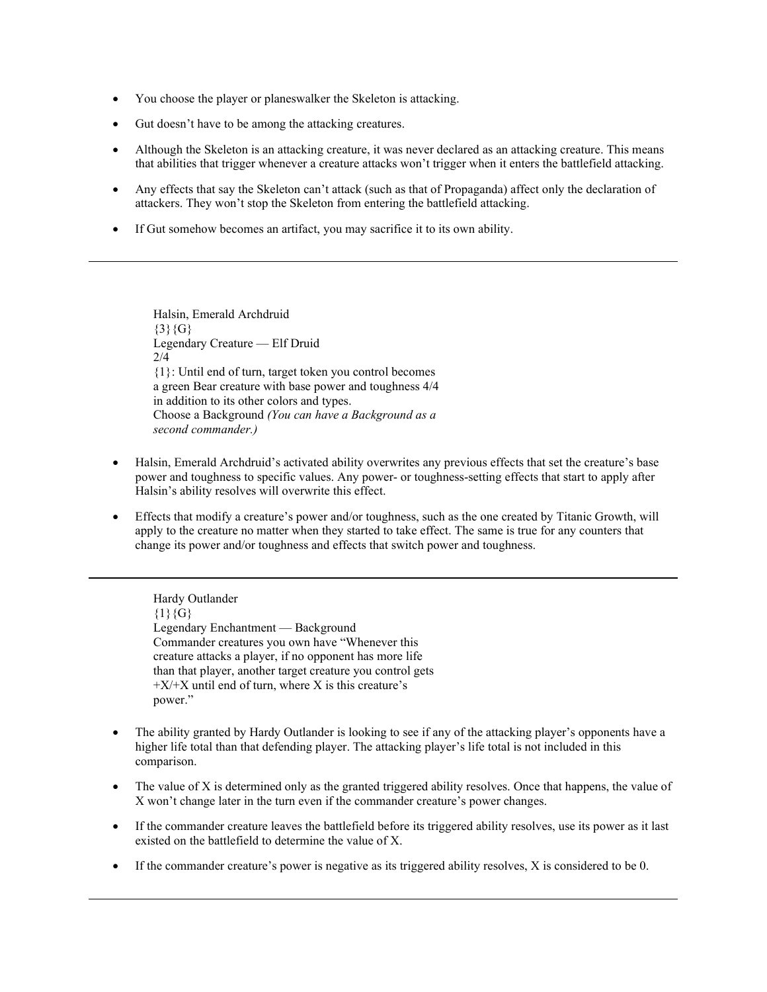- You choose the player or planeswalker the Skeleton is attacking.
- Gut doesn't have to be among the attacking creatures.
- Although the Skeleton is an attacking creature, it was never declared as an attacking creature. This means that abilities that trigger whenever a creature attacks won't trigger when it enters the battlefield attacking.
- Any effects that say the Skeleton can't attack (such as that of Propaganda) affect only the declaration of attackers. They won't stop the Skeleton from entering the battlefield attacking.
- If Gut somehow becomes an artifact, you may sacrifice it to its own ability.

Halsin, Emerald Archdruid  ${3}{G}$ Legendary Creature — Elf Druid 2/4 {1}: Until end of turn, target token you control becomes a green Bear creature with base power and toughness 4/4 in addition to its other colors and types. Choose a Background *(You can have a Background as a second commander.)*

- Halsin, Emerald Archdruid's activated ability overwrites any previous effects that set the creature's base power and toughness to specific values. Any power- or toughness-setting effects that start to apply after Halsin's ability resolves will overwrite this effect.
- Effects that modify a creature's power and/or toughness, such as the one created by Titanic Growth, will apply to the creature no matter when they started to take effect. The same is true for any counters that change its power and/or toughness and effects that switch power and toughness.

Hardy Outlander  ${1}{G}$ Legendary Enchantment — Background Commander creatures you own have "Whenever this creature attacks a player, if no opponent has more life than that player, another target creature you control gets  $+X/+X$  until end of turn, where X is this creature's power."

- The ability granted by Hardy Outlander is looking to see if any of the attacking player's opponents have a higher life total than that defending player. The attacking player's life total is not included in this comparison.
- The value of X is determined only as the granted triggered ability resolves. Once that happens, the value of X won't change later in the turn even if the commander creature's power changes.
- If the commander creature leaves the battlefield before its triggered ability resolves, use its power as it last existed on the battlefield to determine the value of X.
- If the commander creature's power is negative as its triggered ability resolves, X is considered to be 0.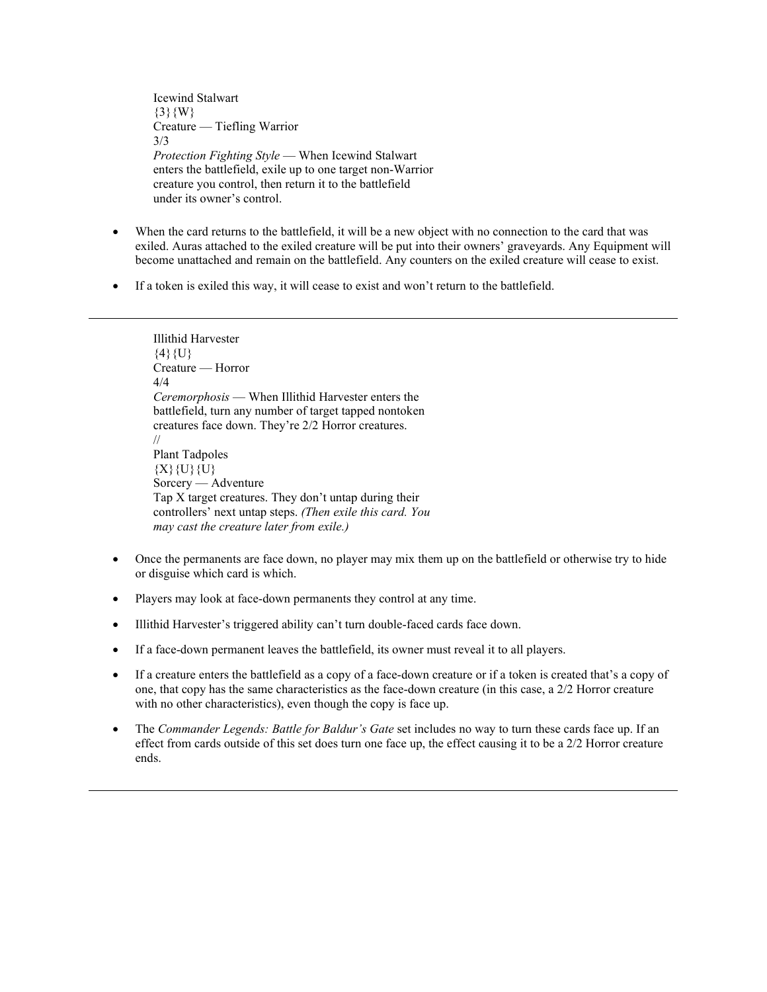Icewind Stalwart  ${3}{W}$ Creature — Tiefling Warrior 3/3 *Protection Fighting Style* — When Icewind Stalwart enters the battlefield, exile up to one target non-Warrior creature you control, then return it to the battlefield under its owner's control.

- When the card returns to the battlefield, it will be a new object with no connection to the card that was exiled. Auras attached to the exiled creature will be put into their owners' graveyards. Any Equipment will become unattached and remain on the battlefield. Any counters on the exiled creature will cease to exist.
- If a token is exiled this way, it will cease to exist and won't return to the battlefield.

Illithid Harvester  $\{4\}$   $\{U\}$ Creature — Horror 4/4 *Ceremorphosis* — When Illithid Harvester enters the battlefield, turn any number of target tapped nontoken creatures face down. They're 2/2 Horror creatures. // Plant Tadpoles  ${X}{U}{U}{U}$ Sorcery — Adventure Tap X target creatures. They don't untap during their controllers' next untap steps. *(Then exile this card. You may cast the creature later from exile.)*

- Once the permanents are face down, no player may mix them up on the battlefield or otherwise try to hide or disguise which card is which.
- Players may look at face-down permanents they control at any time.
- Illithid Harvester's triggered ability can't turn double-faced cards face down.
- If a face-down permanent leaves the battlefield, its owner must reveal it to all players.
- If a creature enters the battlefield as a copy of a face-down creature or if a token is created that's a copy of one, that copy has the same characteristics as the face-down creature (in this case, a 2/2 Horror creature with no other characteristics), even though the copy is face up.
- The *Commander Legends: Battle for Baldur's Gate* set includes no way to turn these cards face up. If an effect from cards outside of this set does turn one face up, the effect causing it to be a 2/2 Horror creature ends.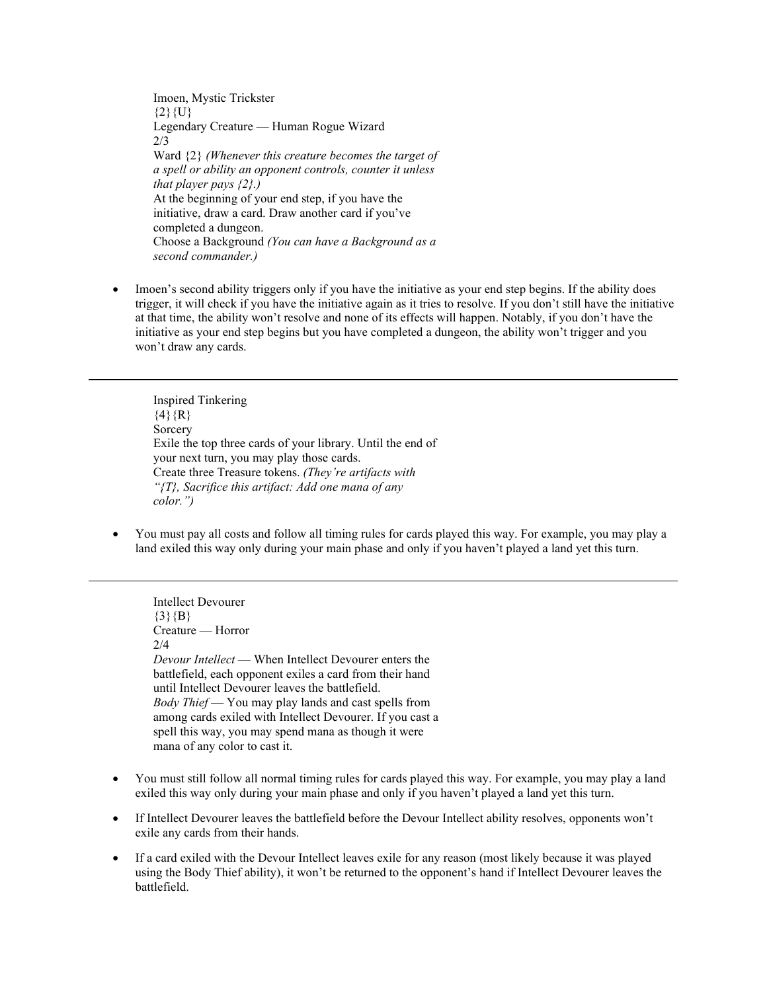Imoen, Mystic Trickster  ${2}$ {U} Legendary Creature — Human Rogue Wizard 2/3 Ward {2} *(Whenever this creature becomes the target of a spell or ability an opponent controls, counter it unless that player pays {2}.)* At the beginning of your end step, if you have the initiative, draw a card. Draw another card if you've completed a dungeon. Choose a Background *(You can have a Background as a second commander.)*

• Imoen's second ability triggers only if you have the initiative as your end step begins. If the ability does trigger, it will check if you have the initiative again as it tries to resolve. If you don't still have the initiative at that time, the ability won't resolve and none of its effects will happen. Notably, if you don't have the initiative as your end step begins but you have completed a dungeon, the ability won't trigger and you won't draw any cards.

Inspired Tinkering  $\{4\}$ {R} Sorcery Exile the top three cards of your library. Until the end of your next turn, you may play those cards. Create three Treasure tokens. *(They're artifacts with "{T}, Sacrifice this artifact: Add one mana of any color.")*

• You must pay all costs and follow all timing rules for cards played this way. For example, you may play a land exiled this way only during your main phase and only if you haven't played a land yet this turn.

Intellect Devourer  ${3}{B}$ Creature — Horror 2/4 *Devour Intellect* — When Intellect Devourer enters the battlefield, each opponent exiles a card from their hand until Intellect Devourer leaves the battlefield. *Body Thief* — You may play lands and cast spells from among cards exiled with Intellect Devourer. If you cast a spell this way, you may spend mana as though it were mana of any color to cast it.

- You must still follow all normal timing rules for cards played this way. For example, you may play a land exiled this way only during your main phase and only if you haven't played a land yet this turn.
- If Intellect Devourer leaves the battlefield before the Devour Intellect ability resolves, opponents won't exile any cards from their hands.
- If a card exiled with the Devour Intellect leaves exile for any reason (most likely because it was played using the Body Thief ability), it won't be returned to the opponent's hand if Intellect Devourer leaves the battlefield.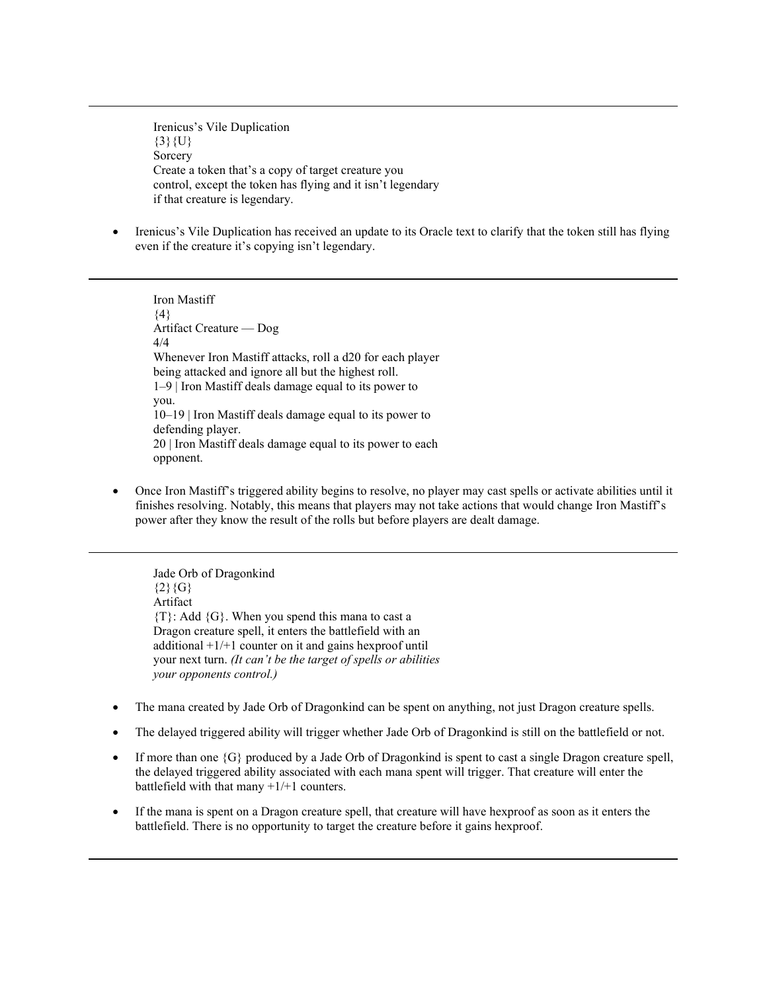Irenicus's Vile Duplication  $\{3\}$  {U} **Sorcery** Create a token that's a copy of target creature you control, except the token has flying and it isn't legendary if that creature is legendary.

• Irenicus's Vile Duplication has received an update to its Oracle text to clarify that the token still has flying even if the creature it's copying isn't legendary.

Iron Mastiff  $\{4\}$ Artifact Creature — Dog 4/4 Whenever Iron Mastiff attacks, roll a d20 for each player being attacked and ignore all but the highest roll. 1–9 | Iron Mastiff deals damage equal to its power to you. 10–19 | Iron Mastiff deals damage equal to its power to defending player. 20 | Iron Mastiff deals damage equal to its power to each opponent.

• Once Iron Mastiff's triggered ability begins to resolve, no player may cast spells or activate abilities until it finishes resolving. Notably, this means that players may not take actions that would change Iron Mastiff's power after they know the result of the rolls but before players are dealt damage.

Jade Orb of Dragonkind  ${2}{G}$ Artifact  ${T}$ : Add  ${G}$ . When you spend this mana to cast a Dragon creature spell, it enters the battlefield with an additional  $+1/+1$  counter on it and gains hexproof until your next turn. *(It can't be the target of spells or abilities your opponents control.)*

- The mana created by Jade Orb of Dragonkind can be spent on anything, not just Dragon creature spells.
- The delayed triggered ability will trigger whether Jade Orb of Dragonkind is still on the battlefield or not.
- If more than one {G} produced by a Jade Orb of Dragonkind is spent to cast a single Dragon creature spell, the delayed triggered ability associated with each mana spent will trigger. That creature will enter the battlefield with that many  $+1/+1$  counters.
- If the mana is spent on a Dragon creature spell, that creature will have hexproof as soon as it enters the battlefield. There is no opportunity to target the creature before it gains hexproof.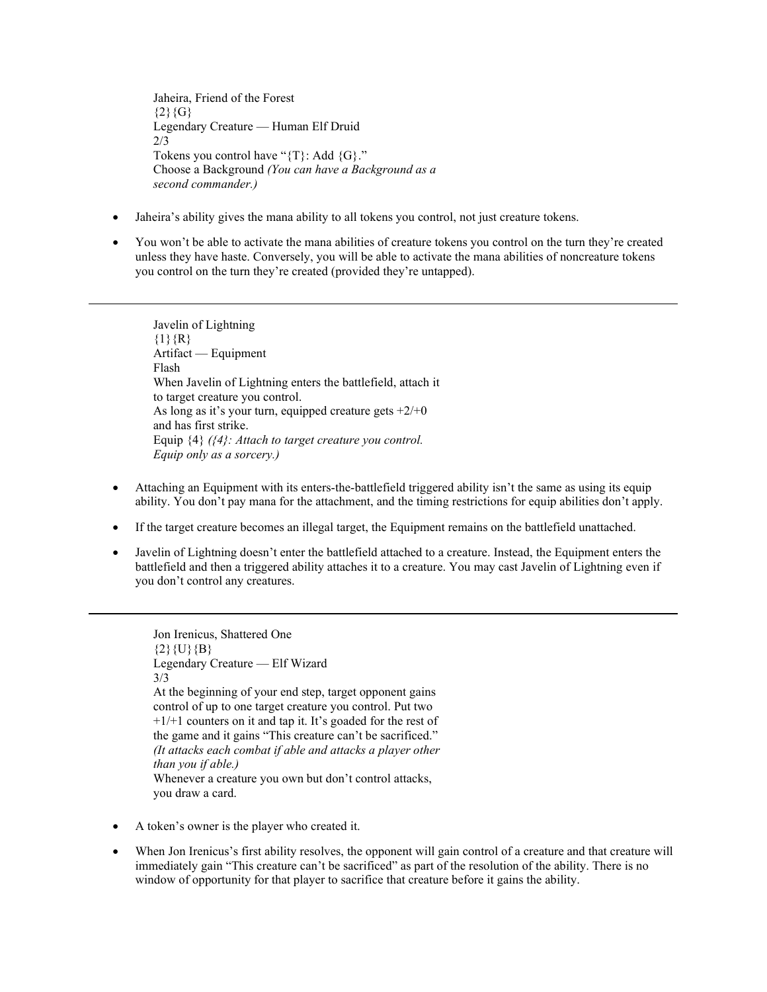Jaheira, Friend of the Forest  ${2}{G}$ Legendary Creature — Human Elf Druid 2/3 Tokens you control have "{T}: Add {G}." Choose a Background *(You can have a Background as a second commander.)*

- Jaheira's ability gives the mana ability to all tokens you control, not just creature tokens.
- You won't be able to activate the mana abilities of creature tokens you control on the turn they're created unless they have haste. Conversely, you will be able to activate the mana abilities of noncreature tokens you control on the turn they're created (provided they're untapped).

Javelin of Lightning  ${1}{R}$ Artifact — Equipment Flash When Javelin of Lightning enters the battlefield, attach it to target creature you control. As long as it's your turn, equipped creature gets  $+2/+0$ and has first strike. Equip {4} *({4}: Attach to target creature you control. Equip only as a sorcery.)*

- Attaching an Equipment with its enters-the-battlefield triggered ability isn't the same as using its equip ability. You don't pay mana for the attachment, and the timing restrictions for equip abilities don't apply.
- If the target creature becomes an illegal target, the Equipment remains on the battlefield unattached.
- Javelin of Lightning doesn't enter the battlefield attached to a creature. Instead, the Equipment enters the battlefield and then a triggered ability attaches it to a creature. You may cast Javelin of Lightning even if you don't control any creatures.

Jon Irenicus, Shattered One  ${2}{U}{B}$ Legendary Creature — Elf Wizard 3/3 At the beginning of your end step, target opponent gains control of up to one target creature you control. Put two  $+1/+1$  counters on it and tap it. It's goaded for the rest of the game and it gains "This creature can't be sacrificed." *(It attacks each combat if able and attacks a player other than you if able.)* Whenever a creature you own but don't control attacks, you draw a card.

- A token's owner is the player who created it.
- When Jon Irenicus's first ability resolves, the opponent will gain control of a creature and that creature will immediately gain "This creature can't be sacrificed" as part of the resolution of the ability. There is no window of opportunity for that player to sacrifice that creature before it gains the ability.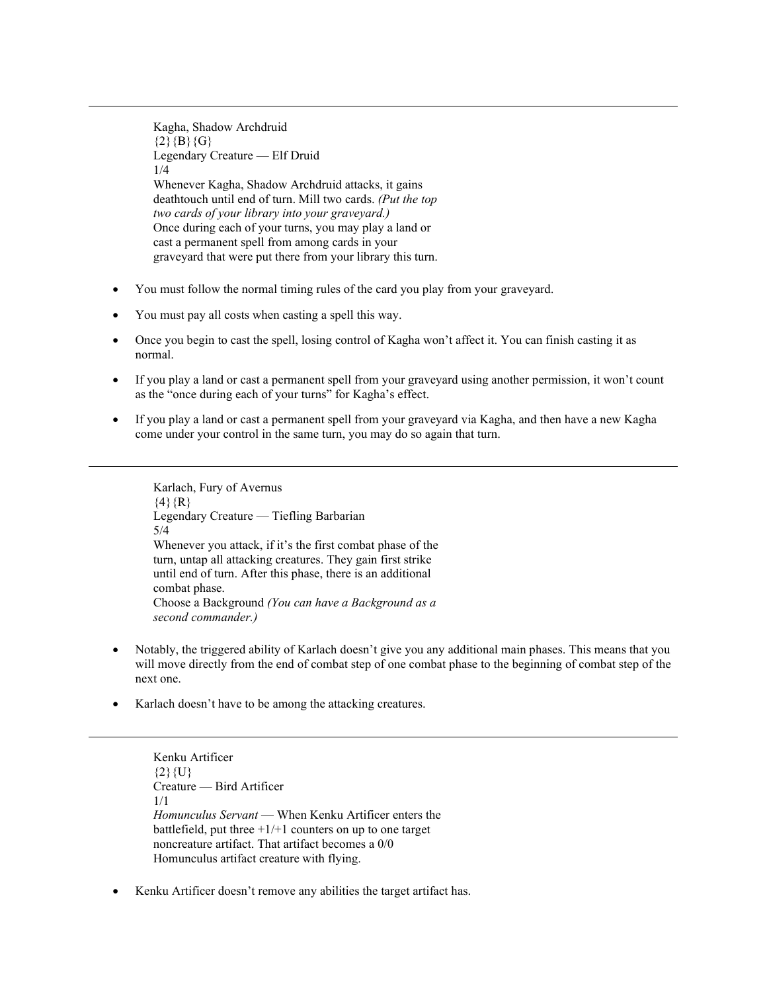Kagha, Shadow Archdruid  $\{2\}\{B\}\{G\}$ Legendary Creature — Elf Druid 1/4 Whenever Kagha, Shadow Archdruid attacks, it gains deathtouch until end of turn. Mill two cards. *(Put the top two cards of your library into your graveyard.)* Once during each of your turns, you may play a land or cast a permanent spell from among cards in your graveyard that were put there from your library this turn.

- You must follow the normal timing rules of the card you play from your graveyard.
- You must pay all costs when casting a spell this way.
- Once you begin to cast the spell, losing control of Kagha won't affect it. You can finish casting it as normal.
- If you play a land or cast a permanent spell from your graveyard using another permission, it won't count as the "once during each of your turns" for Kagha's effect.
- If you play a land or cast a permanent spell from your graveyard via Kagha, and then have a new Kagha come under your control in the same turn, you may do so again that turn.

Karlach, Fury of Avernus  $\{4\}$ {R} Legendary Creature — Tiefling Barbarian 5/4 Whenever you attack, if it's the first combat phase of the turn, untap all attacking creatures. They gain first strike until end of turn. After this phase, there is an additional combat phase. Choose a Background *(You can have a Background as a second commander.)*

- Notably, the triggered ability of Karlach doesn't give you any additional main phases. This means that you will move directly from the end of combat step of one combat phase to the beginning of combat step of the next one.
- Karlach doesn't have to be among the attacking creatures.

Kenku Artificer  ${2}$ {U} Creature — Bird Artificer 1/1 *Homunculus Servant* — When Kenku Artificer enters the battlefield, put three  $+1/+1$  counters on up to one target noncreature artifact. That artifact becomes a 0/0 Homunculus artifact creature with flying.

Kenku Artificer doesn't remove any abilities the target artifact has.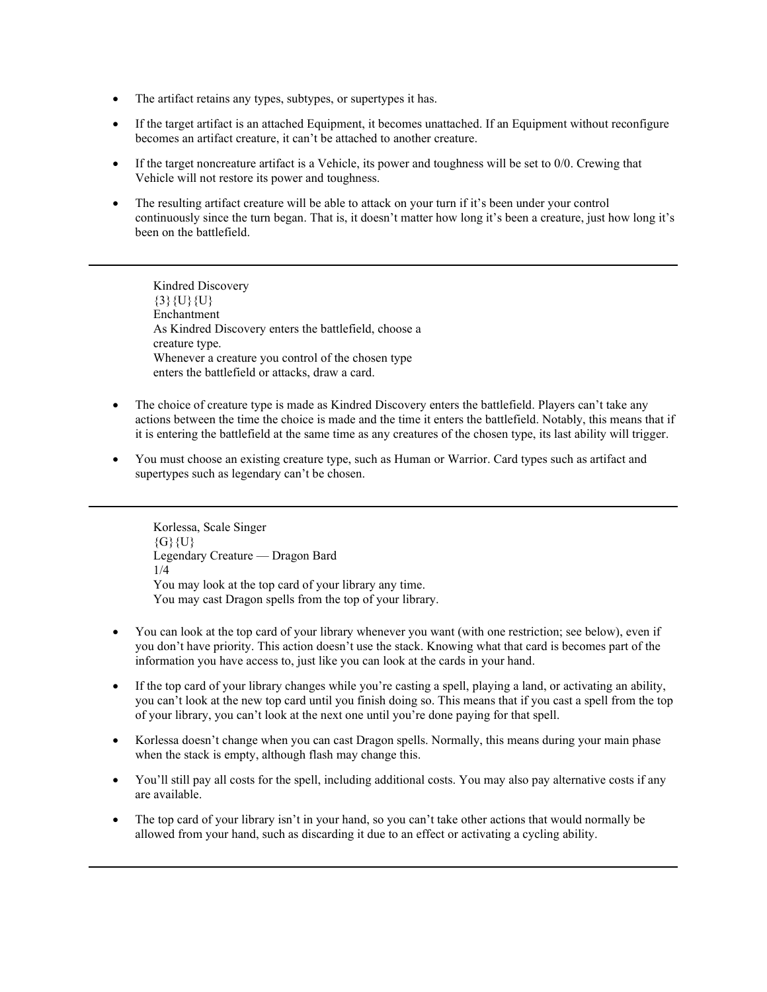- The artifact retains any types, subtypes, or supertypes it has.
- If the target artifact is an attached Equipment, it becomes unattached. If an Equipment without reconfigure becomes an artifact creature, it can't be attached to another creature.
- If the target noncreature artifact is a Vehicle, its power and toughness will be set to 0/0. Crewing that Vehicle will not restore its power and toughness.
- The resulting artifact creature will be able to attack on your turn if it's been under your control continuously since the turn began. That is, it doesn't matter how long it's been a creature, just how long it's been on the battlefield.

Kindred Discovery  $\{3\}\{U\}\{U\}$ Enchantment As Kindred Discovery enters the battlefield, choose a creature type. Whenever a creature you control of the chosen type enters the battlefield or attacks, draw a card.

- The choice of creature type is made as Kindred Discovery enters the battlefield. Players can't take any actions between the time the choice is made and the time it enters the battlefield. Notably, this means that if it is entering the battlefield at the same time as any creatures of the chosen type, its last ability will trigger.
- You must choose an existing creature type, such as Human or Warrior. Card types such as artifact and supertypes such as legendary can't be chosen.

Korlessa, Scale Singer  ${G}$  ${U}$ Legendary Creature — Dragon Bard 1/4 You may look at the top card of your library any time. You may cast Dragon spells from the top of your library.

- You can look at the top card of your library whenever you want (with one restriction; see below), even if you don't have priority. This action doesn't use the stack. Knowing what that card is becomes part of the information you have access to, just like you can look at the cards in your hand.
- If the top card of your library changes while you're casting a spell, playing a land, or activating an ability, you can't look at the new top card until you finish doing so. This means that if you cast a spell from the top of your library, you can't look at the next one until you're done paying for that spell.
- Korlessa doesn't change when you can cast Dragon spells. Normally, this means during your main phase when the stack is empty, although flash may change this.
- You'll still pay all costs for the spell, including additional costs. You may also pay alternative costs if any are available.
- The top card of your library isn't in your hand, so you can't take other actions that would normally be allowed from your hand, such as discarding it due to an effect or activating a cycling ability.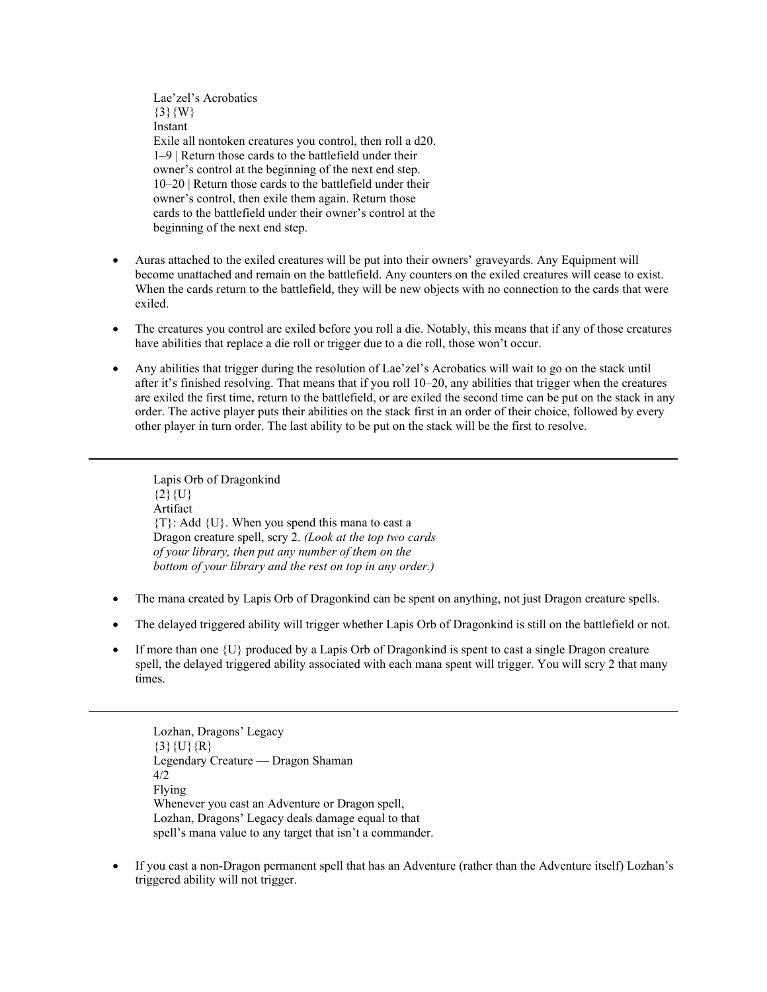Lae'zel's Acrobatics  $\{3\}$ {W} Instant Exile all nontoken creatures you control, then roll a d20. 1–9 | Return those cards to the battlefield under their owner's control at the beginning of the next end step. 10–20 | Return those cards to the battlefield under their owner's control, then exile them again. Return those cards to the battlefield under their owner's control at the beginning of the next end step.

- Auras attached to the exiled creatures will be put into their owners' graveyards. Any Equipment will become unattached and remain on the battlefield. Any counters on the exiled creatures will cease to exist. When the cards return to the battlefield, they will be new objects with no connection to the cards that were exiled.
- The creatures you control are exiled before you roll a die. Notably, this means that if any of those creatures have abilities that replace a die roll or trigger due to a die roll, those won't occur.
- Any abilities that trigger during the resolution of Lae'zel's Acrobatics will wait to go on the stack until after it's finished resolving. That means that if you roll 10–20, any abilities that trigger when the creatures are exiled the first time, return to the battlefield, or are exiled the second time can be put on the stack in any order. The active player puts their abilities on the stack first in an order of their choice, followed by every other player in turn order. The last ability to be put on the stack will be the first to resolve.

Lapis Orb of Dragonkind  ${2}{U}$ Artifact  ${T}$ : Add  ${U}$ . When you spend this mana to cast a Dragon creature spell, scry 2. *(Look at the top two cards of your library, then put any number of them on the bottom of your library and the rest on top in any order.)*

- The mana created by Lapis Orb of Dragonkind can be spent on anything, not just Dragon creature spells.
- The delayed triggered ability will trigger whether Lapis Orb of Dragonkind is still on the battlefield or not.
- If more than one  $\{U\}$  produced by a Lapis Orb of Dragonkind is spent to cast a single Dragon creature spell, the delayed triggered ability associated with each mana spent will trigger. You will scry 2 that many times.

Lozhan, Dragons' Legacy  $\{3\}\{U\}\{R\}$ Legendary Creature — Dragon Shaman 4/2 Flying Whenever you cast an Adventure or Dragon spell, Lozhan, Dragons' Legacy deals damage equal to that spell's mana value to any target that isn't a commander.

• If you cast a non-Dragon permanent spell that has an Adventure (rather than the Adventure itself) Lozhan's triggered ability will not trigger.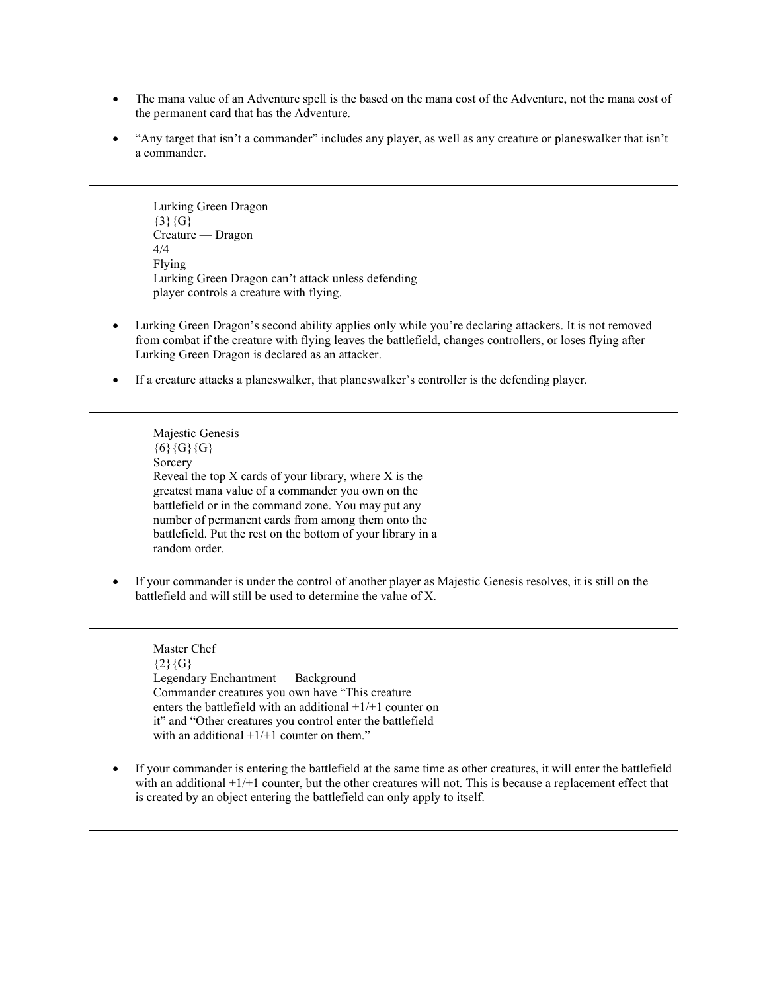- The mana value of an Adventure spell is the based on the mana cost of the Adventure, not the mana cost of the permanent card that has the Adventure.
- "Any target that isn't a commander" includes any player, as well as any creature or planeswalker that isn't a commander.

Lurking Green Dragon  ${3}{G}$ Creature — Dragon 4/4 Flying Lurking Green Dragon can't attack unless defending player controls a creature with flying.

- Lurking Green Dragon's second ability applies only while you're declaring attackers. It is not removed from combat if the creature with flying leaves the battlefield, changes controllers, or loses flying after Lurking Green Dragon is declared as an attacker.
- If a creature attacks a planeswalker, that planeswalker's controller is the defending player.

Majestic Genesis  ${6}$ {G}{G} Sorcery Reveal the top  $X$  cards of your library, where  $X$  is the greatest mana value of a commander you own on the battlefield or in the command zone. You may put any number of permanent cards from among them onto the battlefield. Put the rest on the bottom of your library in a random order.

• If your commander is under the control of another player as Majestic Genesis resolves, it is still on the battlefield and will still be used to determine the value of X.

Master Chef  ${2}{G}$ Legendary Enchantment — Background Commander creatures you own have "This creature enters the battlefield with an additional +1/+1 counter on it" and "Other creatures you control enter the battlefield with an additional  $+1/+1$  counter on them."

• If your commander is entering the battlefield at the same time as other creatures, it will enter the battlefield with an additional  $+1/+1$  counter, but the other creatures will not. This is because a replacement effect that is created by an object entering the battlefield can only apply to itself.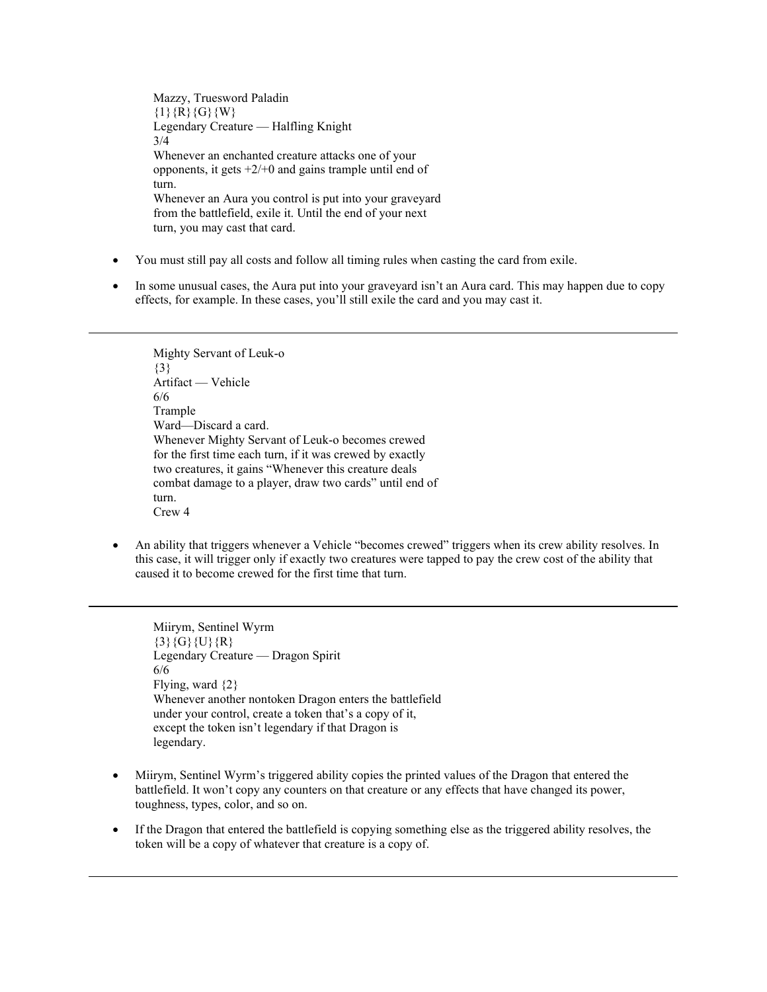Mazzy, Truesword Paladin  $\{1\}$ {R}{G}{W} Legendary Creature — Halfling Knight 3/4 Whenever an enchanted creature attacks one of your opponents, it gets  $+2/+0$  and gains trample until end of turn. Whenever an Aura you control is put into your graveyard from the battlefield, exile it. Until the end of your next turn, you may cast that card.

- You must still pay all costs and follow all timing rules when casting the card from exile.
- In some unusual cases, the Aura put into your graveyard isn't an Aura card. This may happen due to copy effects, for example. In these cases, you'll still exile the card and you may cast it.

Mighty Servant of Leuk-o {3} Artifact — Vehicle 6/6 Trample Ward—Discard a card. Whenever Mighty Servant of Leuk-o becomes crewed for the first time each turn, if it was crewed by exactly two creatures, it gains "Whenever this creature deals combat damage to a player, draw two cards" until end of turn. Crew 4

• An ability that triggers whenever a Vehicle "becomes crewed" triggers when its crew ability resolves. In this case, it will trigger only if exactly two creatures were tapped to pay the crew cost of the ability that caused it to become crewed for the first time that turn.

Miirym, Sentinel Wyrm  $\{3\}$ {G}{U}{R} Legendary Creature — Dragon Spirit 6/6 Flying, ward {2} Whenever another nontoken Dragon enters the battlefield under your control, create a token that's a copy of it, except the token isn't legendary if that Dragon is legendary.

- Miirym, Sentinel Wyrm's triggered ability copies the printed values of the Dragon that entered the battlefield. It won't copy any counters on that creature or any effects that have changed its power, toughness, types, color, and so on.
- If the Dragon that entered the battlefield is copying something else as the triggered ability resolves, the token will be a copy of whatever that creature is a copy of.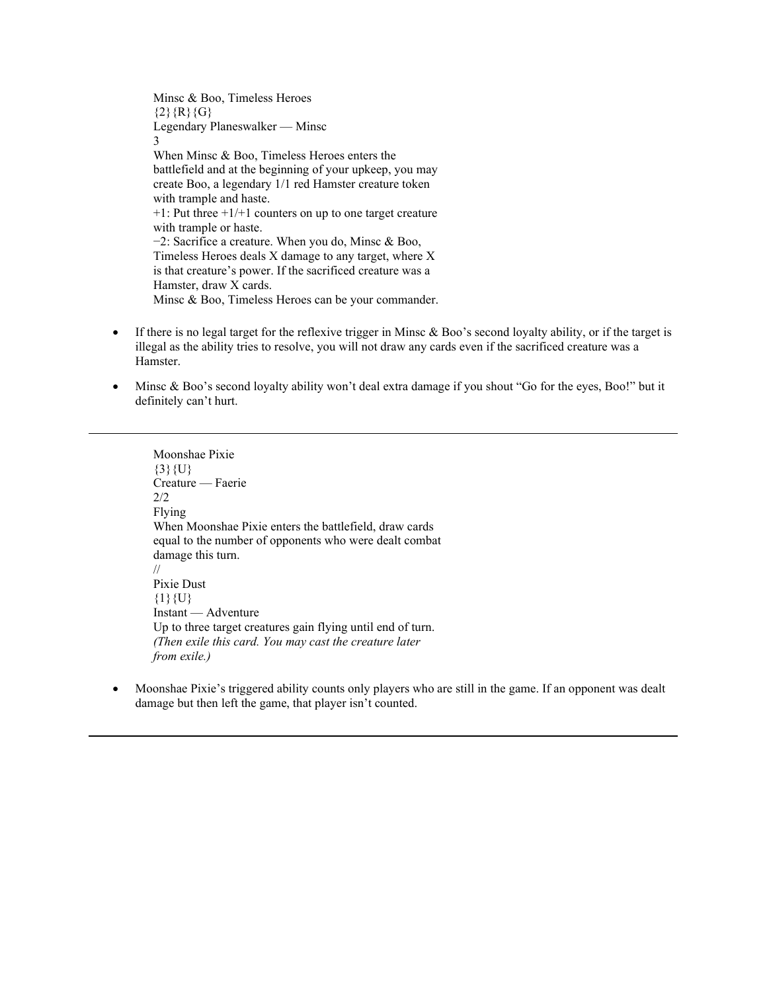Minsc & Boo, Timeless Heroes  ${2}{R}{R}{G}$ Legendary Planeswalker — Minsc 3 When Minsc & Boo, Timeless Heroes enters the battlefield and at the beginning of your upkeep, you may create Boo, a legendary 1/1 red Hamster creature token with trample and haste. +1: Put three +1/+1 counters on up to one target creature with trample or haste. −2: Sacrifice a creature. When you do, Minsc & Boo, Timeless Heroes deals X damage to any target, where X is that creature's power. If the sacrificed creature was a Hamster, draw X cards. Minsc & Boo, Timeless Heroes can be your commander.

- If there is no legal target for the reflexive trigger in Minsc & Boo's second loyalty ability, or if the target is illegal as the ability tries to resolve, you will not draw any cards even if the sacrificed creature was a Hamster.
- Minsc & Boo's second loyalty ability won't deal extra damage if you shout "Go for the eyes, Boo!" but it definitely can't hurt.

Moonshae Pixie  ${3}{U}$ Creature — Faerie 2/2 Flying When Moonshae Pixie enters the battlefield, draw cards equal to the number of opponents who were dealt combat damage this turn. // Pixie Dust  ${1}{U}$ Instant — Adventure Up to three target creatures gain flying until end of turn. *(Then exile this card. You may cast the creature later from exile.)*

• Moonshae Pixie's triggered ability counts only players who are still in the game. If an opponent was dealt damage but then left the game, that player isn't counted.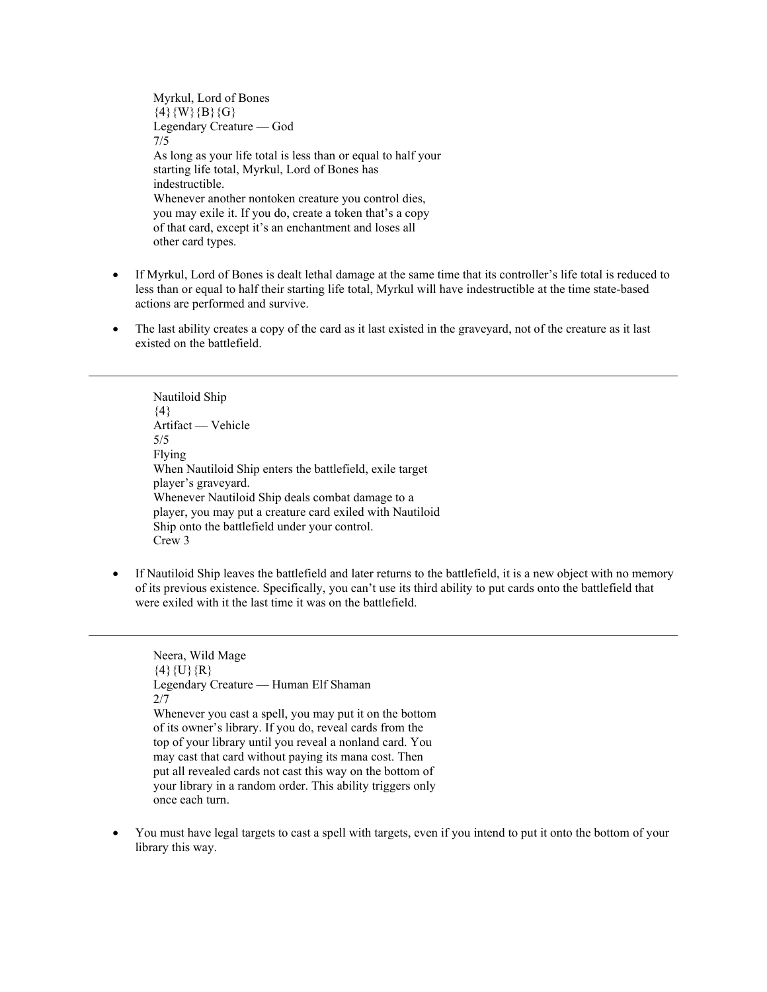Myrkul, Lord of Bones  $\{4\}$ {W}{B}{G} Legendary Creature — God 7/5 As long as your life total is less than or equal to half your starting life total, Myrkul, Lord of Bones has indestructible. Whenever another nontoken creature you control dies, you may exile it. If you do, create a token that's a copy of that card, except it's an enchantment and loses all other card types.

- If Myrkul, Lord of Bones is dealt lethal damage at the same time that its controller's life total is reduced to less than or equal to half their starting life total, Myrkul will have indestructible at the time state-based actions are performed and survive.
- The last ability creates a copy of the card as it last existed in the graveyard, not of the creature as it last existed on the battlefield.

Nautiloid Ship  ${4}$ Artifact — Vehicle 5/5 Flying When Nautiloid Ship enters the battlefield, exile target player's graveyard. Whenever Nautiloid Ship deals combat damage to a player, you may put a creature card exiled with Nautiloid Ship onto the battlefield under your control. Crew 3

• If Nautiloid Ship leaves the battlefield and later returns to the battlefield, it is a new object with no memory of its previous existence. Specifically, you can't use its third ability to put cards onto the battlefield that were exiled with it the last time it was on the battlefield.

Neera, Wild Mage  $\{4\}\{U\}\{R\}$ Legendary Creature — Human Elf Shaman 2/7 Whenever you cast a spell, you may put it on the bottom of its owner's library. If you do, reveal cards from the top of your library until you reveal a nonland card. You may cast that card without paying its mana cost. Then put all revealed cards not cast this way on the bottom of your library in a random order. This ability triggers only once each turn.

• You must have legal targets to cast a spell with targets, even if you intend to put it onto the bottom of your library this way.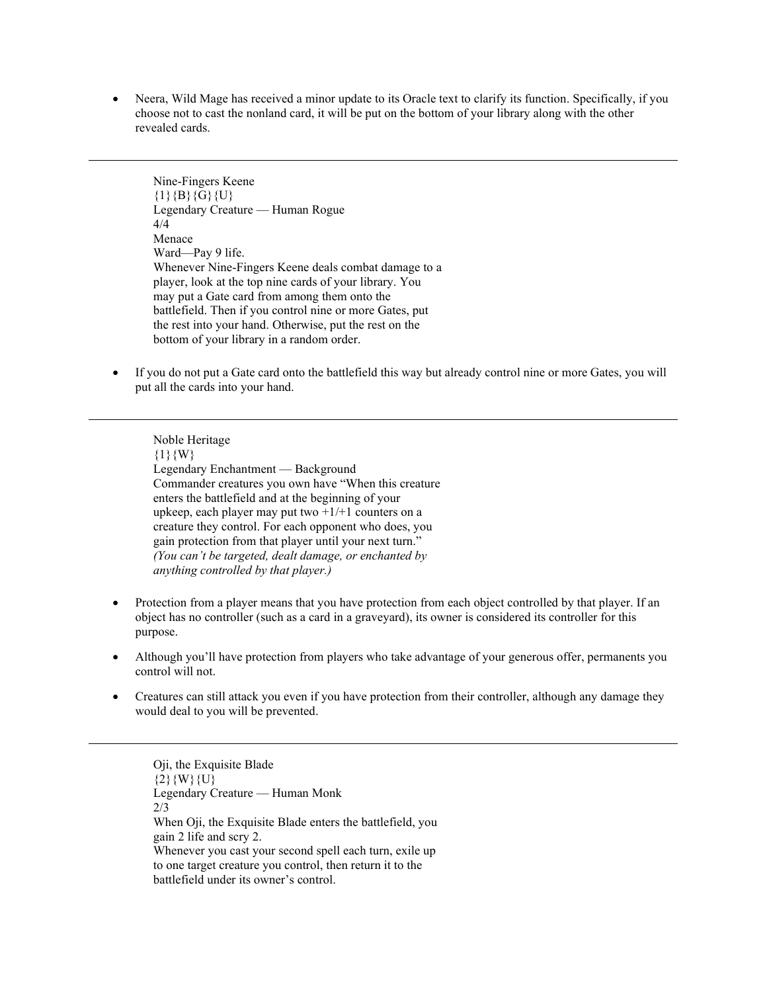• Neera, Wild Mage has received a minor update to its Oracle text to clarify its function. Specifically, if you choose not to cast the nonland card, it will be put on the bottom of your library along with the other revealed cards.

Nine-Fingers Keene  ${1}{B}{G}{U}$ Legendary Creature — Human Rogue 4/4 Menace Ward—Pay 9 life. Whenever Nine-Fingers Keene deals combat damage to a player, look at the top nine cards of your library. You may put a Gate card from among them onto the battlefield. Then if you control nine or more Gates, put the rest into your hand. Otherwise, put the rest on the bottom of your library in a random order.

• If you do not put a Gate card onto the battlefield this way but already control nine or more Gates, you will put all the cards into your hand.

Noble Heritage  ${1}{W}$ Legendary Enchantment — Background Commander creatures you own have "When this creature enters the battlefield and at the beginning of your upkeep, each player may put two  $+1/+1$  counters on a creature they control. For each opponent who does, you gain protection from that player until your next turn." *(You can't be targeted, dealt damage, or enchanted by anything controlled by that player.)*

- Protection from a player means that you have protection from each object controlled by that player. If an object has no controller (such as a card in a graveyard), its owner is considered its controller for this purpose.
- Although you'll have protection from players who take advantage of your generous offer, permanents you control will not.
- Creatures can still attack you even if you have protection from their controller, although any damage they would deal to you will be prevented.

Oji, the Exquisite Blade  ${2}$ {W}{U} Legendary Creature — Human Monk 2/3 When Oji, the Exquisite Blade enters the battlefield, you gain 2 life and scry 2. Whenever you cast your second spell each turn, exile up to one target creature you control, then return it to the battlefield under its owner's control.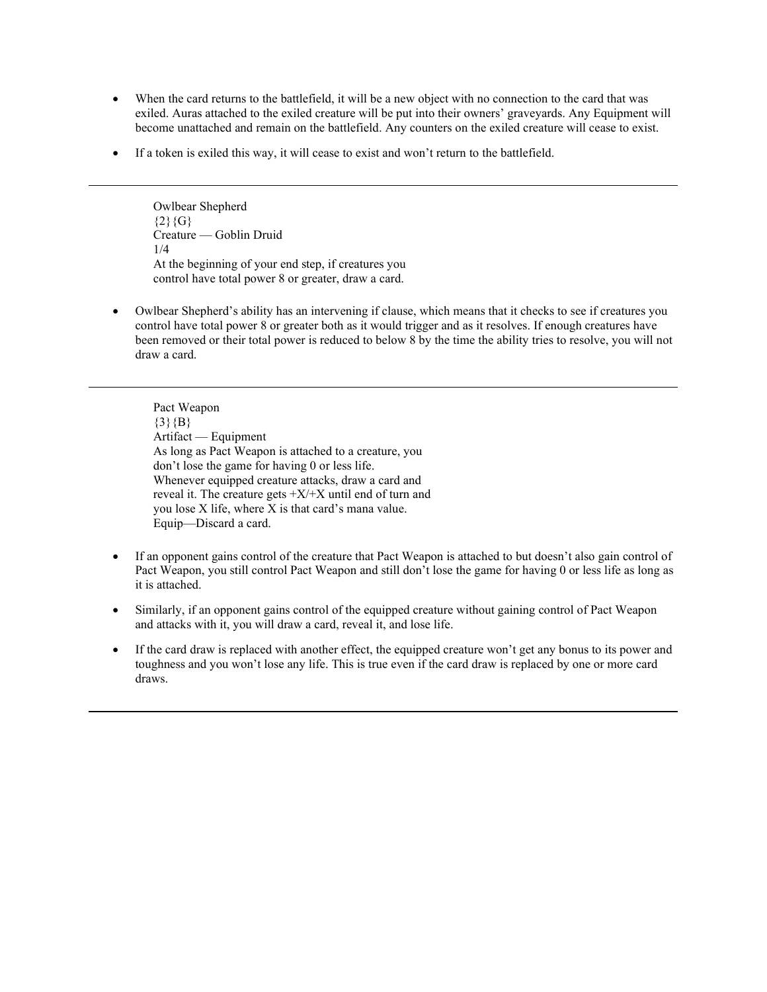- When the card returns to the battlefield, it will be a new object with no connection to the card that was exiled. Auras attached to the exiled creature will be put into their owners' graveyards. Any Equipment will become unattached and remain on the battlefield. Any counters on the exiled creature will cease to exist.
- If a token is exiled this way, it will cease to exist and won't return to the battlefield.

Owlbear Shepherd  ${2}{G}$ Creature — Goblin Druid 1/4 At the beginning of your end step, if creatures you control have total power 8 or greater, draw a card.

• Owlbear Shepherd's ability has an intervening if clause, which means that it checks to see if creatures you control have total power 8 or greater both as it would trigger and as it resolves. If enough creatures have been removed or their total power is reduced to below 8 by the time the ability tries to resolve, you will not draw a card.

Pact Weapon  $\{3\}$   $\{B\}$ Artifact — Equipment As long as Pact Weapon is attached to a creature, you don't lose the game for having 0 or less life. Whenever equipped creature attacks, draw a card and reveal it. The creature gets  $+X/+X$  until end of turn and you lose X life, where X is that card's mana value. Equip—Discard a card.

- If an opponent gains control of the creature that Pact Weapon is attached to but doesn't also gain control of Pact Weapon, you still control Pact Weapon and still don't lose the game for having 0 or less life as long as it is attached.
- Similarly, if an opponent gains control of the equipped creature without gaining control of Pact Weapon and attacks with it, you will draw a card, reveal it, and lose life.
- If the card draw is replaced with another effect, the equipped creature won't get any bonus to its power and toughness and you won't lose any life. This is true even if the card draw is replaced by one or more card draws.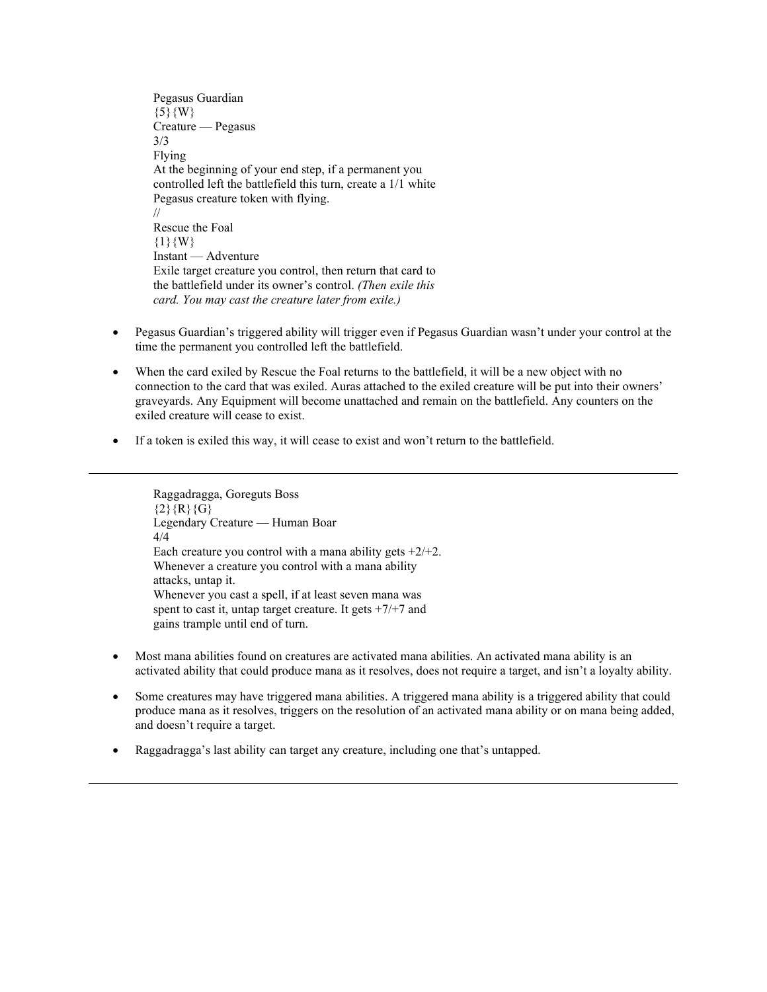Pegasus Guardian  $\{5\}\{W\}$ Creature — Pegasus 3/3 Flying At the beginning of your end step, if a permanent you controlled left the battlefield this turn, create a 1/1 white Pegasus creature token with flying. // Rescue the Foal  ${1}{W}$ Instant — Adventure Exile target creature you control, then return that card to the battlefield under its owner's control. *(Then exile this card. You may cast the creature later from exile.)*

- Pegasus Guardian's triggered ability will trigger even if Pegasus Guardian wasn't under your control at the time the permanent you controlled left the battlefield.
- When the card exiled by Rescue the Foal returns to the battlefield, it will be a new object with no connection to the card that was exiled. Auras attached to the exiled creature will be put into their owners' graveyards. Any Equipment will become unattached and remain on the battlefield. Any counters on the exiled creature will cease to exist.
- If a token is exiled this way, it will cease to exist and won't return to the battlefield.

Raggadragga, Goreguts Boss  ${2}{R}{G}$ Legendary Creature — Human Boar 4/4 Each creature you control with a mana ability gets  $+2/+2$ . Whenever a creature you control with a mana ability attacks, untap it. Whenever you cast a spell, if at least seven mana was spent to cast it, untap target creature. It gets  $+7/+7$  and gains trample until end of turn.

- Most mana abilities found on creatures are activated mana abilities. An activated mana ability is an activated ability that could produce mana as it resolves, does not require a target, and isn't a loyalty ability.
- Some creatures may have triggered mana abilities. A triggered mana ability is a triggered ability that could produce mana as it resolves, triggers on the resolution of an activated mana ability or on mana being added, and doesn't require a target.
- Raggadragga's last ability can target any creature, including one that's untapped.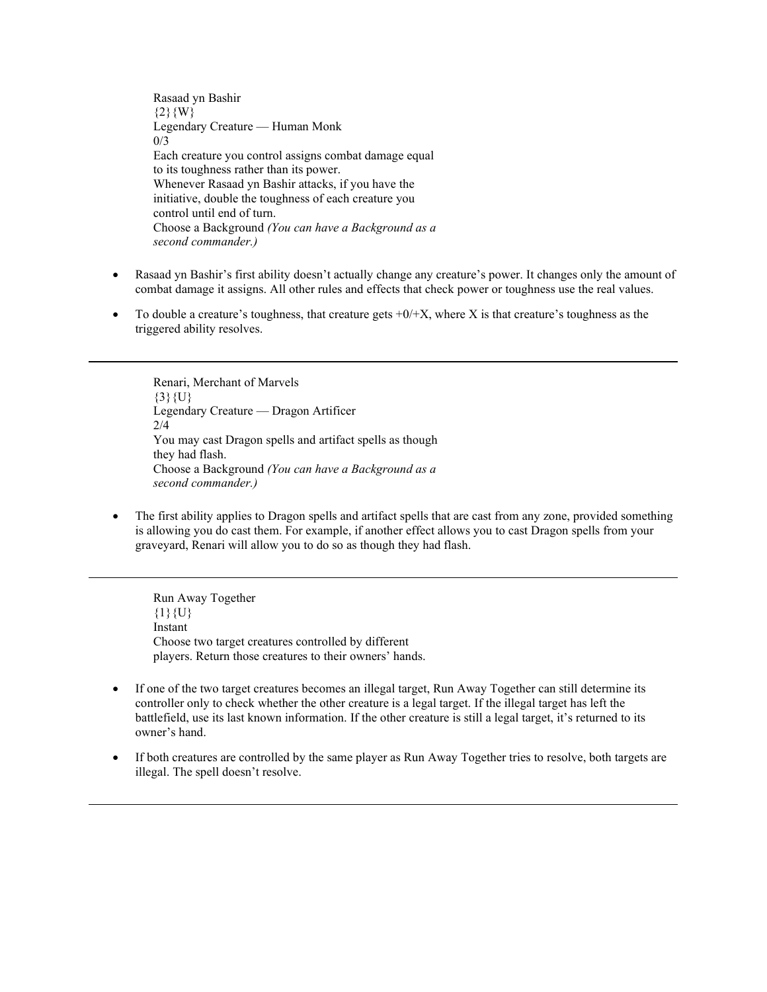Rasaad yn Bashir  ${2}$ {W} Legendary Creature — Human Monk  $0/3$ Each creature you control assigns combat damage equal to its toughness rather than its power. Whenever Rasaad yn Bashir attacks, if you have the initiative, double the toughness of each creature you control until end of turn. Choose a Background *(You can have a Background as a second commander.)*

- Rasaad yn Bashir's first ability doesn't actually change any creature's power. It changes only the amount of combat damage it assigns. All other rules and effects that check power or toughness use the real values.
- To double a creature's toughness, that creature gets  $+0/+X$ , where X is that creature's toughness as the triggered ability resolves.

Renari, Merchant of Marvels  $\{3\}\{U\}$ Legendary Creature — Dragon Artificer 2/4 You may cast Dragon spells and artifact spells as though they had flash. Choose a Background *(You can have a Background as a second commander.)*

• The first ability applies to Dragon spells and artifact spells that are cast from any zone, provided something is allowing you do cast them. For example, if another effect allows you to cast Dragon spells from your graveyard, Renari will allow you to do so as though they had flash.

Run Away Together  ${1}{U}$ Instant Choose two target creatures controlled by different players. Return those creatures to their owners' hands.

- If one of the two target creatures becomes an illegal target, Run Away Together can still determine its controller only to check whether the other creature is a legal target. If the illegal target has left the battlefield, use its last known information. If the other creature is still a legal target, it's returned to its owner's hand.
- If both creatures are controlled by the same player as Run Away Together tries to resolve, both targets are illegal. The spell doesn't resolve.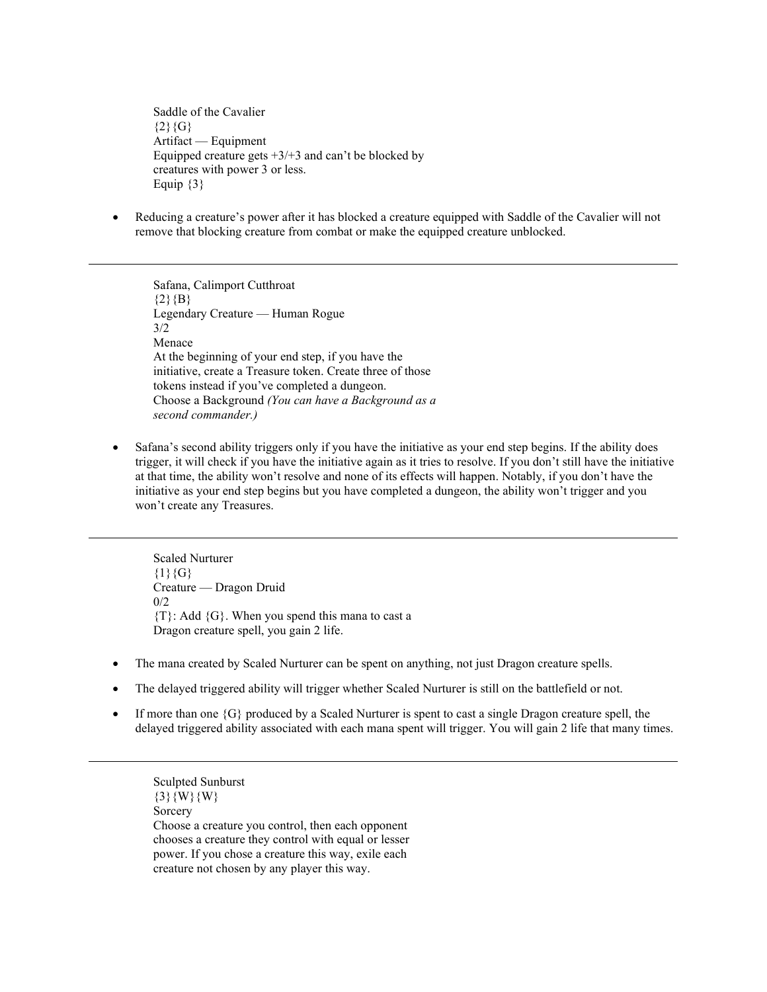Saddle of the Cavalier  ${2}{G}$ Artifact — Equipment Equipped creature gets  $+3/+3$  and can't be blocked by creatures with power 3 or less. Equip  $\{3\}$ 

• Reducing a creature's power after it has blocked a creature equipped with Saddle of the Cavalier will not remove that blocking creature from combat or make the equipped creature unblocked.

Safana, Calimport Cutthroat  ${2}$ {B} Legendary Creature — Human Rogue 3/2 Menace At the beginning of your end step, if you have the initiative, create a Treasure token. Create three of those tokens instead if you've completed a dungeon. Choose a Background *(You can have a Background as a second commander.)*

• Safana's second ability triggers only if you have the initiative as your end step begins. If the ability does trigger, it will check if you have the initiative again as it tries to resolve. If you don't still have the initiative at that time, the ability won't resolve and none of its effects will happen. Notably, if you don't have the initiative as your end step begins but you have completed a dungeon, the ability won't trigger and you won't create any Treasures.

Scaled Nurturer  ${1}{G}$ Creature — Dragon Druid 0/2  ${T}$ : Add  ${G}$ . When you spend this mana to cast a Dragon creature spell, you gain 2 life.

- The mana created by Scaled Nurturer can be spent on anything, not just Dragon creature spells.
- The delayed triggered ability will trigger whether Scaled Nurturer is still on the battlefield or not.
- If more than one  $\{G\}$  produced by a Scaled Nurturer is spent to cast a single Dragon creature spell, the delayed triggered ability associated with each mana spent will trigger. You will gain 2 life that many times.

Sculpted Sunburst  $\{3\}$  {W} {W} Sorcery Choose a creature you control, then each opponent chooses a creature they control with equal or lesser power. If you chose a creature this way, exile each creature not chosen by any player this way.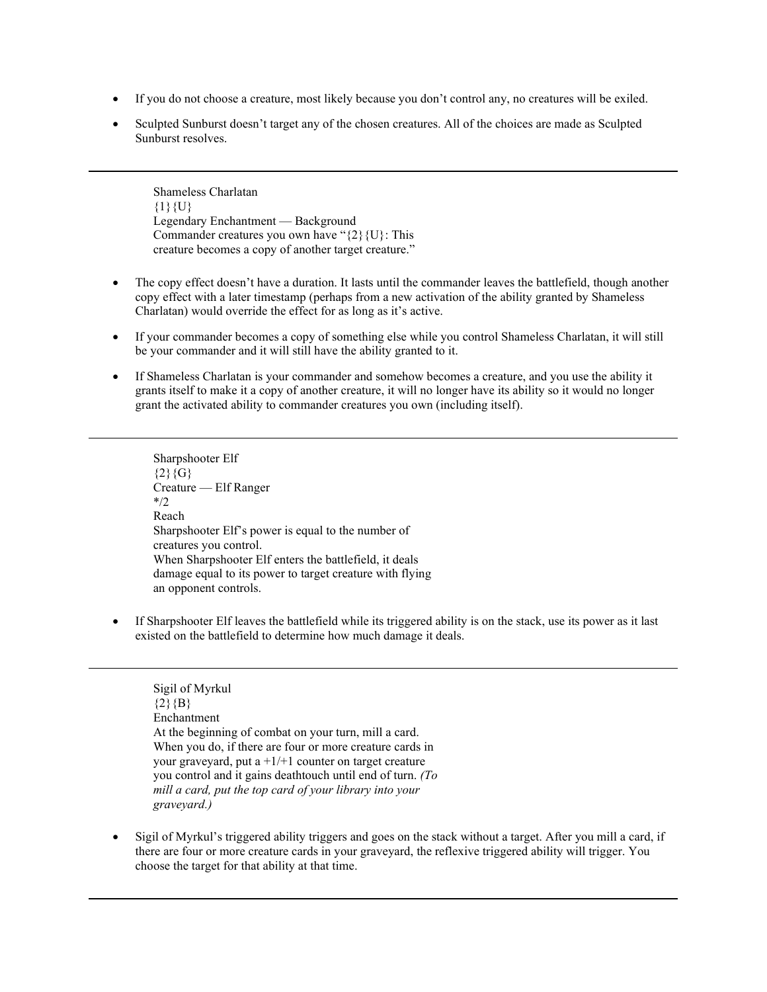- If you do not choose a creature, most likely because you don't control any, no creatures will be exiled.
- Sculpted Sunburst doesn't target any of the chosen creatures. All of the choices are made as Sculpted Sunburst resolves.

Shameless Charlatan  ${1}{U}$ Legendary Enchantment — Background Commander creatures you own have " $\{2\}$  {U}: This creature becomes a copy of another target creature."

- The copy effect doesn't have a duration. It lasts until the commander leaves the battlefield, though another copy effect with a later timestamp (perhaps from a new activation of the ability granted by Shameless Charlatan) would override the effect for as long as it's active.
- If your commander becomes a copy of something else while you control Shameless Charlatan, it will still be your commander and it will still have the ability granted to it.
- If Shameless Charlatan is your commander and somehow becomes a creature, and you use the ability it grants itself to make it a copy of another creature, it will no longer have its ability so it would no longer grant the activated ability to commander creatures you own (including itself).

Sharpshooter Elf  ${2}{G}$ Creature — Elf Ranger \*/2 Reach Sharpshooter Elf's power is equal to the number of creatures you control. When Sharpshooter Elf enters the battlefield, it deals damage equal to its power to target creature with flying an opponent controls.

If Sharpshooter Elf leaves the battlefield while its triggered ability is on the stack, use its power as it last existed on the battlefield to determine how much damage it deals.

# Sigil of Myrkul  ${2}{B}$ Enchantment At the beginning of combat on your turn, mill a card. When you do, if there are four or more creature cards in your graveyard, put a  $+1/+1$  counter on target creature you control and it gains deathtouch until end of turn. *(To mill a card, put the top card of your library into your graveyard.)*

• Sigil of Myrkul's triggered ability triggers and goes on the stack without a target. After you mill a card, if there are four or more creature cards in your graveyard, the reflexive triggered ability will trigger. You choose the target for that ability at that time.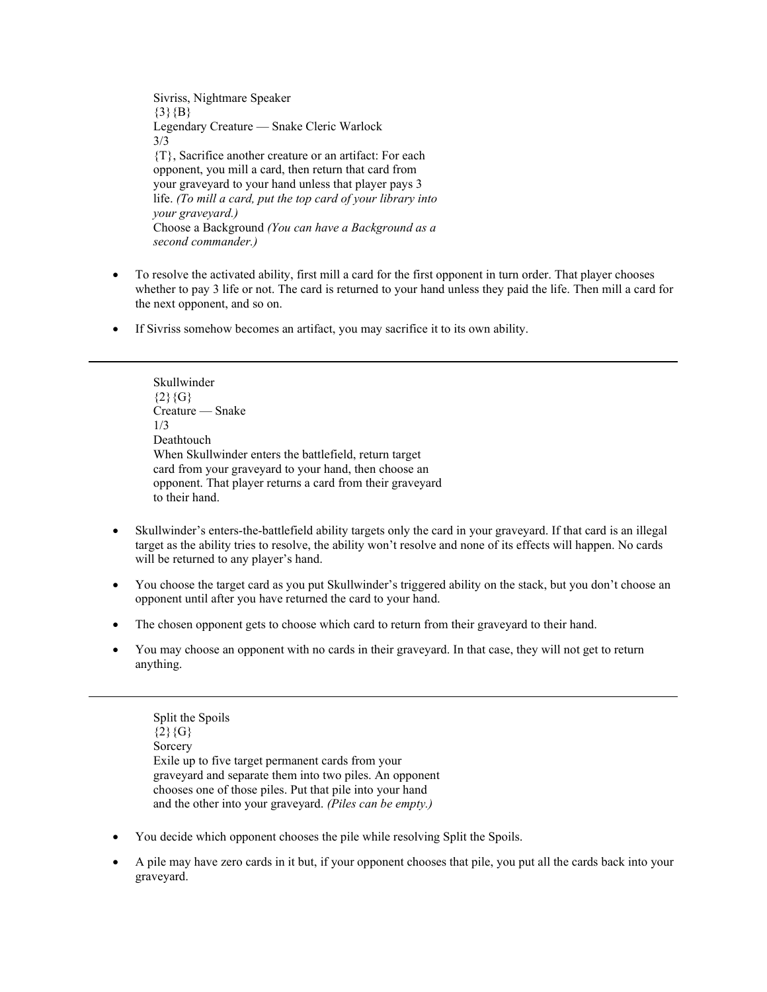Sivriss, Nightmare Speaker  ${3}{B}$ Legendary Creature — Snake Cleric Warlock 3/3 {T}, Sacrifice another creature or an artifact: For each opponent, you mill a card, then return that card from your graveyard to your hand unless that player pays 3 life. *(To mill a card, put the top card of your library into your graveyard.)* Choose a Background *(You can have a Background as a second commander.)*

- To resolve the activated ability, first mill a card for the first opponent in turn order. That player chooses whether to pay 3 life or not. The card is returned to your hand unless they paid the life. Then mill a card for the next opponent, and so on.
- If Sivriss somehow becomes an artifact, you may sacrifice it to its own ability.

Skullwinder  ${2}{G}$ Creature — Snake 1/3 **Deathtouch** When Skullwinder enters the battlefield, return target card from your graveyard to your hand, then choose an opponent. That player returns a card from their graveyard to their hand.

- Skullwinder's enters-the-battlefield ability targets only the card in your graveyard. If that card is an illegal target as the ability tries to resolve, the ability won't resolve and none of its effects will happen. No cards will be returned to any player's hand.
- You choose the target card as you put Skullwinder's triggered ability on the stack, but you don't choose an opponent until after you have returned the card to your hand.
- The chosen opponent gets to choose which card to return from their graveyard to their hand.
- You may choose an opponent with no cards in their graveyard. In that case, they will not get to return anything.

Split the Spoils  ${2}{G}$ Sorcery Exile up to five target permanent cards from your graveyard and separate them into two piles. An opponent chooses one of those piles. Put that pile into your hand and the other into your graveyard. *(Piles can be empty.)*

- You decide which opponent chooses the pile while resolving Split the Spoils.
- A pile may have zero cards in it but, if your opponent chooses that pile, you put all the cards back into your graveyard.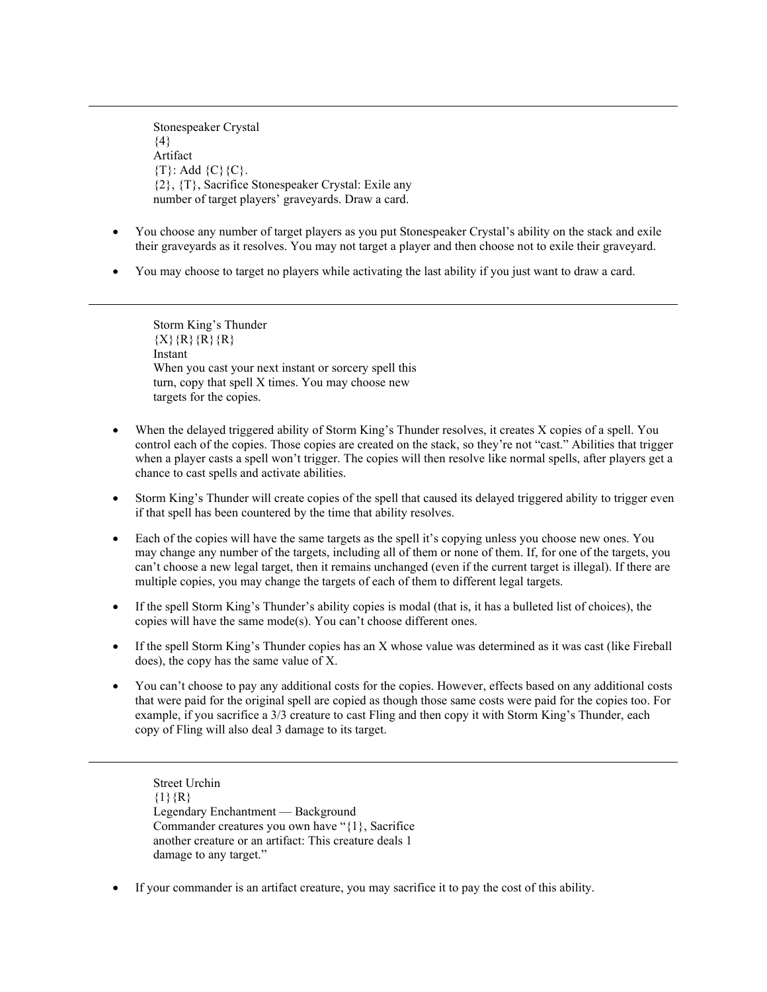Stonespeaker Crystal  ${4}$ Artifact  ${T}$ : Add  ${C}$  ${C}$ . {2}, {T}, Sacrifice Stonespeaker Crystal: Exile any number of target players' graveyards. Draw a card.

- You choose any number of target players as you put Stonespeaker Crystal's ability on the stack and exile their graveyards as it resolves. You may not target a player and then choose not to exile their graveyard.
- You may choose to target no players while activating the last ability if you just want to draw a card.

Storm King's Thunder  ${X}{R}{R}{R}{R}$ Instant When you cast your next instant or sorcery spell this turn, copy that spell X times. You may choose new targets for the copies.

- When the delayed triggered ability of Storm King's Thunder resolves, it creates X copies of a spell. You control each of the copies. Those copies are created on the stack, so they're not "cast." Abilities that trigger when a player casts a spell won't trigger. The copies will then resolve like normal spells, after players get a chance to cast spells and activate abilities.
- Storm King's Thunder will create copies of the spell that caused its delayed triggered ability to trigger even if that spell has been countered by the time that ability resolves.
- Each of the copies will have the same targets as the spell it's copying unless you choose new ones. You may change any number of the targets, including all of them or none of them. If, for one of the targets, you can't choose a new legal target, then it remains unchanged (even if the current target is illegal). If there are multiple copies, you may change the targets of each of them to different legal targets.
- If the spell Storm King's Thunder's ability copies is modal (that is, it has a bulleted list of choices), the copies will have the same mode(s). You can't choose different ones.
- If the spell Storm King's Thunder copies has an X whose value was determined as it was cast (like Fireball does), the copy has the same value of X.
- You can't choose to pay any additional costs for the copies. However, effects based on any additional costs that were paid for the original spell are copied as though those same costs were paid for the copies too. For example, if you sacrifice a 3/3 creature to cast Fling and then copy it with Storm King's Thunder, each copy of Fling will also deal 3 damage to its target.

Street Urchin  ${1}{R}$ Legendary Enchantment — Background Commander creatures you own have "{1}, Sacrifice another creature or an artifact: This creature deals 1 damage to any target."

If your commander is an artifact creature, you may sacrifice it to pay the cost of this ability.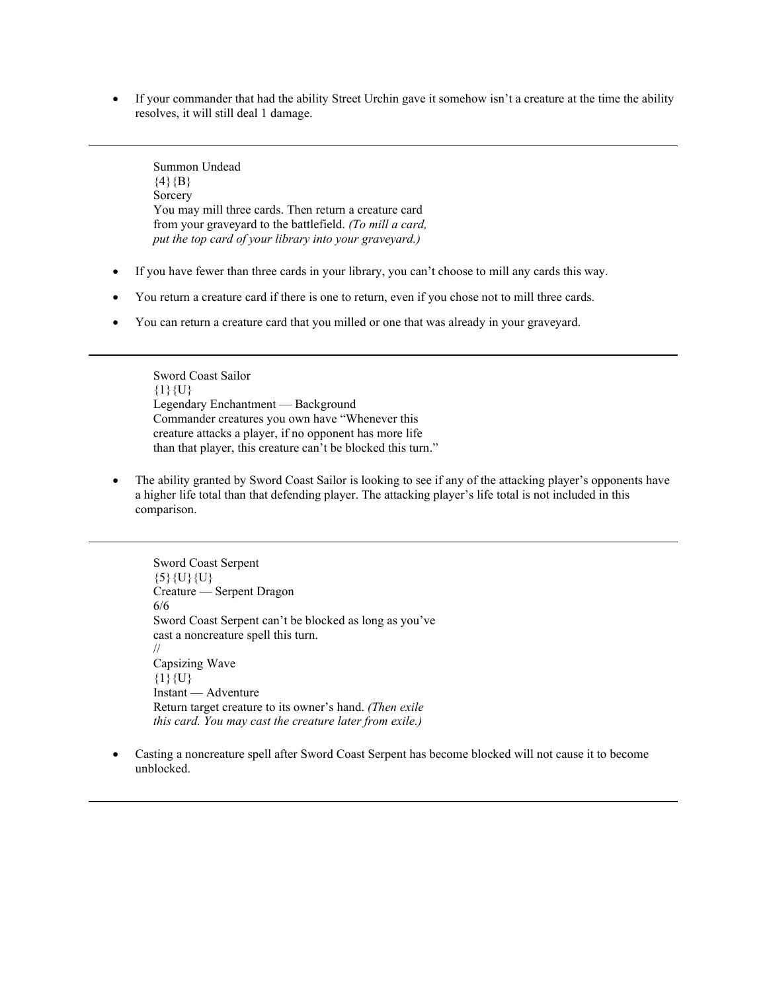• If your commander that had the ability Street Urchin gave it somehow isn't a creature at the time the ability resolves, it will still deal 1 damage.

Summon Undead  $\{4\}$ {B} Sorcery You may mill three cards. Then return a creature card from your graveyard to the battlefield. *(To mill a card, put the top card of your library into your graveyard.)*

- If you have fewer than three cards in your library, you can't choose to mill any cards this way.
- You return a creature card if there is one to return, even if you chose not to mill three cards.
- You can return a creature card that you milled or one that was already in your graveyard.

Sword Coast Sailor  $\{1\}\{U\}$ Legendary Enchantment — Background Commander creatures you own have "Whenever this creature attacks a player, if no opponent has more life than that player, this creature can't be blocked this turn."

• The ability granted by Sword Coast Sailor is looking to see if any of the attacking player's opponents have a higher life total than that defending player. The attacking player's life total is not included in this comparison.

Sword Coast Serpent  $\{5\}$ {U}{U}} Creature — Serpent Dragon 6/6 Sword Coast Serpent can't be blocked as long as you've cast a noncreature spell this turn. // Capsizing Wave  ${1}{U}$ Instant — Adventure Return target creature to its owner's hand. *(Then exile this card. You may cast the creature later from exile.)*

• Casting a noncreature spell after Sword Coast Serpent has become blocked will not cause it to become unblocked.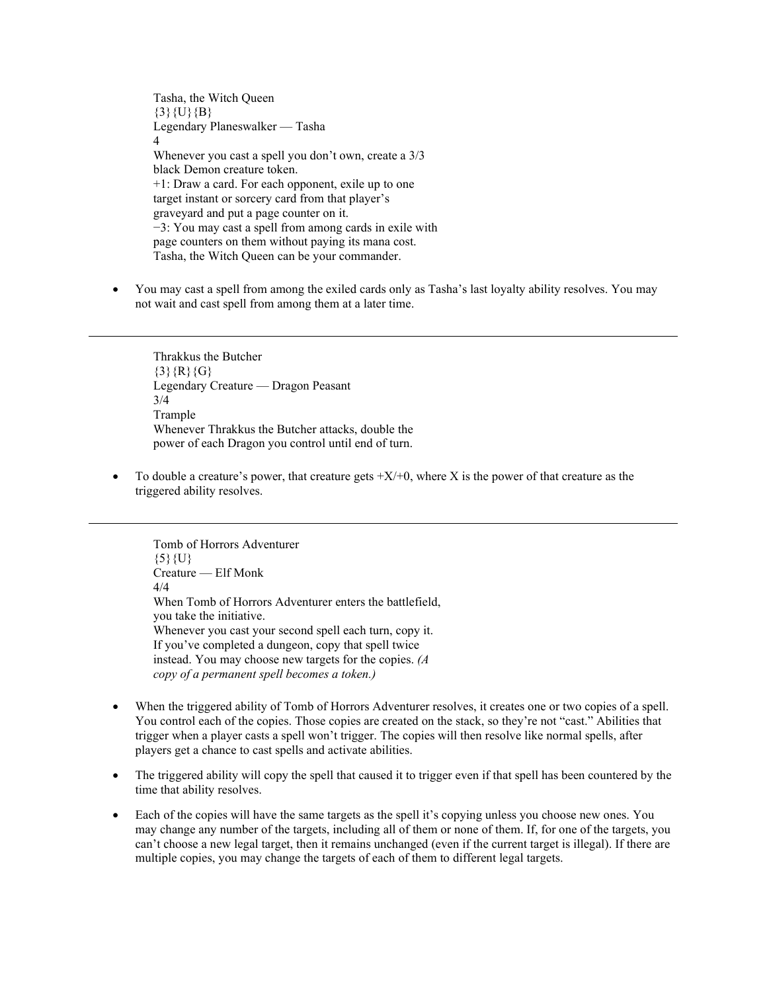Tasha, the Witch Queen  ${3}{U}{B}$ Legendary Planeswalker — Tasha 4 Whenever you cast a spell you don't own, create a 3/3 black Demon creature token. +1: Draw a card. For each opponent, exile up to one target instant or sorcery card from that player's graveyard and put a page counter on it. −3: You may cast a spell from among cards in exile with page counters on them without paying its mana cost. Tasha, the Witch Queen can be your commander.

• You may cast a spell from among the exiled cards only as Tasha's last loyalty ability resolves. You may not wait and cast spell from among them at a later time.

Thrakkus the Butcher  $\{3\}$  {R}{G} Legendary Creature — Dragon Peasant 3/4 Trample Whenever Thrakkus the Butcher attacks, double the power of each Dragon you control until end of turn.

To double a creature's power, that creature gets  $+X/+0$ , where X is the power of that creature as the triggered ability resolves.

Tomb of Horrors Adventurer  $\{5\}\{U\}$ Creature — Elf Monk 4/4 When Tomb of Horrors Adventurer enters the battlefield, you take the initiative. Whenever you cast your second spell each turn, copy it. If you've completed a dungeon, copy that spell twice instead. You may choose new targets for the copies. *(A copy of a permanent spell becomes a token.)*

- When the triggered ability of Tomb of Horrors Adventurer resolves, it creates one or two copies of a spell. You control each of the copies. Those copies are created on the stack, so they're not "cast." Abilities that trigger when a player casts a spell won't trigger. The copies will then resolve like normal spells, after players get a chance to cast spells and activate abilities.
- The triggered ability will copy the spell that caused it to trigger even if that spell has been countered by the time that ability resolves.
- Each of the copies will have the same targets as the spell it's copying unless you choose new ones. You may change any number of the targets, including all of them or none of them. If, for one of the targets, you can't choose a new legal target, then it remains unchanged (even if the current target is illegal). If there are multiple copies, you may change the targets of each of them to different legal targets.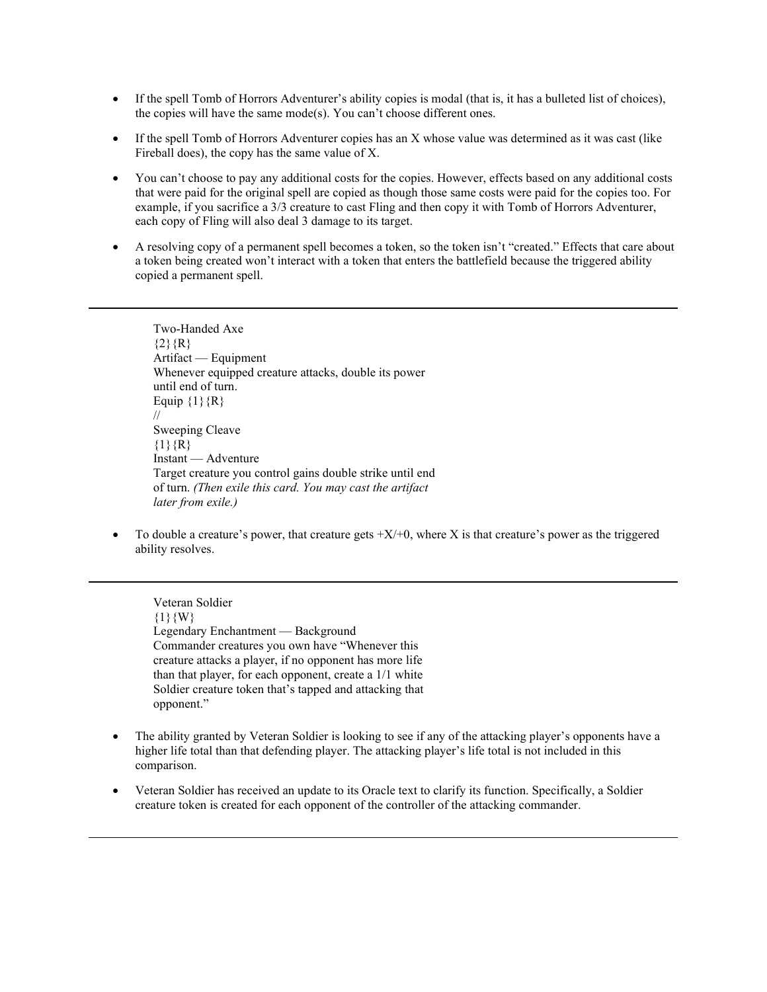- If the spell Tomb of Horrors Adventurer's ability copies is modal (that is, it has a bulleted list of choices), the copies will have the same mode(s). You can't choose different ones.
- If the spell Tomb of Horrors Adventurer copies has an X whose value was determined as it was cast (like Fireball does), the copy has the same value of X.
- You can't choose to pay any additional costs for the copies. However, effects based on any additional costs that were paid for the original spell are copied as though those same costs were paid for the copies too. For example, if you sacrifice a 3/3 creature to cast Fling and then copy it with Tomb of Horrors Adventurer, each copy of Fling will also deal 3 damage to its target.
- A resolving copy of a permanent spell becomes a token, so the token isn't "created." Effects that care about a token being created won't interact with a token that enters the battlefield because the triggered ability copied a permanent spell.

Two-Handed Axe  ${2}{R}$ Artifact — Equipment Whenever equipped creature attacks, double its power until end of turn. Equip  $\{1\}$ {R} // Sweeping Cleave  ${1}{R}$ Instant — Adventure Target creature you control gains double strike until end of turn. *(Then exile this card. You may cast the artifact later from exile.)*

To double a creature's power, that creature gets  $+X/+0$ , where X is that creature's power as the triggered ability resolves.

Veteran Soldier  ${1}{W}$ Legendary Enchantment — Background Commander creatures you own have "Whenever this creature attacks a player, if no opponent has more life than that player, for each opponent, create a 1/1 white Soldier creature token that's tapped and attacking that opponent."

- The ability granted by Veteran Soldier is looking to see if any of the attacking player's opponents have a higher life total than that defending player. The attacking player's life total is not included in this comparison.
- Veteran Soldier has received an update to its Oracle text to clarify its function. Specifically, a Soldier creature token is created for each opponent of the controller of the attacking commander.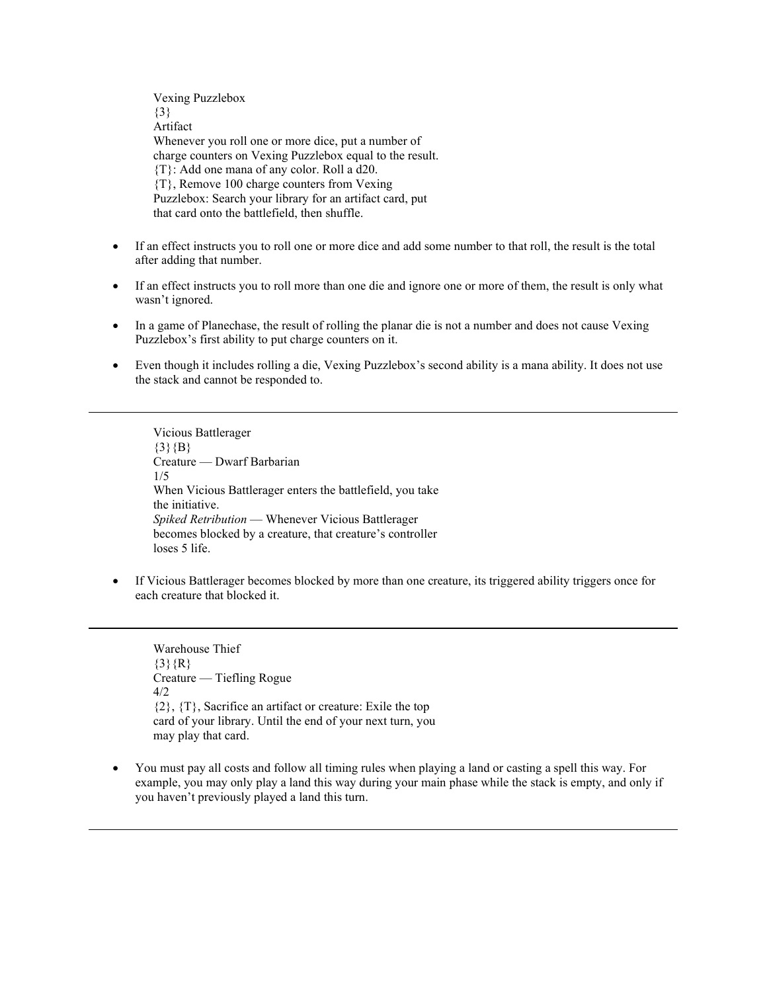Vexing Puzzlebox {3} Artifact Whenever you roll one or more dice, put a number of charge counters on Vexing Puzzlebox equal to the result. {T}: Add one mana of any color. Roll a d20. {T}, Remove 100 charge counters from Vexing Puzzlebox: Search your library for an artifact card, put that card onto the battlefield, then shuffle.

- If an effect instructs you to roll one or more dice and add some number to that roll, the result is the total after adding that number.
- If an effect instructs you to roll more than one die and ignore one or more of them, the result is only what wasn't ignored.
- In a game of Planechase, the result of rolling the planar die is not a number and does not cause Vexing Puzzlebox's first ability to put charge counters on it.
- Even though it includes rolling a die, Vexing Puzzlebox's second ability is a mana ability. It does not use the stack and cannot be responded to.

Vicious Battlerager  ${3}{B}$ Creature — Dwarf Barbarian 1/5 When Vicious Battlerager enters the battlefield, you take the initiative. *Spiked Retribution* — Whenever Vicious Battlerager becomes blocked by a creature, that creature's controller loses 5 life.

• If Vicious Battlerager becomes blocked by more than one creature, its triggered ability triggers once for each creature that blocked it.

Warehouse Thief  $\{3\}$ {R} Creature — Tiefling Rogue  $4/2$ {2}, {T}, Sacrifice an artifact or creature: Exile the top card of your library. Until the end of your next turn, you may play that card.

• You must pay all costs and follow all timing rules when playing a land or casting a spell this way. For example, you may only play a land this way during your main phase while the stack is empty, and only if you haven't previously played a land this turn.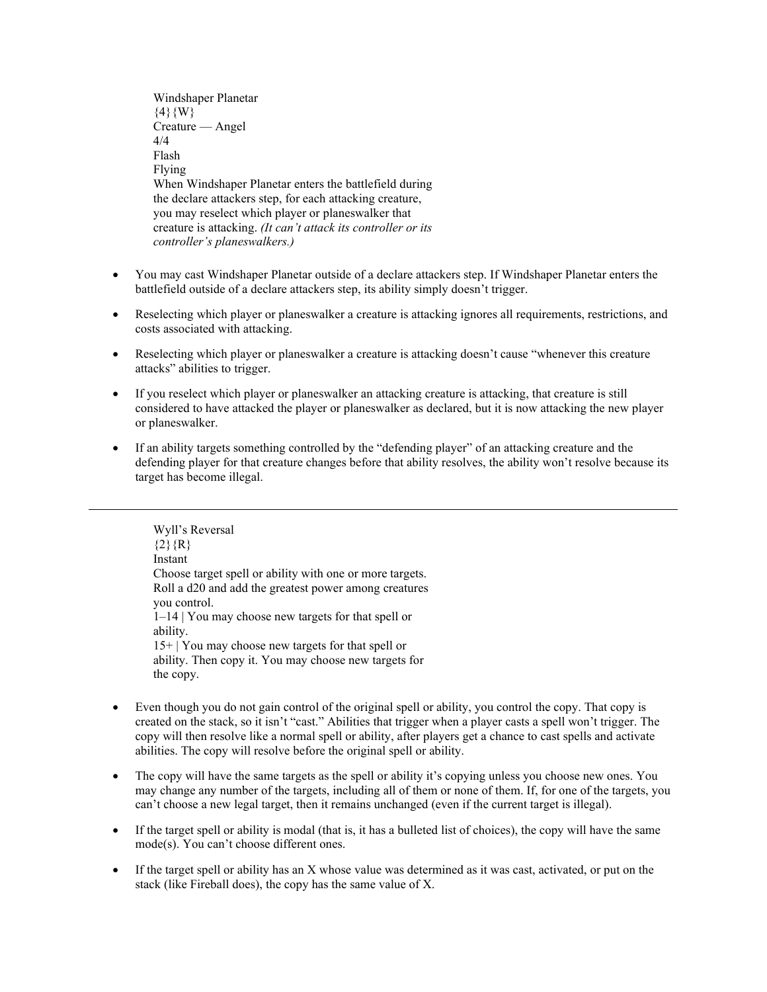Windshaper Planetar  $\{4\}$ {W} Creature — Angel 4/4 Flash Flying When Windshaper Planetar enters the battlefield during the declare attackers step, for each attacking creature, you may reselect which player or planeswalker that creature is attacking. *(It can't attack its controller or its controller's planeswalkers.)*

- You may cast Windshaper Planetar outside of a declare attackers step. If Windshaper Planetar enters the battlefield outside of a declare attackers step, its ability simply doesn't trigger.
- Reselecting which player or planeswalker a creature is attacking ignores all requirements, restrictions, and costs associated with attacking.
- Reselecting which player or planeswalker a creature is attacking doesn't cause "whenever this creature attacks" abilities to trigger.
- If you reselect which player or planeswalker an attacking creature is attacking, that creature is still considered to have attacked the player or planeswalker as declared, but it is now attacking the new player or planeswalker.
- If an ability targets something controlled by the "defending player" of an attacking creature and the defending player for that creature changes before that ability resolves, the ability won't resolve because its target has become illegal.

Wyll's Reversal  ${2}$ {R} Instant Choose target spell or ability with one or more targets. Roll a d20 and add the greatest power among creatures you control. 1–14 | You may choose new targets for that spell or ability. 15+ | You may choose new targets for that spell or ability. Then copy it. You may choose new targets for the copy.

- Even though you do not gain control of the original spell or ability, you control the copy. That copy is created on the stack, so it isn't "cast." Abilities that trigger when a player casts a spell won't trigger. The copy will then resolve like a normal spell or ability, after players get a chance to cast spells and activate abilities. The copy will resolve before the original spell or ability.
- The copy will have the same targets as the spell or ability it's copying unless you choose new ones. You may change any number of the targets, including all of them or none of them. If, for one of the targets, you can't choose a new legal target, then it remains unchanged (even if the current target is illegal).
- If the target spell or ability is modal (that is, it has a bulleted list of choices), the copy will have the same mode(s). You can't choose different ones.
- If the target spell or ability has an X whose value was determined as it was cast, activated, or put on the stack (like Fireball does), the copy has the same value of X.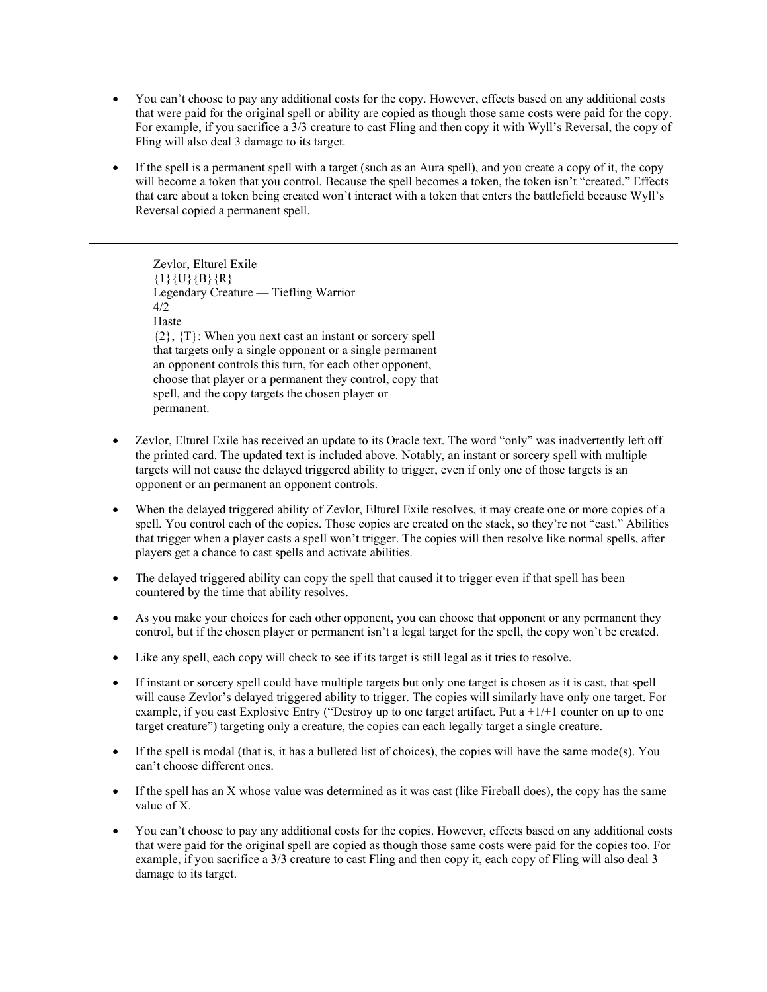- You can't choose to pay any additional costs for the copy. However, effects based on any additional costs that were paid for the original spell or ability are copied as though those same costs were paid for the copy. For example, if you sacrifice a 3/3 creature to cast Fling and then copy it with Wyll's Reversal, the copy of Fling will also deal 3 damage to its target.
- If the spell is a permanent spell with a target (such as an Aura spell), and you create a copy of it, the copy will become a token that you control. Because the spell becomes a token, the token isn't "created." Effects that care about a token being created won't interact with a token that enters the battlefield because Wyll's Reversal copied a permanent spell.

Zevlor, Elturel Exile  $\{1\}\{U\}\{B\}\{R\}$ Legendary Creature — Tiefling Warrior 4/2 Haste {2}, {T}: When you next cast an instant or sorcery spell that targets only a single opponent or a single permanent an opponent controls this turn, for each other opponent, choose that player or a permanent they control, copy that spell, and the copy targets the chosen player or permanent.

- Zevlor, Elturel Exile has received an update to its Oracle text. The word "only" was inadvertently left off the printed card. The updated text is included above. Notably, an instant or sorcery spell with multiple targets will not cause the delayed triggered ability to trigger, even if only one of those targets is an opponent or an permanent an opponent controls.
- When the delayed triggered ability of Zevlor, Elturel Exile resolves, it may create one or more copies of a spell. You control each of the copies. Those copies are created on the stack, so they're not "cast." Abilities that trigger when a player casts a spell won't trigger. The copies will then resolve like normal spells, after players get a chance to cast spells and activate abilities.
- The delayed triggered ability can copy the spell that caused it to trigger even if that spell has been countered by the time that ability resolves.
- As you make your choices for each other opponent, you can choose that opponent or any permanent they control, but if the chosen player or permanent isn't a legal target for the spell, the copy won't be created.
- Like any spell, each copy will check to see if its target is still legal as it tries to resolve.
- If instant or sorcery spell could have multiple targets but only one target is chosen as it is cast, that spell will cause Zevlor's delayed triggered ability to trigger. The copies will similarly have only one target. For example, if you cast Explosive Entry ("Destroy up to one target artifact. Put a  $+1/+1$  counter on up to one target creature") targeting only a creature, the copies can each legally target a single creature.
- If the spell is modal (that is, it has a bulleted list of choices), the copies will have the same mode(s). You can't choose different ones.
- If the spell has an X whose value was determined as it was cast (like Fireball does), the copy has the same value of X.
- You can't choose to pay any additional costs for the copies. However, effects based on any additional costs that were paid for the original spell are copied as though those same costs were paid for the copies too. For example, if you sacrifice a 3/3 creature to cast Fling and then copy it, each copy of Fling will also deal 3 damage to its target.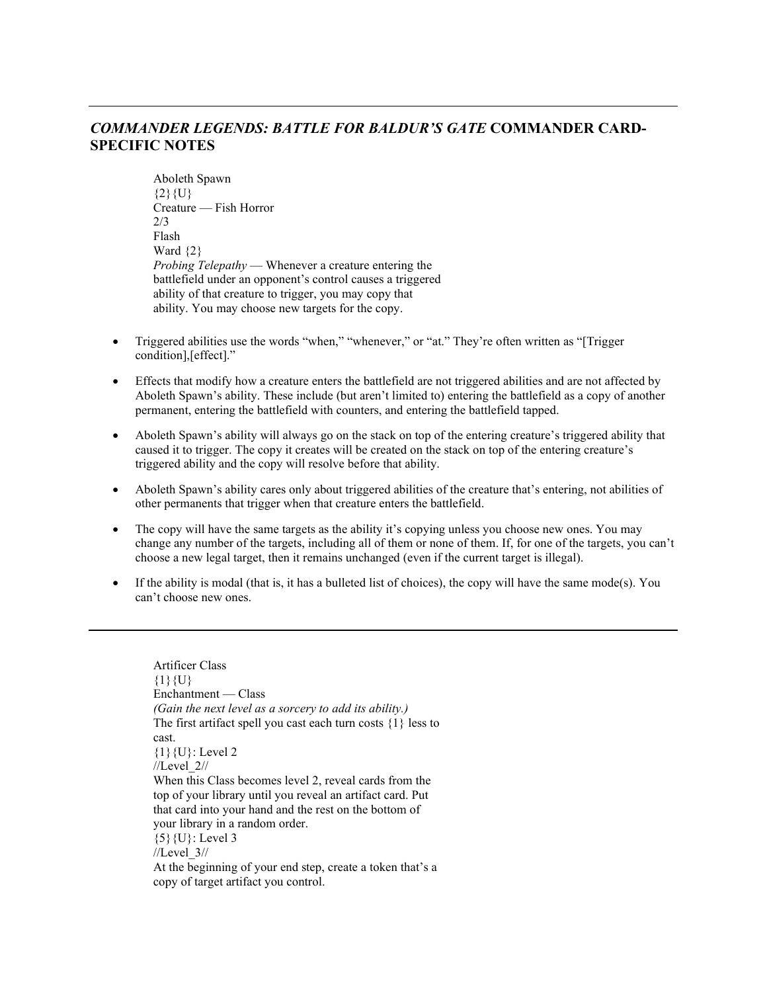# *COMMANDER LEGENDS: BATTLE FOR BALDUR'S GATE* **COMMANDER CARD-SPECIFIC NOTES**

Aboleth Spawn  ${2}{U}$ Creature — Fish Horror 2/3 Flash Ward  $\{2\}$ *Probing Telepathy* — Whenever a creature entering the battlefield under an opponent's control causes a triggered ability of that creature to trigger, you may copy that ability. You may choose new targets for the copy.

- Triggered abilities use the words "when," "whenever," or "at." They're often written as "[Trigger condition],[effect]."
- Effects that modify how a creature enters the battlefield are not triggered abilities and are not affected by Aboleth Spawn's ability. These include (but aren't limited to) entering the battlefield as a copy of another permanent, entering the battlefield with counters, and entering the battlefield tapped.
- Aboleth Spawn's ability will always go on the stack on top of the entering creature's triggered ability that caused it to trigger. The copy it creates will be created on the stack on top of the entering creature's triggered ability and the copy will resolve before that ability.
- Aboleth Spawn's ability cares only about triggered abilities of the creature that's entering, not abilities of other permanents that trigger when that creature enters the battlefield.
- The copy will have the same targets as the ability it's copying unless you choose new ones. You may change any number of the targets, including all of them or none of them. If, for one of the targets, you can't choose a new legal target, then it remains unchanged (even if the current target is illegal).
- If the ability is modal (that is, it has a bulleted list of choices), the copy will have the same mode(s). You can't choose new ones.

```
Artificer Class
{1}{U}
Enchantment — Class
(Gain the next level as a sorcery to add its ability.)
The first artifact spell you cast each turn costs \{1\} less to
cast.
{1}{U}: Level 2
//Level_2//
When this Class becomes level 2, reveal cards from the 
top of your library until you reveal an artifact card. Put 
that card into your hand and the rest on the bottom of 
your library in a random order.
{5}{U}: Level 3
//Level_3//
At the beginning of your end step, create a token that's a 
copy of target artifact you control.
```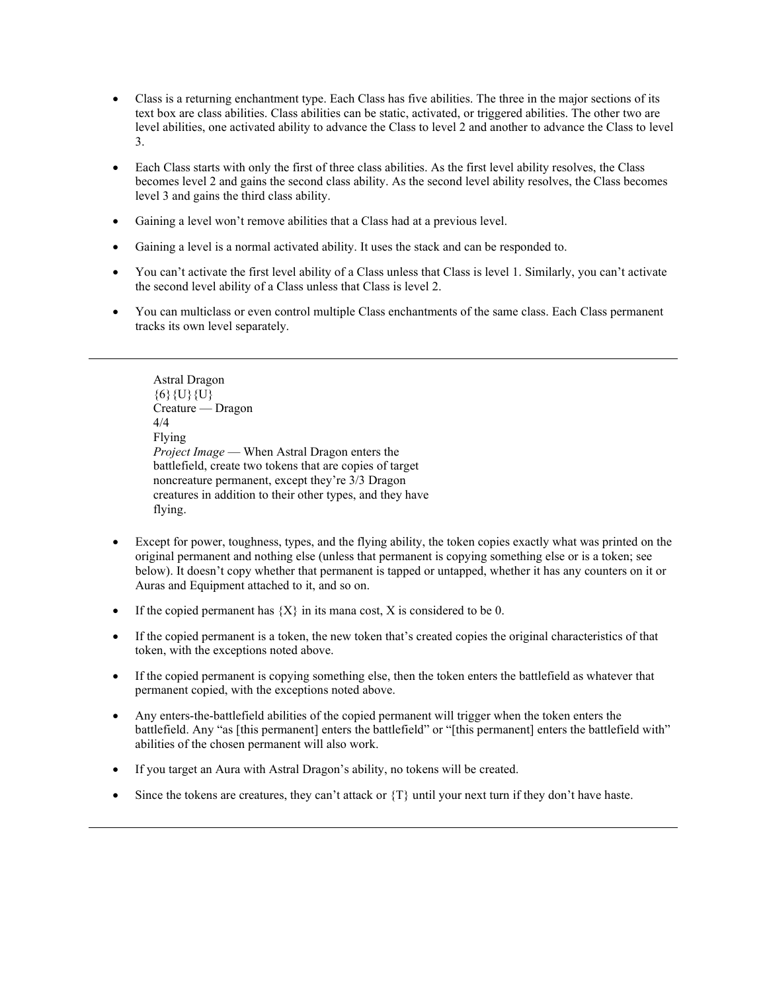- Class is a returning enchantment type. Each Class has five abilities. The three in the major sections of its text box are class abilities. Class abilities can be static, activated, or triggered abilities. The other two are level abilities, one activated ability to advance the Class to level 2 and another to advance the Class to level 3.
- Each Class starts with only the first of three class abilities. As the first level ability resolves, the Class becomes level 2 and gains the second class ability. As the second level ability resolves, the Class becomes level 3 and gains the third class ability.
- Gaining a level won't remove abilities that a Class had at a previous level.
- Gaining a level is a normal activated ability. It uses the stack and can be responded to.
- You can't activate the first level ability of a Class unless that Class is level 1. Similarly, you can't activate the second level ability of a Class unless that Class is level 2.
- You can multiclass or even control multiple Class enchantments of the same class. Each Class permanent tracks its own level separately.

Astral Dragon  $\{6\}\{U\}\{U\}$ Creature — Dragon 4/4 Flying *Project Image* — When Astral Dragon enters the battlefield, create two tokens that are copies of target noncreature permanent, except they're 3/3 Dragon creatures in addition to their other types, and they have flying.

- Except for power, toughness, types, and the flying ability, the token copies exactly what was printed on the original permanent and nothing else (unless that permanent is copying something else or is a token; see below). It doesn't copy whether that permanent is tapped or untapped, whether it has any counters on it or Auras and Equipment attached to it, and so on.
- If the copied permanent has  ${X}$  in its mana cost, X is considered to be 0.
- If the copied permanent is a token, the new token that's created copies the original characteristics of that token, with the exceptions noted above.
- If the copied permanent is copying something else, then the token enters the battlefield as whatever that permanent copied, with the exceptions noted above.
- Any enters-the-battlefield abilities of the copied permanent will trigger when the token enters the battlefield. Any "as [this permanent] enters the battlefield" or "[this permanent] enters the battlefield with" abilities of the chosen permanent will also work.
- If you target an Aura with Astral Dragon's ability, no tokens will be created.
- Since the tokens are creatures, they can't attack or {T} until your next turn if they don't have haste.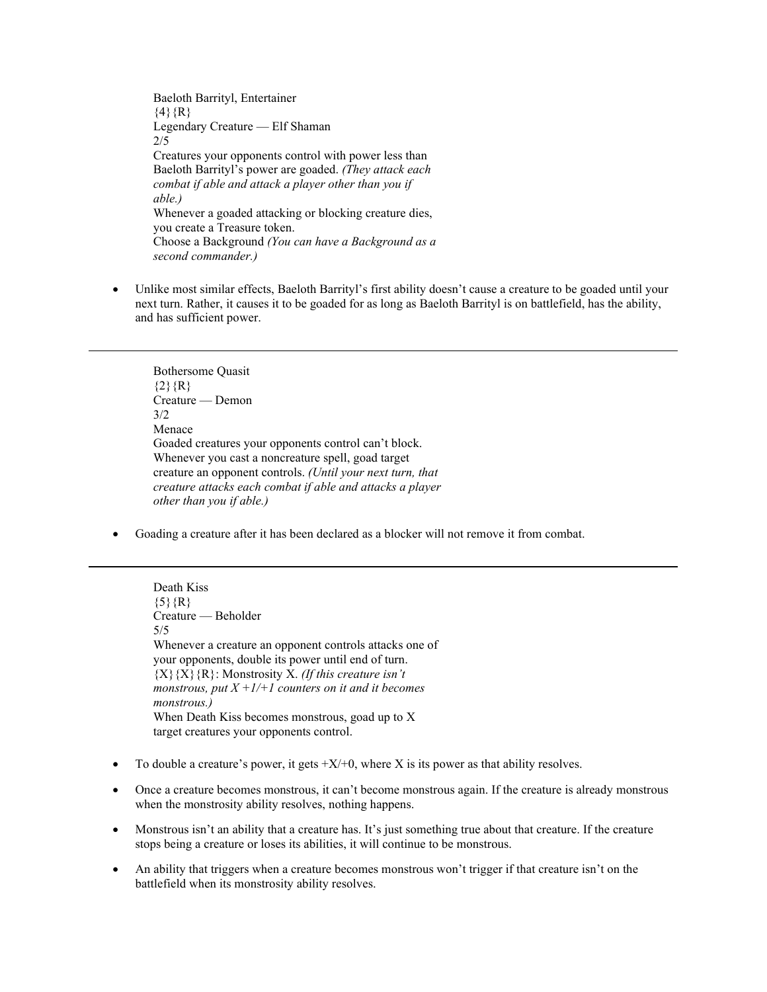Baeloth Barrityl, Entertainer  $\{4\}$ {R} Legendary Creature — Elf Shaman 2/5 Creatures your opponents control with power less than Baeloth Barrityl's power are goaded. *(They attack each combat if able and attack a player other than you if able.)* Whenever a goaded attacking or blocking creature dies, you create a Treasure token. Choose a Background *(You can have a Background as a second commander.)*

• Unlike most similar effects, Baeloth Barrityl's first ability doesn't cause a creature to be goaded until your next turn. Rather, it causes it to be goaded for as long as Baeloth Barrityl is on battlefield, has the ability, and has sufficient power.

Bothersome Quasit  ${2}{R}$ Creature — Demon 3/2 Menace Goaded creatures your opponents control can't block. Whenever you cast a noncreature spell, goad target creature an opponent controls. *(Until your next turn, that creature attacks each combat if able and attacks a player other than you if able.)*

• Goading a creature after it has been declared as a blocker will not remove it from combat.

Death Kiss  ${5}$ {R} Creature — Beholder 5/5 Whenever a creature an opponent controls attacks one of your opponents, double its power until end of turn. {X}{X}{R}: Monstrosity X. *(If this creature isn't monstrous, put*  $X + I/+I$  *counters on it and it becomes monstrous.)* When Death Kiss becomes monstrous, goad up to X target creatures your opponents control.

- To double a creature's power, it gets  $+X/+0$ , where X is its power as that ability resolves.
- Once a creature becomes monstrous, it can't become monstrous again. If the creature is already monstrous when the monstrosity ability resolves, nothing happens.
- Monstrous isn't an ability that a creature has. It's just something true about that creature. If the creature stops being a creature or loses its abilities, it will continue to be monstrous.
- An ability that triggers when a creature becomes monstrous won't trigger if that creature isn't on the battlefield when its monstrosity ability resolves.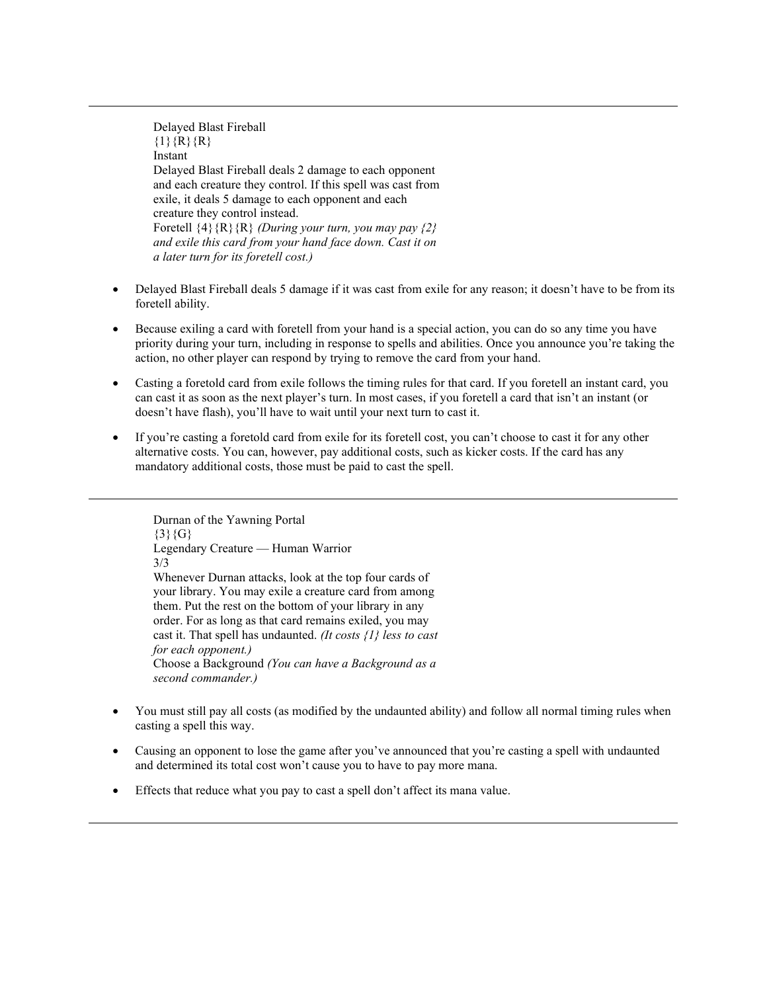Delayed Blast Fireball  $\{1\}$ {R}{R} Instant Delayed Blast Fireball deals 2 damage to each opponent and each creature they control. If this spell was cast from exile, it deals 5 damage to each opponent and each creature they control instead. Foretell {4}{R}{R} *(During your turn, you may pay {2} and exile this card from your hand face down. Cast it on a later turn for its foretell cost.)*

- Delayed Blast Fireball deals 5 damage if it was cast from exile for any reason; it doesn't have to be from its foretell ability.
- Because exiling a card with foretell from your hand is a special action, you can do so any time you have priority during your turn, including in response to spells and abilities. Once you announce you're taking the action, no other player can respond by trying to remove the card from your hand.
- Casting a foretold card from exile follows the timing rules for that card. If you foretell an instant card, you can cast it as soon as the next player's turn. In most cases, if you foretell a card that isn't an instant (or doesn't have flash), you'll have to wait until your next turn to cast it.
- If you're casting a foretold card from exile for its foretell cost, you can't choose to cast it for any other alternative costs. You can, however, pay additional costs, such as kicker costs. If the card has any mandatory additional costs, those must be paid to cast the spell.

Durnan of the Yawning Portal  $\{3\}\{G\}$ Legendary Creature — Human Warrior 3/3 Whenever Durnan attacks, look at the top four cards of your library. You may exile a creature card from among them. Put the rest on the bottom of your library in any order. For as long as that card remains exiled, you may cast it. That spell has undaunted. *(It costs {1} less to cast for each opponent.)* Choose a Background *(You can have a Background as a second commander.)*

- You must still pay all costs (as modified by the undaunted ability) and follow all normal timing rules when casting a spell this way.
- Causing an opponent to lose the game after you've announced that you're casting a spell with undaunted and determined its total cost won't cause you to have to pay more mana.
- Effects that reduce what you pay to cast a spell don't affect its mana value.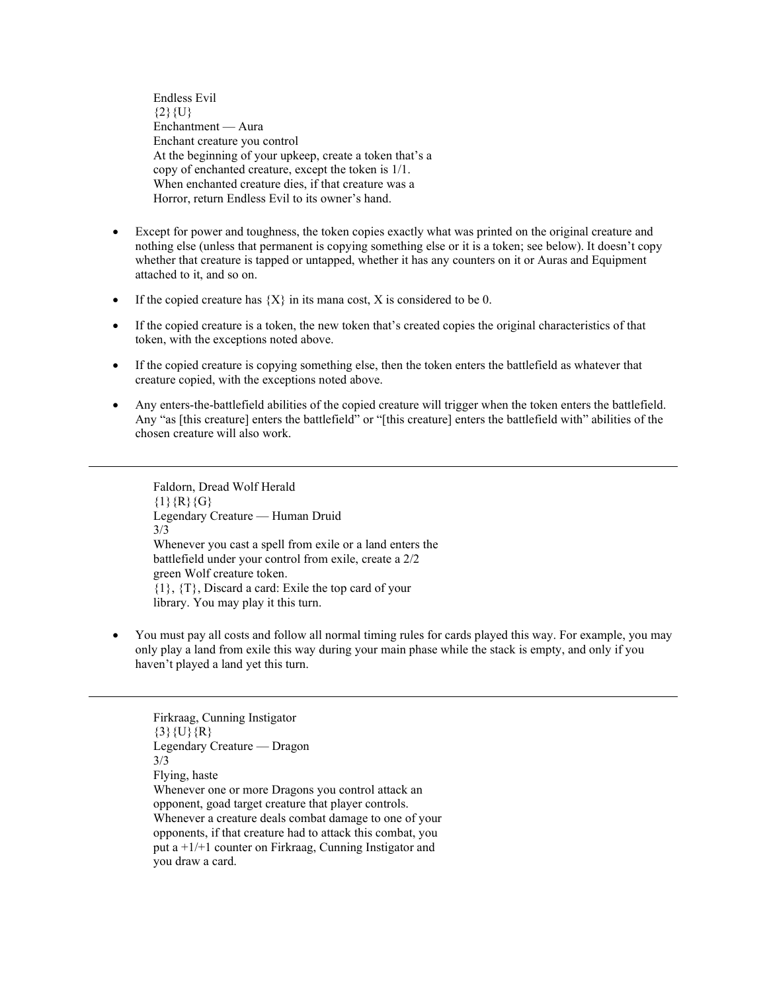Endless Evil  ${2}$ {U} Enchantment — Aura Enchant creature you control At the beginning of your upkeep, create a token that's a copy of enchanted creature, except the token is 1/1. When enchanted creature dies, if that creature was a Horror, return Endless Evil to its owner's hand.

- Except for power and toughness, the token copies exactly what was printed on the original creature and nothing else (unless that permanent is copying something else or it is a token; see below). It doesn't copy whether that creature is tapped or untapped, whether it has any counters on it or Auras and Equipment attached to it, and so on.
- If the copied creature has  ${X}$  in its mana cost, X is considered to be 0.
- If the copied creature is a token, the new token that's created copies the original characteristics of that token, with the exceptions noted above.
- If the copied creature is copying something else, then the token enters the battlefield as whatever that creature copied, with the exceptions noted above.
- Any enters-the-battlefield abilities of the copied creature will trigger when the token enters the battlefield. Any "as [this creature] enters the battlefield" or "[this creature] enters the battlefield with" abilities of the chosen creature will also work.

Faldorn, Dread Wolf Herald  ${1}{R}{G}$ Legendary Creature — Human Druid 3/3 Whenever you cast a spell from exile or a land enters the battlefield under your control from exile, create a 2/2 green Wolf creature token. {1}, {T}, Discard a card: Exile the top card of your library. You may play it this turn.

• You must pay all costs and follow all normal timing rules for cards played this way. For example, you may only play a land from exile this way during your main phase while the stack is empty, and only if you haven't played a land yet this turn.

Firkraag, Cunning Instigator  $\{3\}$ {U}{R} Legendary Creature — Dragon 3/3 Flying, haste Whenever one or more Dragons you control attack an opponent, goad target creature that player controls. Whenever a creature deals combat damage to one of your opponents, if that creature had to attack this combat, you put a +1/+1 counter on Firkraag, Cunning Instigator and you draw a card.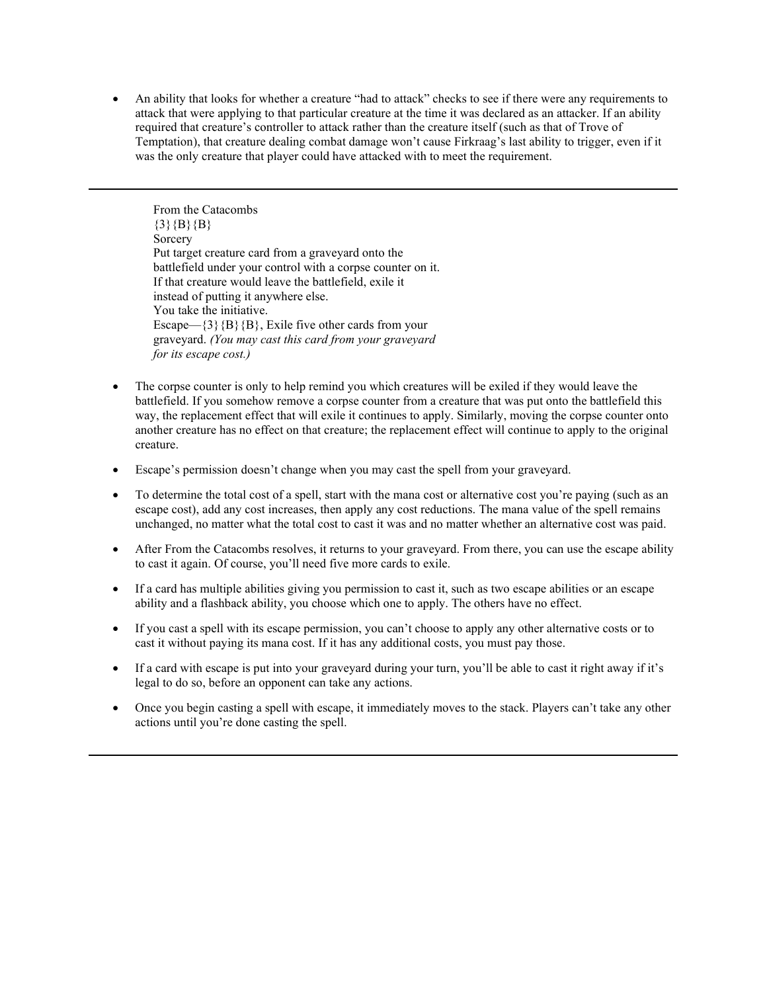• An ability that looks for whether a creature "had to attack" checks to see if there were any requirements to attack that were applying to that particular creature at the time it was declared as an attacker. If an ability required that creature's controller to attack rather than the creature itself (such as that of Trove of Temptation), that creature dealing combat damage won't cause Firkraag's last ability to trigger, even if it was the only creature that player could have attacked with to meet the requirement.

From the Catacombs  ${3}{B}{B}{B}$ Sorcery Put target creature card from a graveyard onto the battlefield under your control with a corpse counter on it. If that creature would leave the battlefield, exile it instead of putting it anywhere else. You take the initiative. Escape— $\{3\}$ {B}, Exile five other cards from your graveyard. *(You may cast this card from your graveyard for its escape cost.)*

- The corpse counter is only to help remind you which creatures will be exiled if they would leave the battlefield. If you somehow remove a corpse counter from a creature that was put onto the battlefield this way, the replacement effect that will exile it continues to apply. Similarly, moving the corpse counter onto another creature has no effect on that creature; the replacement effect will continue to apply to the original creature.
- Escape's permission doesn't change when you may cast the spell from your graveyard.
- To determine the total cost of a spell, start with the mana cost or alternative cost you're paying (such as an escape cost), add any cost increases, then apply any cost reductions. The mana value of the spell remains unchanged, no matter what the total cost to cast it was and no matter whether an alternative cost was paid.
- After From the Catacombs resolves, it returns to your graveyard. From there, you can use the escape ability to cast it again. Of course, you'll need five more cards to exile.
- If a card has multiple abilities giving you permission to cast it, such as two escape abilities or an escape ability and a flashback ability, you choose which one to apply. The others have no effect.
- If you cast a spell with its escape permission, you can't choose to apply any other alternative costs or to cast it without paying its mana cost. If it has any additional costs, you must pay those.
- If a card with escape is put into your graveyard during your turn, you'll be able to cast it right away if it's legal to do so, before an opponent can take any actions.
- Once you begin casting a spell with escape, it immediately moves to the stack. Players can't take any other actions until you're done casting the spell.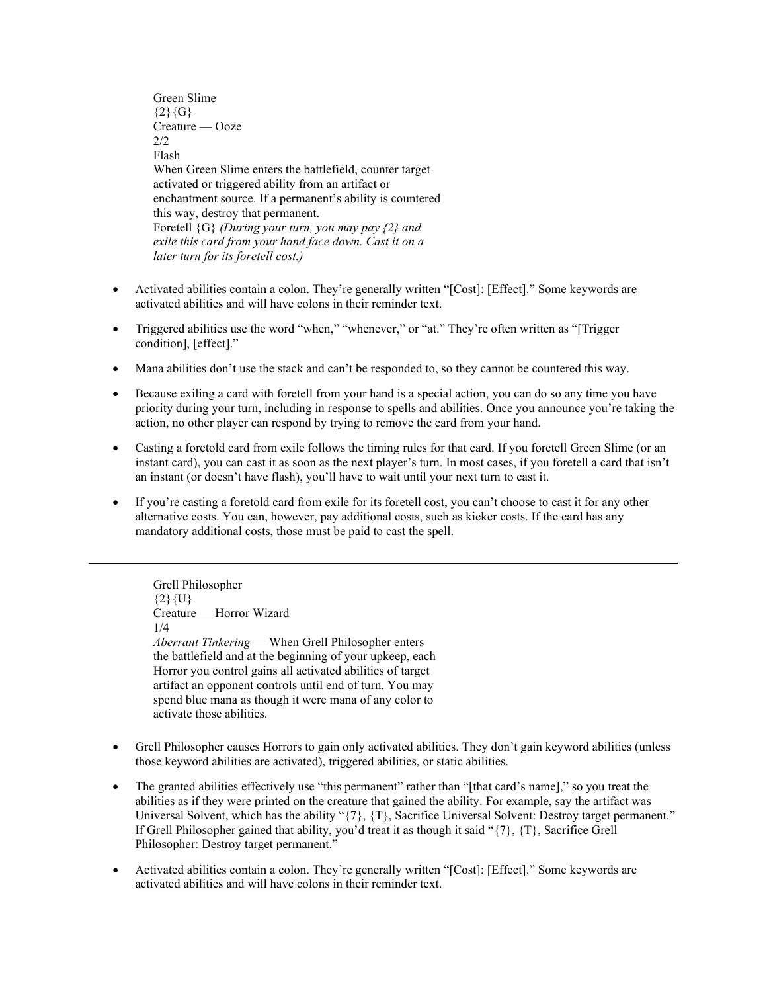Green Slime  ${2}{G}$ Creature — Ooze  $2/2$ Flash When Green Slime enters the battlefield, counter target activated or triggered ability from an artifact or enchantment source. If a permanent's ability is countered this way, destroy that permanent. Foretell {G} *(During your turn, you may pay {2} and exile this card from your hand face down. Cast it on a later turn for its foretell cost.)*

- Activated abilities contain a colon. They're generally written "[Cost]: [Effect]." Some keywords are activated abilities and will have colons in their reminder text.
- Triggered abilities use the word "when," "whenever," or "at." They're often written as "[Trigger condition], [effect]."
- Mana abilities don't use the stack and can't be responded to, so they cannot be countered this way.
- Because exiling a card with foretell from your hand is a special action, you can do so any time you have priority during your turn, including in response to spells and abilities. Once you announce you're taking the action, no other player can respond by trying to remove the card from your hand.
- Casting a foretold card from exile follows the timing rules for that card. If you foretell Green Slime (or an instant card), you can cast it as soon as the next player's turn. In most cases, if you foretell a card that isn't an instant (or doesn't have flash), you'll have to wait until your next turn to cast it.
- If you're casting a foretold card from exile for its foretell cost, you can't choose to cast it for any other alternative costs. You can, however, pay additional costs, such as kicker costs. If the card has any mandatory additional costs, those must be paid to cast the spell.

Grell Philosopher  ${2}{U}$ Creature — Horror Wizard 1/4 *Aberrant Tinkering* — When Grell Philosopher enters the battlefield and at the beginning of your upkeep, each Horror you control gains all activated abilities of target artifact an opponent controls until end of turn. You may spend blue mana as though it were mana of any color to activate those abilities.

- Grell Philosopher causes Horrors to gain only activated abilities. They don't gain keyword abilities (unless those keyword abilities are activated), triggered abilities, or static abilities.
- The granted abilities effectively use "this permanent" rather than "[that card's name]," so you treat the abilities as if they were printed on the creature that gained the ability. For example, say the artifact was Universal Solvent, which has the ability "{7}, {T}, Sacrifice Universal Solvent: Destroy target permanent." If Grell Philosopher gained that ability, you'd treat it as though it said "{7}, {T}, Sacrifice Grell Philosopher: Destroy target permanent."
- Activated abilities contain a colon. They're generally written "[Cost]: [Effect]." Some keywords are activated abilities and will have colons in their reminder text.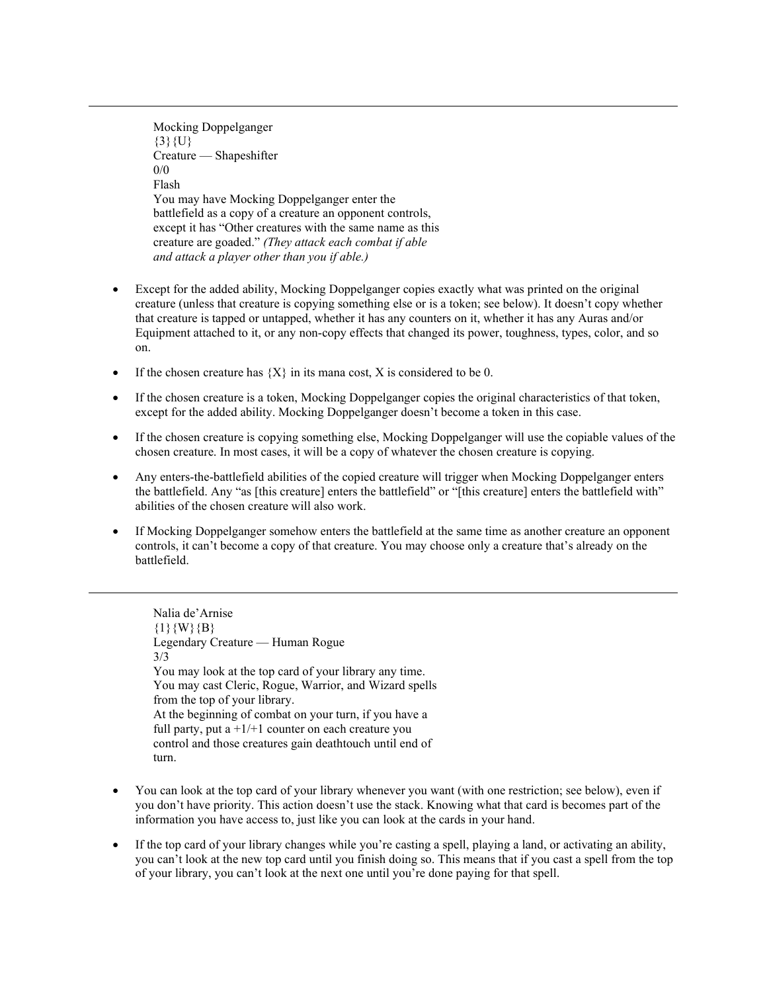Mocking Doppelganger  $\{3\}\{U\}$ Creature — Shapeshifter  $0/0$ Flash You may have Mocking Doppelganger enter the battlefield as a copy of a creature an opponent controls, except it has "Other creatures with the same name as this creature are goaded." *(They attack each combat if able and attack a player other than you if able.)*

- Except for the added ability, Mocking Doppelganger copies exactly what was printed on the original creature (unless that creature is copying something else or is a token; see below). It doesn't copy whether that creature is tapped or untapped, whether it has any counters on it, whether it has any Auras and/or Equipment attached to it, or any non-copy effects that changed its power, toughness, types, color, and so on.
- If the chosen creature has  $\{X\}$  in its mana cost, X is considered to be 0.
- If the chosen creature is a token, Mocking Doppelganger copies the original characteristics of that token, except for the added ability. Mocking Doppelganger doesn't become a token in this case.
- If the chosen creature is copying something else, Mocking Doppelganger will use the copiable values of the chosen creature. In most cases, it will be a copy of whatever the chosen creature is copying.
- Any enters-the-battlefield abilities of the copied creature will trigger when Mocking Doppelganger enters the battlefield. Any "as [this creature] enters the battlefield" or "[this creature] enters the battlefield with" abilities of the chosen creature will also work.
- If Mocking Doppelganger somehow enters the battlefield at the same time as another creature an opponent controls, it can't become a copy of that creature. You may choose only a creature that's already on the battlefield.

Nalia de'Arnise  ${1}{W}{B}$ Legendary Creature — Human Rogue 3/3 You may look at the top card of your library any time. You may cast Cleric, Rogue, Warrior, and Wizard spells from the top of your library. At the beginning of combat on your turn, if you have a full party, put a  $+1/+1$  counter on each creature you control and those creatures gain deathtouch until end of turn.

- You can look at the top card of your library whenever you want (with one restriction; see below), even if you don't have priority. This action doesn't use the stack. Knowing what that card is becomes part of the information you have access to, just like you can look at the cards in your hand.
- If the top card of your library changes while you're casting a spell, playing a land, or activating an ability, you can't look at the new top card until you finish doing so. This means that if you cast a spell from the top of your library, you can't look at the next one until you're done paying for that spell.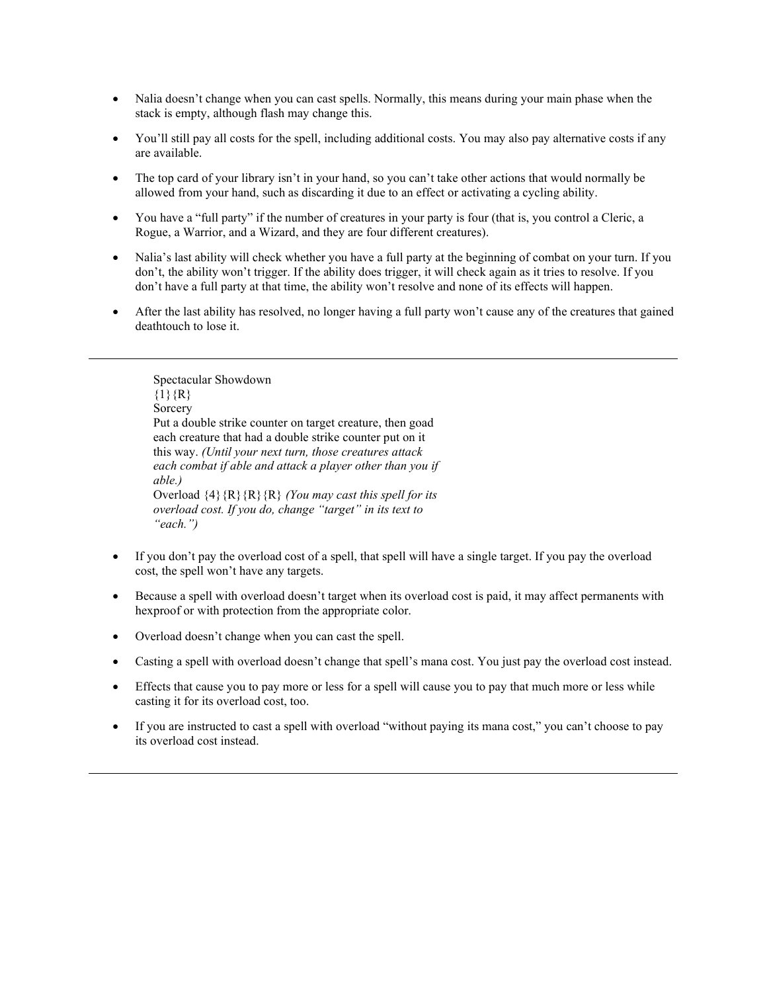- Nalia doesn't change when you can cast spells. Normally, this means during your main phase when the stack is empty, although flash may change this.
- You'll still pay all costs for the spell, including additional costs. You may also pay alternative costs if any are available.
- The top card of your library isn't in your hand, so you can't take other actions that would normally be allowed from your hand, such as discarding it due to an effect or activating a cycling ability.
- You have a "full party" if the number of creatures in your party is four (that is, you control a Cleric, a Rogue, a Warrior, and a Wizard, and they are four different creatures).
- Nalia's last ability will check whether you have a full party at the beginning of combat on your turn. If you don't, the ability won't trigger. If the ability does trigger, it will check again as it tries to resolve. If you don't have a full party at that time, the ability won't resolve and none of its effects will happen.
- After the last ability has resolved, no longer having a full party won't cause any of the creatures that gained deathtouch to lose it.

Spectacular Showdown  ${1}{R}$ Sorcery Put a double strike counter on target creature, then goad each creature that had a double strike counter put on it this way. *(Until your next turn, those creatures attack each combat if able and attack a player other than you if able.)* Overload {4}{R}{R}{R} *(You may cast this spell for its overload cost. If you do, change "target" in its text to "each.")*

- If you don't pay the overload cost of a spell, that spell will have a single target. If you pay the overload cost, the spell won't have any targets.
- Because a spell with overload doesn't target when its overload cost is paid, it may affect permanents with hexproof or with protection from the appropriate color.
- Overload doesn't change when you can cast the spell.
- Casting a spell with overload doesn't change that spell's mana cost. You just pay the overload cost instead.
- Effects that cause you to pay more or less for a spell will cause you to pay that much more or less while casting it for its overload cost, too.
- If you are instructed to cast a spell with overload "without paying its mana cost," you can't choose to pay its overload cost instead.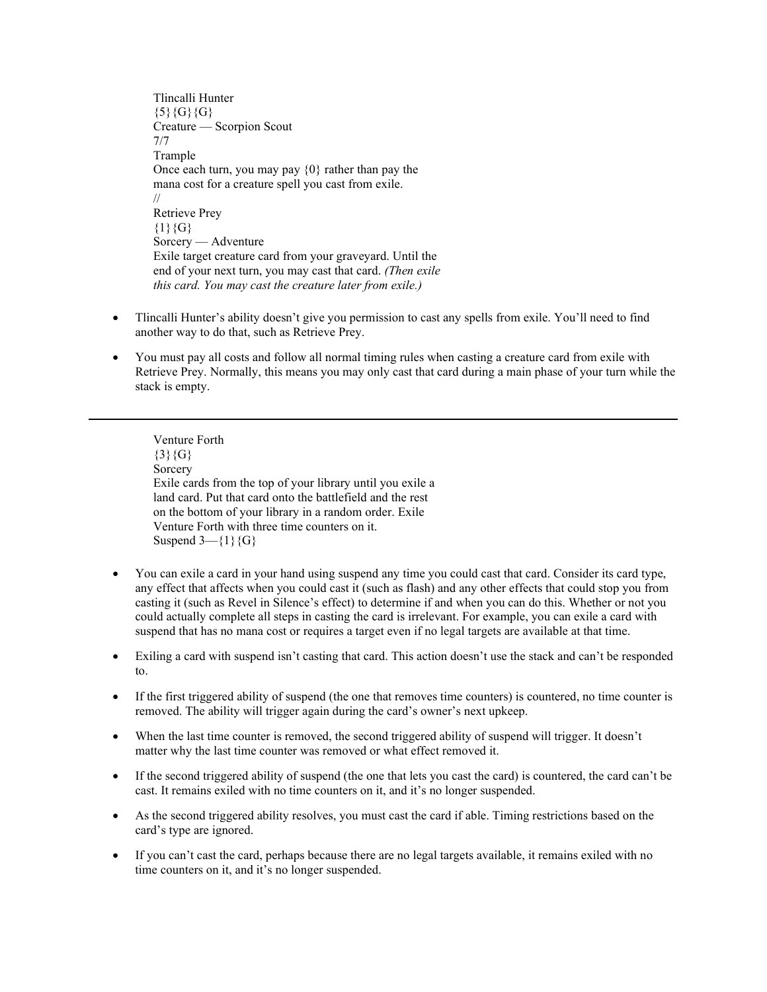Tlincalli Hunter  ${5}{G}{G}$ Creature — Scorpion Scout 7/7 Trample Once each turn, you may pay {0} rather than pay the mana cost for a creature spell you cast from exile. // Retrieve Prey  ${1}{G}$ Sorcery — Adventure Exile target creature card from your graveyard. Until the end of your next turn, you may cast that card. *(Then exile this card. You may cast the creature later from exile.)*

- Tlincalli Hunter's ability doesn't give you permission to cast any spells from exile. You'll need to find another way to do that, such as Retrieve Prey.
- You must pay all costs and follow all normal timing rules when casting a creature card from exile with Retrieve Prey. Normally, this means you may only cast that card during a main phase of your turn while the stack is empty.

Venture Forth  ${3}{G}$ Sorcery Exile cards from the top of your library until you exile a land card. Put that card onto the battlefield and the rest on the bottom of your library in a random order. Exile Venture Forth with three time counters on it. Suspend  $3-\{1\}\{G\}$ 

- You can exile a card in your hand using suspend any time you could cast that card. Consider its card type, any effect that affects when you could cast it (such as flash) and any other effects that could stop you from casting it (such as Revel in Silence's effect) to determine if and when you can do this. Whether or not you could actually complete all steps in casting the card is irrelevant. For example, you can exile a card with suspend that has no mana cost or requires a target even if no legal targets are available at that time.
- Exiling a card with suspend isn't casting that card. This action doesn't use the stack and can't be responded to.
- If the first triggered ability of suspend (the one that removes time counters) is countered, no time counter is removed. The ability will trigger again during the card's owner's next upkeep.
- When the last time counter is removed, the second triggered ability of suspend will trigger. It doesn't matter why the last time counter was removed or what effect removed it.
- If the second triggered ability of suspend (the one that lets you cast the card) is countered, the card can't be cast. It remains exiled with no time counters on it, and it's no longer suspended.
- As the second triggered ability resolves, you must cast the card if able. Timing restrictions based on the card's type are ignored.
- If you can't cast the card, perhaps because there are no legal targets available, it remains exiled with no time counters on it, and it's no longer suspended.